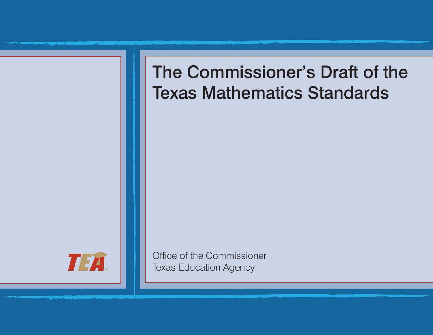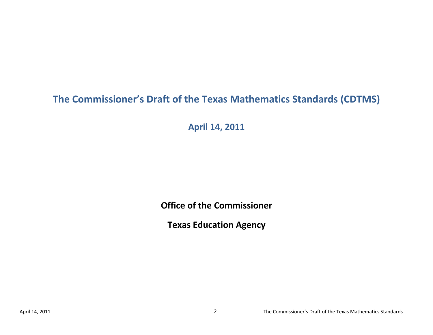# **The Commissioner's Draft of the Texas Mathematics Standards (CDTMS)**

**April 14, 2011**

**Office of the Commissioner**

**Texas Education Agency**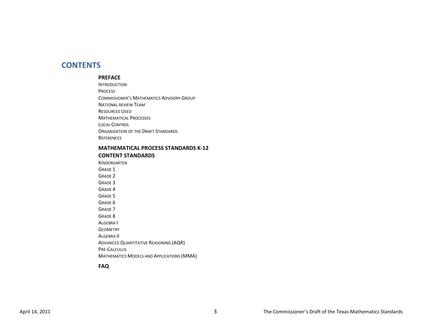### **CONTENTS**

#### **PREFACE**

INTRODUCTION PROCESS COMMISSIONER'S MATHEMATICS ADVISORY GROUP NATIONAL REVIEW TEAM RESOURCES USED MATHEMATICAL PROCESSES LOCAL CONTROL ORGANIZATION OF THE DRAFT STANDARDS **REFERENCES** 

#### **MATHEMATICAL PROCESS STANDARDS K-12 CONTENT STANDARDS**

KINDERGARTEN GRADE 1 GRADE 2 GRADE 3 GRADE 4 GRADE 5 GRADE 6 GRADE 7 GRADE 8 ALGEBRA I **GEOMETRY** ALGEBRA II ADVANCED QUANTITATIVE REASONING (AQR) PRE-CALCULUS MATHEMATICS MODELS AND APPLICATIONS (MMA)

#### **FAQ**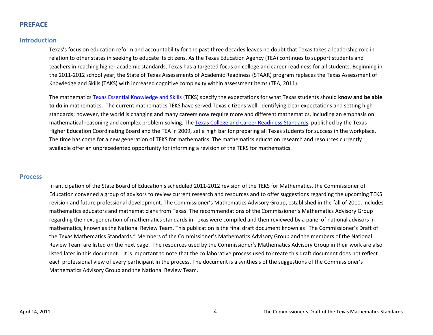### **PREFACE**

### **Introduction**

Texas's focus on education reform and accountability for the past three decades leaves no doubt that Texas takes a leadership role in relation to other states in seeking to educate its citizens. As the Texas Education Agency (TEA) continues to support students and teachers in reaching higher academic standards, Texas has a targeted focus on college and career readiness for all students. Beginning in the 2011-2012 school year, the State of Texas Assessments of Academic Readiness (STAAR) program replaces the Texas Assessment of Knowledge and Skills (TAKS) with increased cognitive complexity within assessment items (TEA, 2011).

The mathematics [Texas Essential Knowledge and Skills](http://ritter.tea.state.tx.us/rules/tac/chapter111/index.html) (TEKS) specify the expectations for what Texas students should **know and be able to do** in mathematics. The current mathematics TEKS have served Texas citizens well, identifying clear expectations and setting high standards; however, the world is changing and many careers now require more and different mathematics, including an emphasis on mathematical reasoning and complex problem-solving. The [Texas College and Career Readiness Standards,](http://www.thecb.state.tx.us/collegereadiness/crs.pdf) published by the Texas Higher Education Coordinating Board and the TEA in 2009, set a high bar for preparing all Texas students for success in the workplace. The time has come for a new generation of TEKS for mathematics. The mathematics education research and resources currently available offer an unprecedented opportunity for informing a revision of the TEKS for mathematics.

#### **Process**

In anticipation of the State Board of Education's scheduled 2011-2012 revision of the TEKS for Mathematics, the Commissioner of Education convened a group of advisors to review current research and resources and to offer suggestions regarding the upcoming TEKS revision and future professional development. The Commissioner's Mathematics Advisory Group, established in the fall of 2010, includes mathematics educators and mathematicians from Texas. The recommendations of the Commissioner's Mathematics Advisory Group regarding the next generation of mathematics standards in Texas were compiled and then reviewed by a panel of national advisors in mathematics, known as the National Review Team. This publication is the final draft document known as "The Commissioner's Draft of the Texas Mathematics Standards." Members of the Commissioner's Mathematics Advisory Group and the members of the National Review Team are listed on the next page. The resources used by the Commissioner's Mathematics Advisory Group in their work are also listed later in this document. It is important to note that the collaborative process used to create this draft document does not reflect each professional view of every participant in the process. The document is a synthesis of the suggestions of the Commissioner's Mathematics Advisory Group and the National Review Team.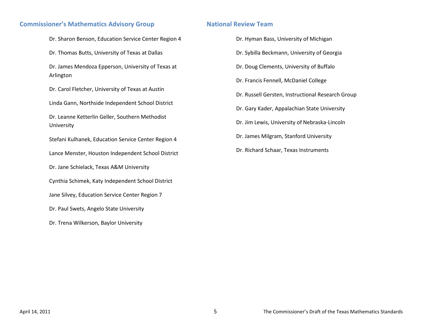### **Commissioner's Mathematics Advisory Group**

Dr. Sharon Benson, Education Service Center Region 4

Dr. Thomas Butts, University of Texas at Dallas

Dr. James Mendoza Epperson, University of Texas at Arlington

Dr. Carol Fletcher, University of Texas at Austin

Linda Gann, Northside Independent School District

Dr. Leanne Ketterlin Geller, Southern Methodist University

Stefani Kulhanek, Education Service Center Region 4

Lance Menster, Houston Independent School District

Dr. Jane Schielack, Texas A&M University

Cynthia Schimek, Katy Independent School District

Jane Silvey, Education Service Center Region 7

Dr. Paul Swets, Angelo State University

Dr. Trena Wilkerson, Baylor University

### **National Review Team**

Dr. Hyman Bass, University of Michigan Dr. Sybilla Beckmann, University of Georgia Dr. Doug Clements, University of Buffalo Dr. Francis Fennell, McDaniel College Dr. Russell Gersten, Instructional Research Group Dr. Gary Kader, Appalachian State University Dr. Jim Lewis, University of Nebraska-Lincoln Dr. James Milgram, Stanford University Dr. Richard Schaar, Texas Instruments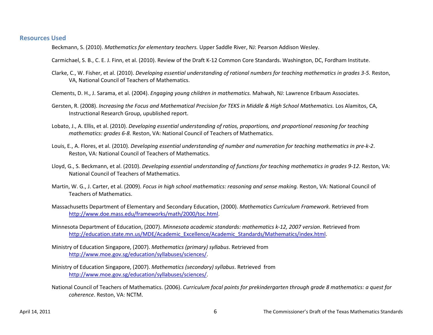#### **Resources Used**

Beckmann, S. (2010). *Mathematics for elementary teachers.* Upper Saddle River, NJ: Pearson Addison Wesley.

Carmichael, S. B., C. E. J. Finn, et al. (2010). Review of the Draft K-12 Common Core Standards. Washington, DC, Fordham Institute.

Clarke, C., W. Fisher, et al. (2010). *Developing essential understanding of rational numbers for teaching mathematics in grades 3-5.* Reston, VA, National Council of Teachers of Mathematics.

Clements, D. H., J. Sarama, et al. (2004). *Engaging young children in mathematics.* Mahwah, NJ: Lawrence Erlbaum Associates.

- Gersten, R. (2008). *Increasing the Focus and Mathematical Precision for TEKS in Middle & High School Mathematics.* Los Alamitos, CA, Instructional Research Group, upublished report.
- Lobato, J., A. Ellis, et al. (2010). *Developing essential understanding of ratios, proportions, and proportional reasoning for teaching mathematics: grades 6-8.* Reston, VA: National Council of Teachers of Mathematics.
- Louis, E., A. Flores, et al. (2010). *Developing essential understanding of number and numeration for teaching mathematics in pre-k-2*. Reston, VA: National Council of Teachers of Mathematics.
- Lloyd, G., S. Beckmann, et al. (2010). *Developing essential understanding of functions for teaching mathematics in grades 9-12.* Reston, VA: National Council of Teachers of Mathematics.
- Martin, W. G., J. Carter, et al. (2009). *Focus in high school mathematics: reasoning and sense making.* Reston, VA: National Council of Teachers of Mathematics.
- Massachusetts Department of Elementary and Secondary Education, (2000). *Mathematics Curriculum Framework*. Retrieved from [http://www.doe.mass.edu/frameworks/math/2000/toc.html.](http://www.doe.mass.edu/frameworks/math/2000/toc.html)

Minnesota Department of Education, (2007). *Minnesota academic standards: mathematics k-12, 2007 version*. Retrieved from [http://education.state.mn.us/MDE/Academic\\_Excellence/Academic\\_Standards/Mathematics/index.html.](http://education.state.mn.us/MDE/Academic_Excellence/Academic_Standards/Mathematics/index.html)

- Ministry of Education Singapore, (2007). *Mathematics (primary) syllabus*. Retrieved from [http://www.moe.gov.sg/education/syllabuses/sciences/.](http://www.moe.gov.sg/education/syllabuses/sciences/)
- Ministry of Education Singapore, (2007). *Mathematics (secondary) syllabus*. Retrieved from [http://www.moe.gov.sg/education/syllabuses/sciences/.](http://www.moe.gov.sg/education/syllabuses/sciences/)
- National Council of Teachers of Mathematics. (2006). *Curriculum focal points for prekindergarten through grade 8 mathematics: a quest for coherence*. Reston, VA: NCTM.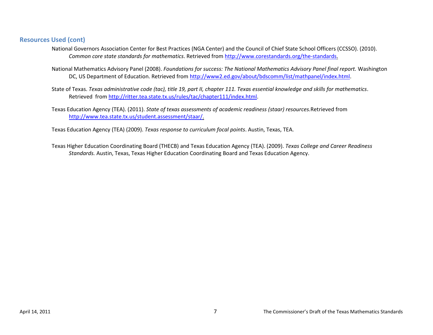### **Resources Used (cont)**

- National Governors Association Center for Best Practices (NGA Center) and the Council of Chief State School Officers (CCSSO). (2010). *Common core state standards for mathematics*. Retrieved from [http://www.corestandards.org/the-standards.](http://www.corestandards.org/the-standards)
- National Mathematics Advisory Panel (2008). *Foundations for success: The National Mathematics Advisory Panel final report.* Washington DC, US Department of Education. Retrieved from [http://www2.ed.gov/about/bdscomm/list/mathpanel/index.html.](http://www2.ed.gov/about/bdscomm/list/mathpanel/index.html)
- State of Texas. *Texas administrative code (tac), title 19, part II, chapter 111. Texas essential knowledge and skills for mathematics*. Retrieved fro[m http://ritter.tea.state.tx.us/rules/tac/chapter111/index.html.](http://ritter.tea.state.tx.us/rules/tac/chapter111/index.html)
- Texas Education Agency (TEA). (2011). *State of texas assessments of academic readiness (staar) resources.*Retrieved from [http://www.tea.state.tx.us/student.assessment/staar/.](http://www.tea.state.tx.us/student.assessment/staar/)

Texas Education Agency (TEA) (2009). *Texas response to curriculum focal points*. Austin, Texas, TEA.

Texas Higher Education Coordinating Board (THECB) and Texas Education Agency (TEA). (2009). *Texas College and Career Readiness Standards.* Austin, Texas, Texas Higher Education Coordinating Board and Texas Education Agency.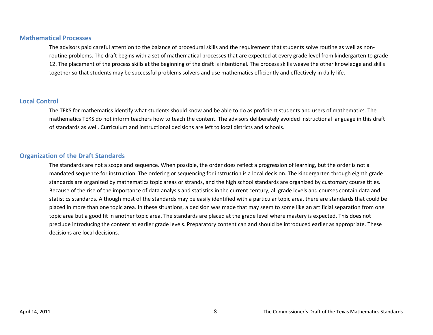#### **Mathematical Processes**

The advisors paid careful attention to the balance of procedural skills and the requirement that students solve routine as well as nonroutine problems. The draft begins with a set of mathematical processes that are expected at every grade level from kindergarten to grade 12. The placement of the process skills at the beginning of the draft is intentional. The process skills weave the other knowledge and skills together so that students may be successful problems solvers and use mathematics efficiently and effectively in daily life.

### **Local Control**

The TEKS for mathematics identify what students should know and be able to do as proficient students and users of mathematics. The mathematics TEKS do not inform teachers how to teach the content. The advisors deliberately avoided instructional language in this draft of standards as well. Curriculum and instructional decisions are left to local districts and schools.

### **Organization of the Draft Standards**

The standards are not a scope and sequence. When possible, the order does reflect a progression of learning, but the order is not a mandated sequence for instruction. The ordering or sequencing for instruction is a local decision. The kindergarten through eighth grade standards are organized by mathematics topic areas or strands, and the high school standards are organized by customary course titles. Because of the rise of the importance of data analysis and statistics in the current century, all grade levels and courses contain data and statistics standards. Although most of the standards may be easily identified with a particular topic area, there are standards that could be placed in more than one topic area. In these situations, a decision was made that may seem to some like an artificial separation from one topic area but a good fit in another topic area. The standards are placed at the grade level where mastery is expected. This does not preclude introducing the content at earlier grade levels. Preparatory content can and should be introduced earlier as appropriate. These decisions are local decisions.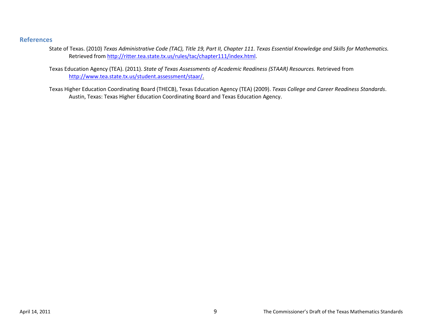### **References**

- State of Texas. (2010) *Texas Administrative Code (TAC), Title 19, Part II, Chapter 111. Texas Essential Knowledge and Skills for Mathematics.* Retrieved from [http://ritter.tea.state.tx.us/rules/tac/chapter111/index.html.](http://ritter.tea.state.tx.us/rules/tac/chapter111/index.html)
- Texas Education Agency (TEA). (2011). *State of Texas Assessments of Academic Readiness (STAAR) Resources.* Retrieved from [http://www.tea.state.tx.us/student.assessment/staar/.](http://www.tea.state.tx.us/student.assessment/staar/)
- Texas Higher Education Coordinating Board (THECB), Texas Education Agency (TEA) (2009). *Texas College and Career Readiness Standards*. Austin, Texas: Texas Higher Education Coordinating Board and Texas Education Agency.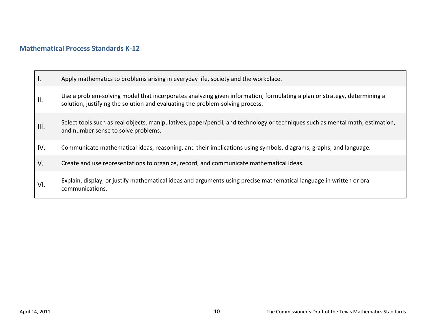## **Mathematical Process Standards K-12**

| Ι.   | Apply mathematics to problems arising in everyday life, society and the workplace.                                                                                                                        |
|------|-----------------------------------------------------------------------------------------------------------------------------------------------------------------------------------------------------------|
| II.  | Use a problem-solving model that incorporates analyzing given information, formulating a plan or strategy, determining a<br>solution, justifying the solution and evaluating the problem-solving process. |
| III. | Select tools such as real objects, manipulatives, paper/pencil, and technology or techniques such as mental math, estimation,<br>and number sense to solve problems.                                      |
| IV.  | Communicate mathematical ideas, reasoning, and their implications using symbols, diagrams, graphs, and language.                                                                                          |
| V.   | Create and use representations to organize, record, and communicate mathematical ideas.                                                                                                                   |
| VI.  | Explain, display, or justify mathematical ideas and arguments using precise mathematical language in written or oral<br>communications.                                                                   |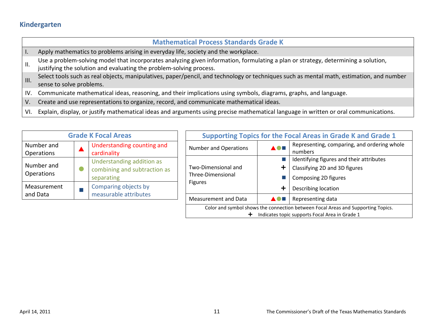## **Kindergarten**

|             | <b>Mathematical Process Standards Grade K</b>                                                                                                                                                             |
|-------------|-----------------------------------------------------------------------------------------------------------------------------------------------------------------------------------------------------------|
|             | Apply mathematics to problems arising in everyday life, society and the workplace.                                                                                                                        |
| Ⅱ.          | Use a problem-solving model that incorporates analyzing given information, formulating a plan or strategy, determining a solution,<br>justifying the solution and evaluating the problem-solving process. |
| III.        | Select tools such as real objects, manipulatives, paper/pencil, and technology or techniques such as mental math, estimation, and number<br>sense to solve problems.                                      |
| IV.         | Communicate mathematical ideas, reasoning, and their implications using symbols, diagrams, graphs, and language.                                                                                          |
| $V_{\cdot}$ | Create and use representations to organize, record, and communicate mathematical ideas.                                                                                                                   |

VI. Explain, display, or justify mathematical ideas and arguments using precise mathematical language in written or oral communications.

| <b>Grade K Focal Areas</b> |  |                                                                         |
|----------------------------|--|-------------------------------------------------------------------------|
| Number and<br>Operations   |  | Understanding counting and<br>cardinality                               |
| Number and<br>Operations   |  | Understanding addition as<br>combining and subtraction as<br>separating |
| Measurement<br>and Data    |  | Comparing objects by<br>measurable attributes                           |

| <b>Supporting Topics for the Focal Areas in Grade K and Grade 1</b> |   |                                                                                                                                    |
|---------------------------------------------------------------------|---|------------------------------------------------------------------------------------------------------------------------------------|
| <b>Number and Operations</b>                                        |   | Representing, comparing, and ordering whole<br>numbers                                                                             |
|                                                                     |   | Identifying figures and their attributes                                                                                           |
| Two-Dimensional and<br>Three-Dimensional<br><b>Figures</b>          |   | Classifying 2D and 3D figures                                                                                                      |
|                                                                     |   | Composing 2D figures                                                                                                               |
|                                                                     | ÷ | Describing location                                                                                                                |
| <b>Measurement and Data</b>                                         |   | Representing data                                                                                                                  |
| ┿                                                                   |   | Color and symbol shows the connection between Focal Areas and Supporting Topics.<br>Indicates topic supports Focal Area in Grade 1 |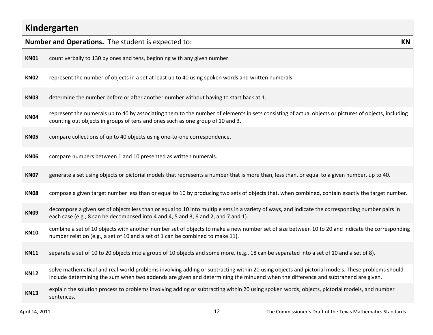| Kindergarten |                                                                                                                                                                                                                                                                                    |  |  |  |
|--------------|------------------------------------------------------------------------------------------------------------------------------------------------------------------------------------------------------------------------------------------------------------------------------------|--|--|--|
|              | Number and Operations. The student is expected to:<br><b>KN</b>                                                                                                                                                                                                                    |  |  |  |
| <b>KN01</b>  | count verbally to 130 by ones and tens, beginning with any given number.                                                                                                                                                                                                           |  |  |  |
| <b>KN02</b>  | represent the number of objects in a set at least up to 40 using spoken words and written numerals.                                                                                                                                                                                |  |  |  |
| <b>KN03</b>  | determine the number before or after another number without having to start back at 1.                                                                                                                                                                                             |  |  |  |
| <b>KN04</b>  | represent the numerals up to 40 by associating them to the number of elements in sets consisting of actual objects or pictures of objects, including<br>counting out objects in groups of tens and ones such as one group of 10 and 3.                                             |  |  |  |
| <b>KN05</b>  | compare collections of up to 40 objects using one-to-one correspondence.                                                                                                                                                                                                           |  |  |  |
| <b>KN06</b>  | compare numbers between 1 and 10 presented as written numerals.                                                                                                                                                                                                                    |  |  |  |
| <b>KN07</b>  | generate a set using objects or pictorial models that represents a number that is more than, less than, or equal to a given number, up to 40.                                                                                                                                      |  |  |  |
| <b>KN08</b>  | compose a given target number less than or equal to 10 by producing two sets of objects that, when combined, contain exactly the target number.                                                                                                                                    |  |  |  |
| <b>KN09</b>  | decompose a given set of objects less than or equal to 10 into multiple sets in a variety of ways, and indicate the corresponding number pairs in<br>each case (e.g., 8 can be decomposed into 4 and 4, 5 and 3, 6 and 2, and 7 and 1).                                            |  |  |  |
| <b>KN10</b>  | combine a set of 10 objects with another number set of objects to make a new number set of size between 10 to 20 and indicate the corresponding<br>number relation (e.g., a set of 10 and a set of 1 can be combined to make 11).                                                  |  |  |  |
| <b>KN11</b>  | separate a set of 10 to 20 objects into a group of 10 objects and some more. (e.g., 18 can be separated into a set of 10 and a set of 8).                                                                                                                                          |  |  |  |
| <b>KN12</b>  | solve mathematical and real-world problems involving adding or subtracting within 20 using objects and pictorial models. These problems should<br>include determining the sum when two addends are given and determining the minuend when the difference and subtrahend are given. |  |  |  |
| <b>KN13</b>  | explain the solution process to problems involving adding or subtracting within 20 using spoken words, objects, pictorial models, and number<br>sentences.                                                                                                                         |  |  |  |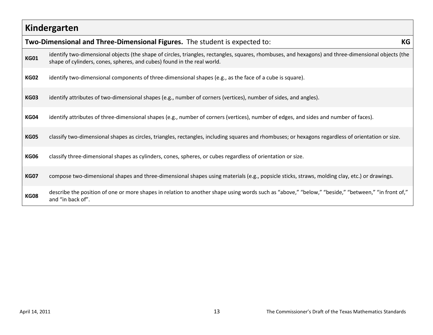# **Kindergarten**

|             | Two-Dimensional and Three-Dimensional Figures. The student is expected to:                                                                                                                                                     | KG |
|-------------|--------------------------------------------------------------------------------------------------------------------------------------------------------------------------------------------------------------------------------|----|
| <b>KG01</b> | identify two-dimensional objects (the shape of circles, triangles, rectangles, squares, rhombuses, and hexagons) and three-dimensional objects (the<br>shape of cylinders, cones, spheres, and cubes) found in the real world. |    |
| <b>KG02</b> | identify two-dimensional components of three-dimensional shapes (e.g., as the face of a cube is square).                                                                                                                       |    |
| <b>KG03</b> | identify attributes of two-dimensional shapes (e.g., number of corners (vertices), number of sides, and angles).                                                                                                               |    |
| <b>KG04</b> | identify attributes of three-dimensional shapes (e.g., number of corners (vertices), number of edges, and sides and number of faces).                                                                                          |    |
| <b>KG05</b> | classify two-dimensional shapes as circles, triangles, rectangles, including squares and rhombuses; or hexagons regardless of orientation or size.                                                                             |    |
| <b>KG06</b> | classify three-dimensional shapes as cylinders, cones, spheres, or cubes regardless of orientation or size.                                                                                                                    |    |
| <b>KG07</b> | compose two-dimensional shapes and three-dimensional shapes using materials (e.g., popsicle sticks, straws, molding clay, etc.) or drawings.                                                                                   |    |
| <b>KG08</b> | describe the position of one or more shapes in relation to another shape using words such as "above," "below," "beside," "between," "in front of,"<br>and "in back of".                                                        |    |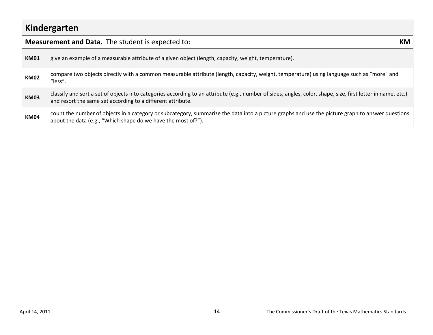|             | Kindergarten                                                                                                                                                                                                                |  |  |  |
|-------------|-----------------------------------------------------------------------------------------------------------------------------------------------------------------------------------------------------------------------------|--|--|--|
|             | <b>Measurement and Data.</b> The student is expected to:<br>KM.                                                                                                                                                             |  |  |  |
| <b>KM01</b> | give an example of a measurable attribute of a given object (length, capacity, weight, temperature).                                                                                                                        |  |  |  |
| <b>KM02</b> | compare two objects directly with a common measurable attribute (length, capacity, weight, temperature) using language such as "more" and<br>"less".                                                                        |  |  |  |
| <b>KM03</b> | classify and sort a set of objects into categories according to an attribute (e.g., number of sides, angles, color, shape, size, first letter in name, etc.)<br>and resort the same set according to a different attribute. |  |  |  |
| <b>KM04</b> | count the number of objects in a category or subcategory, summarize the data into a picture graphs and use the picture graph to answer questions<br>about the data (e.g., "Which shape do we have the most of?").           |  |  |  |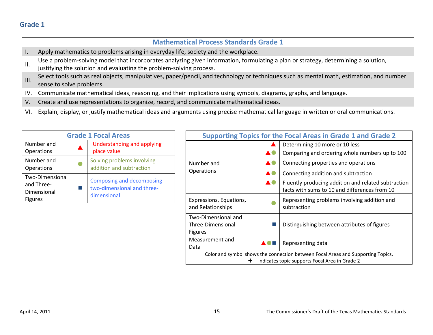|             | <b>Mathematical Process Standards Grade 1</b>                                                                                                                                                             |
|-------------|-----------------------------------------------------------------------------------------------------------------------------------------------------------------------------------------------------------|
| Ι.          | Apply mathematics to problems arising in everyday life, society and the workplace.                                                                                                                        |
| ΙΙ.         | Use a problem-solving model that incorporates analyzing given information, formulating a plan or strategy, determining a solution,<br>justifying the solution and evaluating the problem-solving process. |
|             | Select tools such as real objects, manipulatives, paper/pencil, and technology or techniques such as mental math, estimation, and number<br>sense to solve problems.                                      |
| IV.         | Communicate mathematical ideas, reasoning, and their implications using symbols, diagrams, graphs, and language.                                                                                          |
| $V_{\cdot}$ | Create and use representations to organize, record, and communicate mathematical ideas.                                                                                                                   |

VI. Explain, display, or justify mathematical ideas and arguments using precise mathematical language in written or oral communications.

| <b>Grade 1 Focal Areas</b>                                     |  |                                                                        |
|----------------------------------------------------------------|--|------------------------------------------------------------------------|
| Number and<br>Operations                                       |  | <b>Understanding and applying</b><br>place value                       |
| Number and<br>Operations                                       |  | Solving problems involving<br>addition and subtraction                 |
| Two-Dimensional<br>and Three-<br>Dimensional<br><b>Figures</b> |  | Composing and decomposing<br>two-dimensional and three-<br>dimensional |

| <b>Supporting Topics for the Focal Areas in Grade 1 and Grade 2</b>                                                                     |    |                                                                                                      |
|-----------------------------------------------------------------------------------------------------------------------------------------|----|------------------------------------------------------------------------------------------------------|
|                                                                                                                                         |    | Determining 10 more or 10 less                                                                       |
|                                                                                                                                         |    | Comparing and ordering whole numbers up to 100                                                       |
| Number and                                                                                                                              |    | Connecting properties and operations                                                                 |
| <b>Operations</b>                                                                                                                       |    | Connecting addition and subtraction                                                                  |
|                                                                                                                                         | ▲● | Fluently producing addition and related subtraction<br>facts with sums to 10 and differences from 10 |
| Expressions, Equations,<br>and Relationships                                                                                            |    | Representing problems involving addition and<br>subtraction                                          |
| Two-Dimensional and<br>Three-Dimensional<br><b>Figures</b>                                                                              |    | Distinguishing between attributes of figures                                                         |
| Measurement and<br>Data                                                                                                                 |    | Representing data                                                                                    |
| Color and symbol shows the connection between Focal Areas and Supporting Topics.<br>Indicates topic supports Focal Area in Grade 2<br>÷ |    |                                                                                                      |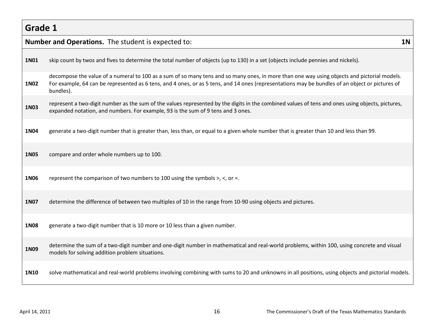|             | <b>Number and Operations.</b> The student is expected to:<br><b>1N</b>                                                                                                                                                                                                                                      |  |  |  |
|-------------|-------------------------------------------------------------------------------------------------------------------------------------------------------------------------------------------------------------------------------------------------------------------------------------------------------------|--|--|--|
| 1N01        | skip count by twos and fives to determine the total number of objects (up to 130) in a set (objects include pennies and nickels).                                                                                                                                                                           |  |  |  |
| 1N02        | decompose the value of a numeral to 100 as a sum of so many tens and so many ones, in more than one way using objects and pictorial models.<br>For example, 64 can be represented as 6 tens, and 4 ones, or as 5 tens, and 14 ones (representations may be bundles of an object or pictures of<br>bundles). |  |  |  |
| 1N03        | represent a two-digit number as the sum of the values represented by the digits in the combined values of tens and ones using objects, pictures,<br>expanded notation, and numbers. For example, 93 is the sum of 9 tens and 3 ones.                                                                        |  |  |  |
| 1N04        | generate a two-digit number that is greater than, less than, or equal to a given whole number that is greater than 10 and less than 99.                                                                                                                                                                     |  |  |  |
| <b>1N05</b> | compare and order whole numbers up to 100.                                                                                                                                                                                                                                                                  |  |  |  |
| 1N06        | represent the comparison of two numbers to 100 using the symbols $>$ , $<$ , or =.                                                                                                                                                                                                                          |  |  |  |
| 1N07        | determine the difference of between two multiples of 10 in the range from 10-90 using objects and pictures.                                                                                                                                                                                                 |  |  |  |
| <b>1N08</b> | generate a two-digit number that is 10 more or 10 less than a given number.                                                                                                                                                                                                                                 |  |  |  |
| 1N09        | determine the sum of a two-digit number and one-digit number in mathematical and real-world problems, within 100, using concrete and visual<br>models for solving addition problem situations.                                                                                                              |  |  |  |
| 1N10        | solve mathematical and real-world problems involving combining with sums to 20 and unknowns in all positions, using objects and pictorial models.                                                                                                                                                           |  |  |  |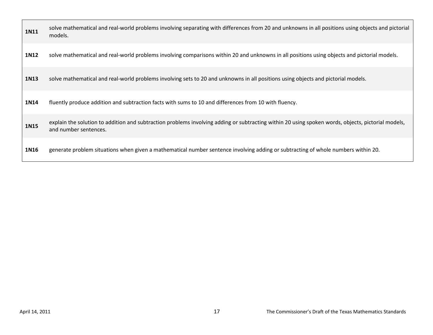| 1N11 | solve mathematical and real-world problems involving separating with differences from 20 and unknowns in all positions using objects and pictorial<br>models.               |
|------|-----------------------------------------------------------------------------------------------------------------------------------------------------------------------------|
| 1N12 | solve mathematical and real-world problems involving comparisons within 20 and unknowns in all positions using objects and pictorial models.                                |
| 1N13 | solve mathematical and real-world problems involving sets to 20 and unknowns in all positions using objects and pictorial models.                                           |
| 1N14 | fluently produce addition and subtraction facts with sums to 10 and differences from 10 with fluency.                                                                       |
| 1N15 | explain the solution to addition and subtraction problems involving adding or subtracting within 20 using spoken words, objects, pictorial models,<br>and number sentences. |
| 1N16 | generate problem situations when given a mathematical number sentence involving adding or subtracting of whole numbers within 20.                                           |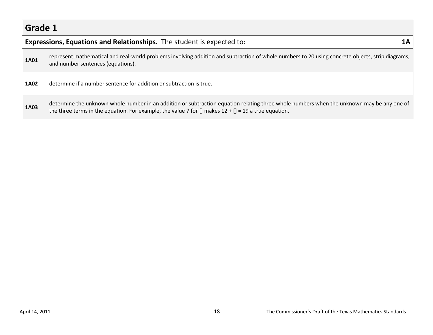|      | <b>Expressions, Equations and Relationships.</b> The student is expected to:                                                                                                                                                                                                  |  |  |
|------|-------------------------------------------------------------------------------------------------------------------------------------------------------------------------------------------------------------------------------------------------------------------------------|--|--|
| 1A01 | represent mathematical and real-world problems involving addition and subtraction of whole numbers to 20 using concrete objects, strip diagrams,<br>and number sentences (equations).                                                                                         |  |  |
| 1A02 | determine if a number sentence for addition or subtraction is true.                                                                                                                                                                                                           |  |  |
| 1A03 | determine the unknown whole number in an addition or subtraction equation relating three whole numbers when the unknown may be any one of<br>the three terms in the equation. For example, the value 7 for $\left[ \right]$ makes 12 + $\left[ \right]$ = 19 a true equation. |  |  |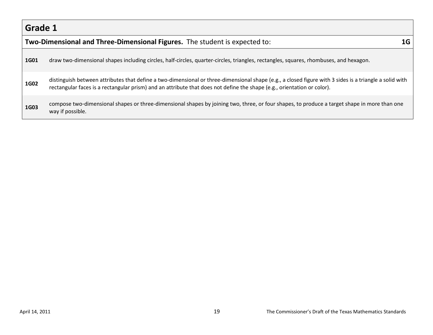|             | Two-Dimensional and Three-Dimensional Figures. The student is expected to:<br>1G                                                                                                                                                                                                  |  |  |  |  |
|-------------|-----------------------------------------------------------------------------------------------------------------------------------------------------------------------------------------------------------------------------------------------------------------------------------|--|--|--|--|
| <b>1G01</b> | draw two-dimensional shapes including circles, half-circles, quarter-circles, triangles, rectangles, squares, rhombuses, and hexagon.                                                                                                                                             |  |  |  |  |
| <b>1G02</b> | distinguish between attributes that define a two-dimensional or three-dimensional shape (e.g., a closed figure with 3 sides is a triangle a solid with<br>rectangular faces is a rectangular prism) and an attribute that does not define the shape (e.g., orientation or color). |  |  |  |  |
| 1G03        | compose two-dimensional shapes or three-dimensional shapes by joining two, three, or four shapes, to produce a target shape in more than one<br>way if possible.                                                                                                                  |  |  |  |  |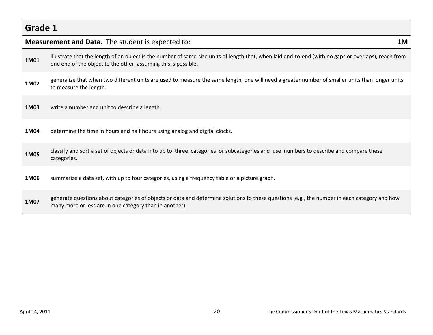| Grade 1 |                                                                                                                                                                                                                        |    |
|---------|------------------------------------------------------------------------------------------------------------------------------------------------------------------------------------------------------------------------|----|
|         | <b>Measurement and Data.</b> The student is expected to:                                                                                                                                                               | 1M |
| 1M01    | illustrate that the length of an object is the number of same-size units of length that, when laid end-to-end (with no gaps or overlaps), reach from<br>one end of the object to the other, assuming this is possible. |    |
| 1M02    | generalize that when two different units are used to measure the same length, one will need a greater number of smaller units than longer units<br>to measure the length.                                              |    |
| 1M03    | write a number and unit to describe a length.                                                                                                                                                                          |    |
| 1M04    | determine the time in hours and half hours using analog and digital clocks.                                                                                                                                            |    |
| 1M05    | classify and sort a set of objects or data into up to three categories or subcategories and use numbers to describe and compare these<br>categories.                                                                   |    |
| 1M06    | summarize a data set, with up to four categories, using a frequency table or a picture graph.                                                                                                                          |    |
| 1M07    | generate questions about categories of objects or data and determine solutions to these questions (e.g., the number in each category and how<br>many more or less are in one category than in another).                |    |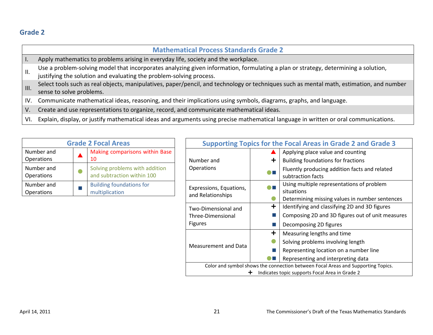|      | <b>Mathematical Process Standards Grade 2</b>                                                                                                                                                             |
|------|-----------------------------------------------------------------------------------------------------------------------------------------------------------------------------------------------------------|
|      | Apply mathematics to problems arising in everyday life, society and the workplace.                                                                                                                        |
| Ш.   | Use a problem-solving model that incorporates analyzing given information, formulating a plan or strategy, determining a solution,<br>justifying the solution and evaluating the problem-solving process. |
| III. | Select tools such as real objects, manipulatives, paper/pencil, and technology or techniques such as mental math, estimation, and number<br>sense to solve problems.                                      |
|      | IV. Communicate mathematical ideas, reasoning, and their implications using symbols, diagrams, graphs, and language.                                                                                      |
| V.   | Create and use representations to organize, record, and communicate mathematical ideas.                                                                                                                   |
| VI.  | Explain, display, or justify mathematical ideas and arguments using precise mathematical language in written or oral communications.                                                                      |

| <b>Grade 2 Focal Areas</b> |  |                                                              |  |
|----------------------------|--|--------------------------------------------------------------|--|
| Number and<br>Operations   |  | Making comparisons within Base<br>10                         |  |
| Number and<br>Operations   |  | Solving problems with addition<br>and subtraction within 100 |  |
| Number and<br>Operations   |  | <b>Building foundations for</b><br>multiplication            |  |

| <b>Supporting Topics for the Focal Areas in Grade 2 and Grade 3</b>              |   |                                                  |  |  |
|----------------------------------------------------------------------------------|---|--------------------------------------------------|--|--|
|                                                                                  |   | Applying place value and counting                |  |  |
| Number and                                                                       | ÷ | Building foundations for fractions               |  |  |
| <b>Operations</b>                                                                |   | Fluently producing addition facts and related    |  |  |
|                                                                                  |   | subtraction facts                                |  |  |
| Expressions, Equations,                                                          |   | Using multiple representations of problem        |  |  |
| and Relationships                                                                |   | situations                                       |  |  |
|                                                                                  |   | Determining missing values in number sentences   |  |  |
| Two-Dimensional and                                                              | ╋ | Identifying and classifying 2D and 3D figures    |  |  |
| Three-Dimensional                                                                |   | Composing 2D and 3D figures out of unit measures |  |  |
| <b>Figures</b>                                                                   |   | Decomposing 2D figures                           |  |  |
|                                                                                  | ╈ | Measuring lengths and time                       |  |  |
| Measurement and Data                                                             |   | Solving problems involving length                |  |  |
|                                                                                  |   | Representing location on a number line           |  |  |
|                                                                                  |   | Representing and interpreting data               |  |  |
| Color and symbol shows the connection between Focal Areas and Supporting Topics. |   |                                                  |  |  |
| Indicates topic supports Focal Area in Grade 2                                   |   |                                                  |  |  |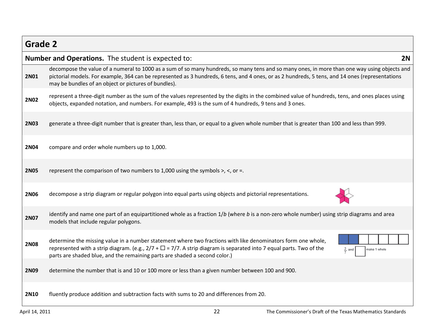| <b>Grade 2</b> |                                                                                                                                                                                                                                                                                                                                                            |  |  |
|----------------|------------------------------------------------------------------------------------------------------------------------------------------------------------------------------------------------------------------------------------------------------------------------------------------------------------------------------------------------------------|--|--|
|                | Number and Operations. The student is expected to:<br>2N                                                                                                                                                                                                                                                                                                   |  |  |
| <b>2N01</b>    | decompose the value of a numeral to 1000 as a sum of so many hundreds, so many tens and so many ones, in more than one way using objects and<br>pictorial models. For example, 364 can be represented as 3 hundreds, 6 tens, and 4 ones, or as 2 hundreds, 5 tens, and 14 ones (representations<br>may be bundles of an object or pictures of bundles).    |  |  |
| <b>2N02</b>    | represent a three-digit number as the sum of the values represented by the digits in the combined value of hundreds, tens, and ones places using<br>objects, expanded notation, and numbers. For example, 493 is the sum of 4 hundreds, 9 tens and 3 ones.                                                                                                 |  |  |
| <b>2N03</b>    | generate a three-digit number that is greater than, less than, or equal to a given whole number that is greater than 100 and less than 999.                                                                                                                                                                                                                |  |  |
| <b>2N04</b>    | compare and order whole numbers up to 1,000.                                                                                                                                                                                                                                                                                                               |  |  |
| <b>2N05</b>    | represent the comparison of two numbers to 1,000 using the symbols $>$ , $\lt$ , or =.                                                                                                                                                                                                                                                                     |  |  |
| <b>2N06</b>    | decompose a strip diagram or regular polygon into equal parts using objects and pictorial representations.                                                                                                                                                                                                                                                 |  |  |
| <b>2N07</b>    | identify and name one part of an equipartitioned whole as a fraction 1/b (where b is a non-zero whole number) using strip diagrams and area<br>models that include regular polygons.                                                                                                                                                                       |  |  |
| <b>2N08</b>    | determine the missing value in a number statement where two fractions with like denominators form one whole,<br>represented with a strip diagram. (e.g., $2/7 + \Box = 7/7$ . A strip diagram is separated into 7 equal parts. Two of the<br>$rac{2}{7}$ and<br>make 1 whole<br>parts are shaded blue, and the remaining parts are shaded a second color.) |  |  |
| <b>2N09</b>    | determine the number that is and 10 or 100 more or less than a given number between 100 and 900.                                                                                                                                                                                                                                                           |  |  |
| <b>2N10</b>    | fluently produce addition and subtraction facts with sums to 20 and differences from 20.                                                                                                                                                                                                                                                                   |  |  |

Г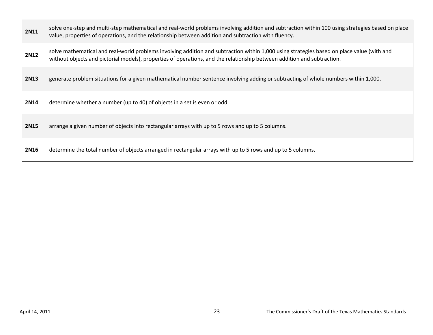| <b>2N11</b> | solve one-step and multi-step mathematical and real-world problems involving addition and subtraction within 100 using strategies based on place<br>value, properties of operations, and the relationship between addition and subtraction with fluency.              |
|-------------|-----------------------------------------------------------------------------------------------------------------------------------------------------------------------------------------------------------------------------------------------------------------------|
| <b>2N12</b> | solve mathematical and real-world problems involving addition and subtraction within 1,000 using strategies based on place value (with and<br>without objects and pictorial models), properties of operations, and the relationship between addition and subtraction. |
| <b>2N13</b> | generate problem situations for a given mathematical number sentence involving adding or subtracting of whole numbers within 1,000.                                                                                                                                   |
| <b>2N14</b> | determine whether a number (up to 40) of objects in a set is even or odd.                                                                                                                                                                                             |
| <b>2N15</b> | arrange a given number of objects into rectangular arrays with up to 5 rows and up to 5 columns.                                                                                                                                                                      |
| <b>2N16</b> | determine the total number of objects arranged in rectangular arrays with up to 5 rows and up to 5 columns.                                                                                                                                                           |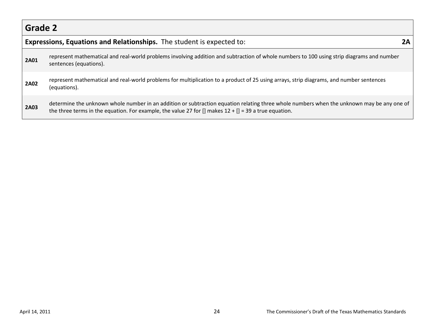|             | <b>Expressions, Equations and Relationships.</b> The student is expected to:                                                                                                                                                                         |  |  |
|-------------|------------------------------------------------------------------------------------------------------------------------------------------------------------------------------------------------------------------------------------------------------|--|--|
| <b>2A01</b> | represent mathematical and real-world problems involving addition and subtraction of whole numbers to 100 using strip diagrams and number<br>sentences (equations).                                                                                  |  |  |
| <b>2A02</b> | represent mathematical and real-world problems for multiplication to a product of 25 using arrays, strip diagrams, and number sentences<br>(equations).                                                                                              |  |  |
| <b>2A03</b> | determine the unknown whole number in an addition or subtraction equation relating three whole numbers when the unknown may be any one of<br>the three terms in the equation. For example, the value 27 for [] makes $12 + [] = 39$ a true equation. |  |  |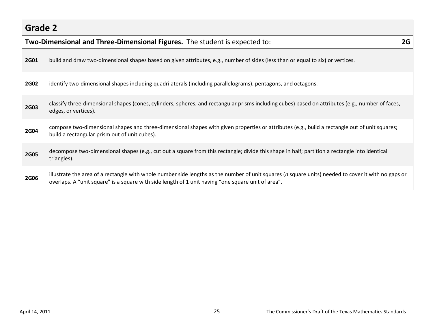|             | Two-Dimensional and Three-Dimensional Figures. The student is expected to:<br>2G                                                                                                                                                                          |  |  |
|-------------|-----------------------------------------------------------------------------------------------------------------------------------------------------------------------------------------------------------------------------------------------------------|--|--|
| <b>2G01</b> | build and draw two-dimensional shapes based on given attributes, e.g., number of sides (less than or equal to six) or vertices.                                                                                                                           |  |  |
| <b>2G02</b> | identify two-dimensional shapes including quadrilaterals (including parallelograms), pentagons, and octagons.                                                                                                                                             |  |  |
| <b>2G03</b> | classify three-dimensional shapes (cones, cylinders, spheres, and rectangular prisms including cubes) based on attributes (e.g., number of faces,<br>edges, or vertices).                                                                                 |  |  |
| <b>2G04</b> | compose two-dimensional shapes and three-dimensional shapes with given properties or attributes (e.g., build a rectangle out of unit squares;<br>build a rectangular prism out of unit cubes).                                                            |  |  |
| <b>2G05</b> | decompose two-dimensional shapes (e.g., cut out a square from this rectangle; divide this shape in half; partition a rectangle into identical<br>triangles).                                                                                              |  |  |
| <b>2G06</b> | illustrate the area of a rectangle with whole number side lengths as the number of unit squares (n square units) needed to cover it with no gaps or<br>overlaps. A "unit square" is a square with side length of 1 unit having "one square unit of area". |  |  |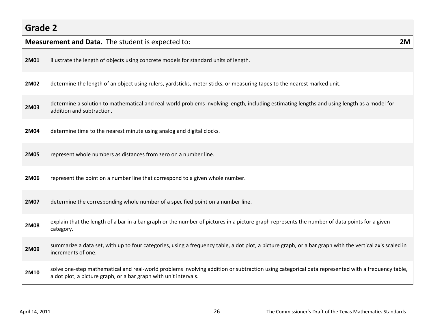|      | <b>Measurement and Data.</b> The student is expected to:                                                                                                                                                             | 2M |
|------|----------------------------------------------------------------------------------------------------------------------------------------------------------------------------------------------------------------------|----|
| 2M01 | illustrate the length of objects using concrete models for standard units of length.                                                                                                                                 |    |
| 2M02 | determine the length of an object using rulers, yardsticks, meter sticks, or measuring tapes to the nearest marked unit.                                                                                             |    |
| 2M03 | determine a solution to mathematical and real-world problems involving length, including estimating lengths and using length as a model for<br>addition and subtraction.                                             |    |
| 2M04 | determine time to the nearest minute using analog and digital clocks.                                                                                                                                                |    |
| 2M05 | represent whole numbers as distances from zero on a number line.                                                                                                                                                     |    |
| 2M06 | represent the point on a number line that correspond to a given whole number.                                                                                                                                        |    |
| 2M07 | determine the corresponding whole number of a specified point on a number line.                                                                                                                                      |    |
| 2M08 | explain that the length of a bar in a bar graph or the number of pictures in a picture graph represents the number of data points for a given<br>category.                                                           |    |
| 2M09 | summarize a data set, with up to four categories, using a frequency table, a dot plot, a picture graph, or a bar graph with the vertical axis scaled in<br>increments of one.                                        |    |
| 2M10 | solve one-step mathematical and real-world problems involving addition or subtraction using categorical data represented with a frequency table,<br>a dot plot, a picture graph, or a bar graph with unit intervals. |    |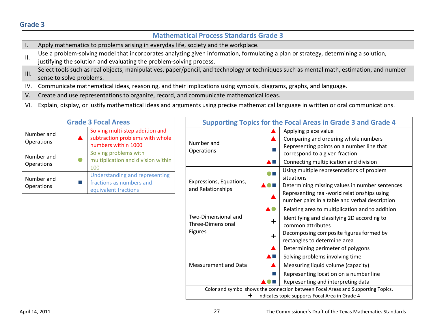### **Mathematical Process Standards Grade 3**

- I. Apply mathematics to problems arising in everyday life, society and the workplace.
- II. Use a problem-solving model that incorporates analyzing given information, formulating a plan or strategy, determining a solution, justifying the solution and evaluating the problem-solving process.
- III. Select tools such as real objects, manipulatives, paper/pencil, and technology or techniques such as mental math, estimation, and number sense to solve problems.
- IV. Communicate mathematical ideas, reasoning, and their implications using symbols, diagrams, graphs, and language.
- V. Create and use representations to organize, record, and communicate mathematical ideas.
- VI. Explain, display, or justify mathematical ideas and arguments using precise mathematical language in written or oral communications.

| <b>Grade 3 Focal Areas</b> |  |                                                                                           |  |  |
|----------------------------|--|-------------------------------------------------------------------------------------------|--|--|
| Number and<br>Operations   |  | Solving multi-step addition and<br>subtraction problems with whole<br>numbers within 1000 |  |  |
| Number and<br>Operations   |  | Solving problems with<br>multiplication and division within<br>100                        |  |  |
| Number and<br>Operations   |  | Understanding and representing<br>fractions as numbers and<br>equivalent fractions        |  |  |

| <b>Supporting Topics for the Focal Areas in Grade 3 and Grade 4</b>                                                                     |                |                                                                                                                                                                                                |  |  |  |
|-----------------------------------------------------------------------------------------------------------------------------------------|----------------|------------------------------------------------------------------------------------------------------------------------------------------------------------------------------------------------|--|--|--|
| Number and<br>Operations                                                                                                                |                | Applying place value<br>Comparing and ordering whole numbers<br>Representing points on a number line that<br>correspond to a given fraction                                                    |  |  |  |
|                                                                                                                                         |                | Connecting multiplication and division<br>Using multiple representations of problem<br>situations                                                                                              |  |  |  |
| Expressions, Equations,<br>and Relationships                                                                                            |                | Determining missing values in number sentences<br>Representing real-world relationships using<br>number pairs in a table and verbal description                                                |  |  |  |
| Two-Dimensional and<br>Three-Dimensional<br><b>Figures</b>                                                                              | $\div$<br>╈    | Relating area to multiplication and to addition<br>Identifying and classifying 2D according to<br>common attributes<br>Decomposing composite figures formed by<br>rectangles to determine area |  |  |  |
| <b>Measurement and Data</b>                                                                                                             | $\blacksquare$ | Determining perimeter of polygons<br>Solving problems involving time<br>Measuring liquid volume (capacity)<br>Representing location on a number line<br>Representing and interpreting data     |  |  |  |
| Color and symbol shows the connection between Focal Areas and Supporting Topics.<br>Indicates topic supports Focal Area in Grade 4<br>╈ |                |                                                                                                                                                                                                |  |  |  |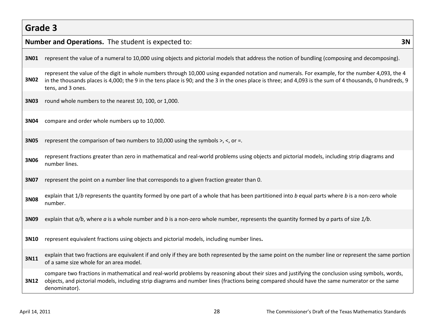|      | Number and Operations. The student is expected to:<br>3N                                                                                                                                                                                                                                                                          |  |  |  |  |  |
|------|-----------------------------------------------------------------------------------------------------------------------------------------------------------------------------------------------------------------------------------------------------------------------------------------------------------------------------------|--|--|--|--|--|
| 3N01 | represent the value of a numeral to 10,000 using objects and pictorial models that address the notion of bundling (composing and decomposing).                                                                                                                                                                                    |  |  |  |  |  |
| 3N02 | represent the value of the digit in whole numbers through 10,000 using expanded notation and numerals. For example, for the number 4,093, the 4<br>in the thousands places is 4,000; the 9 in the tens place is 90; and the 3 in the ones place is three; and 4,093 is the sum of 4 thousands, 0 hundreds, 9<br>tens, and 3 ones. |  |  |  |  |  |
| 3N03 | round whole numbers to the nearest 10, 100, or 1,000.                                                                                                                                                                                                                                                                             |  |  |  |  |  |
| 3N04 | compare and order whole numbers up to 10,000.                                                                                                                                                                                                                                                                                     |  |  |  |  |  |
| 3N05 | represent the comparison of two numbers to 10,000 using the symbols $>$ , $<$ , or =.                                                                                                                                                                                                                                             |  |  |  |  |  |
| 3N06 | represent fractions greater than zero in mathematical and real-world problems using objects and pictorial models, including strip diagrams and<br>number lines.                                                                                                                                                                   |  |  |  |  |  |
| 3N07 | represent the point on a number line that corresponds to a given fraction greater than 0.                                                                                                                                                                                                                                         |  |  |  |  |  |
| 3N08 | explain that 1/b represents the quantity formed by one part of a whole that has been partitioned into b equal parts where b is a non-zero whole<br>number.                                                                                                                                                                        |  |  |  |  |  |
| 3N09 | explain that $a/b$ , where a is a whole number and b is a non-zero whole number, represents the quantity formed by a parts of size $1/b$ .                                                                                                                                                                                        |  |  |  |  |  |
| 3N10 | represent equivalent fractions using objects and pictorial models, including number lines.                                                                                                                                                                                                                                        |  |  |  |  |  |
| 3N11 | explain that two fractions are equivalent if and only if they are both represented by the same point on the number line or represent the same portion<br>of a same size whole for an area model.                                                                                                                                  |  |  |  |  |  |
| 3N12 | compare two fractions in mathematical and real-world problems by reasoning about their sizes and justifying the conclusion using symbols, words,<br>objects, and pictorial models, including strip diagrams and number lines (fractions being compared should have the same numerator or the same<br>denominator).                |  |  |  |  |  |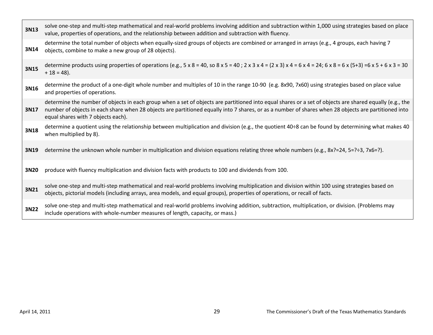| 3N13 | solve one-step and multi-step mathematical and real-world problems involving addition and subtraction within 1,000 using strategies based on place<br>value, properties of operations, and the relationship between addition and subtraction with fluency.                                                                                            |
|------|-------------------------------------------------------------------------------------------------------------------------------------------------------------------------------------------------------------------------------------------------------------------------------------------------------------------------------------------------------|
| 3N14 | determine the total number of objects when equally-sized groups of objects are combined or arranged in arrays (e.g., 4 groups, each having 7<br>objects, combine to make a new group of 28 objects).                                                                                                                                                  |
| 3N15 | determine products using properties of operations (e.g., $5 \times 8 = 40$ , so $8 \times 5 = 40$ ; $2 \times 3 \times 4 = (2 \times 3) \times 4 = 6 \times 4 = 24$ ; $6 \times 8 = 6 \times (5+3) = 6 \times 5 + 6 \times 3 = 30$<br>$+ 18 = 48$ ).                                                                                                  |
| 3N16 | determine the product of a one-digit whole number and multiples of 10 in the range 10-90 (e.g. 8x90, 7x60) using strategies based on place value<br>and properties of operations.                                                                                                                                                                     |
| 3N17 | determine the number of objects in each group when a set of objects are partitioned into equal shares or a set of objects are shared equally (e.g., the<br>number of objects in each share when 28 objects are partitioned equally into 7 shares, or as a number of shares when 28 objects are partitioned into<br>equal shares with 7 objects each). |
| 3N18 | determine a quotient using the relationship between multiplication and division (e.g., the quotient 40÷8 can be found by determining what makes 40<br>when multiplied by 8).                                                                                                                                                                          |
| 3N19 | determine the unknown whole number in multiplication and division equations relating three whole numbers (e.g., 8x?=24, 5=?÷3, 7x6=?).                                                                                                                                                                                                                |
| 3N20 | produce with fluency multiplication and division facts with products to 100 and dividends from 100.                                                                                                                                                                                                                                                   |
| 3N21 | solve one-step and multi-step mathematical and real-world problems involving multiplication and division within 100 using strategies based on<br>objects, pictorial models (including arrays, area models, and equal groups), properties of operations, or recall of facts.                                                                           |
| 3N22 | solve one-step and multi-step mathematical and real-world problems involving addition, subtraction, multiplication, or division. (Problems may<br>include operations with whole-number measures of length, capacity, or mass.)                                                                                                                        |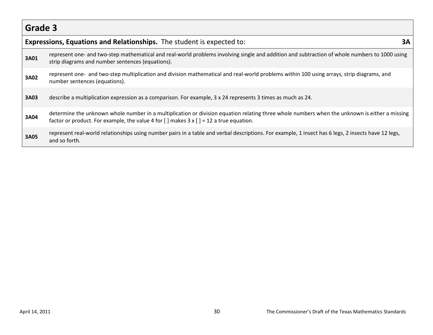|      | Expressions, Equations and Relationships. The student is expected to:                                                                                                                                                                                                        | ЗΑ |
|------|------------------------------------------------------------------------------------------------------------------------------------------------------------------------------------------------------------------------------------------------------------------------------|----|
| 3A01 | represent one- and two-step mathematical and real-world problems involving single and addition and subtraction of whole numbers to 1000 using<br>strip diagrams and number sentences (equations).                                                                            |    |
| 3A02 | represent one- and two-step multiplication and division mathematical and real-world problems within 100 using arrays, strip diagrams, and<br>number sentences (equations).                                                                                                   |    |
| 3A03 | describe a multiplication expression as a comparison. For example, $3 \times 24$ represents 3 times as much as 24.                                                                                                                                                           |    |
| 3A04 | determine the unknown whole number in a multiplication or division equation relating three whole numbers when the unknown is either a missing<br>factor or product. For example, the value 4 for $\lceil \cdot \rceil$ makes 3 x $\lceil \cdot \rceil$ = 12 a true equation. |    |
| 3A05 | represent real-world relationships using number pairs in a table and verbal descriptions. For example, 1 insect has 6 legs, 2 insects have 12 legs,<br>and so forth.                                                                                                         |    |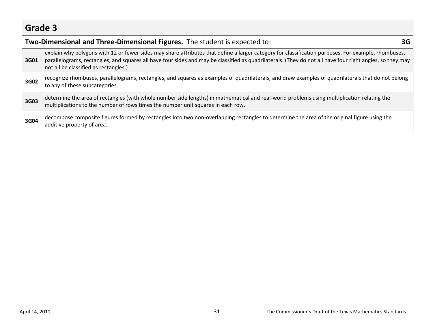|      | Two-Dimensional and Three-Dimensional Figures. The student is expected to:                                                                                                                                                                                                                                                                                | 3G |
|------|-----------------------------------------------------------------------------------------------------------------------------------------------------------------------------------------------------------------------------------------------------------------------------------------------------------------------------------------------------------|----|
| 3G01 | explain why polygons with 12 or fewer sides may share attributes that define a larger category for classification purposes. For example, rhombuses,<br>parallelograms, rectangles, and squares all have four sides and may be classified as quadrilaterals. (They do not all have four right angles, so they may<br>not all be classified as rectangles.) |    |
| 3G02 | recognize rhombuses, parallelograms, rectangles, and squares as examples of quadrilaterals, and draw examples of quadrilaterals that do not belong<br>to any of these subcategories.                                                                                                                                                                      |    |
| 3G03 | determine the area of rectangles (with whole number side lengths) in mathematical and real-world problems using multiplication relating the<br>multiplications to the number of rows times the number unit squares in each row.                                                                                                                           |    |
| 3G04 | decompose composite figures formed by rectangles into two non-overlapping rectangles to determine the area of the original figure using the<br>additive property of area.                                                                                                                                                                                 |    |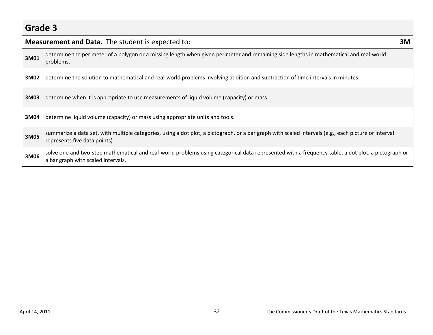|      | Measurement and Data. The student is expected to:                                                                                                                                        | 3M |
|------|------------------------------------------------------------------------------------------------------------------------------------------------------------------------------------------|----|
| 3M01 | determine the perimeter of a polygon or a missing length when given perimeter and remaining side lengths in mathematical and real-world<br>problems.                                     |    |
| 3M02 | determine the solution to mathematical and real-world problems involving addition and subtraction of time intervals in minutes.                                                          |    |
| 3M03 | determine when it is appropriate to use measurements of liquid volume (capacity) or mass.                                                                                                |    |
| 3M04 | determine liquid volume (capacity) or mass using appropriate units and tools.                                                                                                            |    |
| 3M05 | summarize a data set, with multiple categories, using a dot plot, a pictograph, or a bar graph with scaled intervals (e.g., each picture or interval<br>represents five data points).    |    |
| 3M06 | solve one and two-step mathematical and real-world problems using categorical data represented with a frequency table, a dot plot, a pictograph or<br>a bar graph with scaled intervals. |    |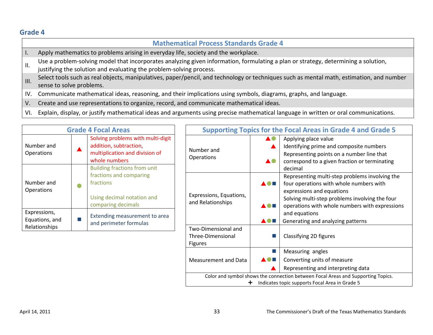|                 | <b>Mathematical Process Standards Grade 4</b>                                                                                                                                                             |
|-----------------|-----------------------------------------------------------------------------------------------------------------------------------------------------------------------------------------------------------|
| Ι.              | Apply mathematics to problems arising in everyday life, society and the workplace.                                                                                                                        |
| Ш.              | Use a problem-solving model that incorporates analyzing given information, formulating a plan or strategy, determining a solution,<br>justifying the solution and evaluating the problem-solving process. |
| $\mathsf{III}.$ | Select tools such as real objects, manipulatives, paper/pencil, and technology or techniques such as mental math, estimation, and number<br>sense to solve problems.                                      |
| IV.             | Communicate mathematical ideas, reasoning, and their implications using symbols, diagrams, graphs, and language.                                                                                          |
| V.              | Create and use representations to organize, record, and communicate mathematical ideas.                                                                                                                   |

VI. Explain, display, or justify mathematical ideas and arguments using precise mathematical language in written or oral communications.

| <b>Grade 4 Focal Areas</b>                      |           | <b>Supporting Topics for the Focal Areas in Grade 4 and Grade 5</b>                                                             |                                                            |                |                                                                                                                                                                                                                                       |
|-------------------------------------------------|-----------|---------------------------------------------------------------------------------------------------------------------------------|------------------------------------------------------------|----------------|---------------------------------------------------------------------------------------------------------------------------------------------------------------------------------------------------------------------------------------|
| Number and<br><b>Operations</b>                 |           | Solving problems with multi-digit<br>addition, subtraction,<br>multiplication and division of<br>whole numbers                  | Number and<br>Operations                                   | A0<br>AO.      | Applying place value<br>Identifying prime and composite numbers<br>Representing points on a number line that<br>correspond to a given fraction or terminating                                                                         |
| Number and<br><b>Operations</b>                 | $\bullet$ | <b>Building fractions from unit</b><br>fractions and comparing<br>fractions<br>Using decimal notation and<br>comparing decimals | Expressions, Equations,<br>and Relationships               | A O E<br>A O H | decimal<br>Representing multi-step problems involving the<br>four operations with whole numbers with<br>expressions and equations<br>Solving multi-step problems involving the four<br>operations with whole numbers with expressions |
| Expressions,<br>Equations, and<br>Relationships | m.        | Extending measurement to area<br>and perimeter formulas                                                                         |                                                            | <b>AOH</b>     | and equations<br>Generating and analyzing patterns                                                                                                                                                                                    |
|                                                 |           |                                                                                                                                 | Two-Dimensional and<br>Three-Dimensional<br><b>Figures</b> |                | Classifying 2D figures                                                                                                                                                                                                                |
|                                                 |           |                                                                                                                                 | Measurement and Data                                       | A O E          | Measuring angles<br>Converting units of measure<br>Representing and interpreting data                                                                                                                                                 |
|                                                 |           |                                                                                                                                 |                                                            |                | Color and symbol shows the connection between Focal Areas and Supporting Topics.<br>Indicates topic supports Focal Area in Grade 5                                                                                                    |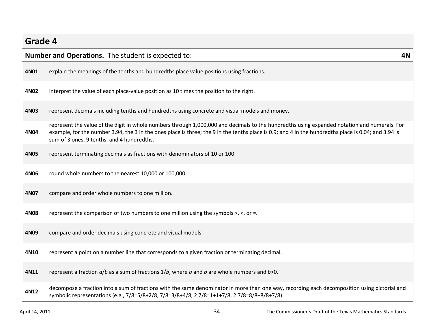|      | <b>Number and Operations.</b> The student is expected to:                                                                                                                                                                                                                                                                                          | 4N |
|------|----------------------------------------------------------------------------------------------------------------------------------------------------------------------------------------------------------------------------------------------------------------------------------------------------------------------------------------------------|----|
| 4N01 | explain the meanings of the tenths and hundredths place value positions using fractions.                                                                                                                                                                                                                                                           |    |
| 4N02 | interpret the value of each place-value position as 10 times the position to the right.                                                                                                                                                                                                                                                            |    |
| 4N03 | represent decimals including tenths and hundredths using concrete and visual models and money.                                                                                                                                                                                                                                                     |    |
| 4N04 | represent the value of the digit in whole numbers through 1,000,000 and decimals to the hundredths using expanded notation and numerals. For<br>example, for the number 3.94, the 3 in the ones place is three; the 9 in the tenths place is 0.9; and 4 in the hundredths place is 0.04; and 3.94 is<br>sum of 3 ones, 9 tenths, and 4 hundredths. |    |
| 4N05 | represent terminating decimals as fractions with denominators of 10 or 100.                                                                                                                                                                                                                                                                        |    |
| 4N06 | round whole numbers to the nearest 10,000 or 100,000.                                                                                                                                                                                                                                                                                              |    |
| 4N07 | compare and order whole numbers to one million.                                                                                                                                                                                                                                                                                                    |    |
| 4N08 | represent the comparison of two numbers to one million using the symbols $>$ , $\lt$ , or =.                                                                                                                                                                                                                                                       |    |
| 4N09 | compare and order decimals using concrete and visual models.                                                                                                                                                                                                                                                                                       |    |
| 4N10 | represent a point on a number line that corresponds to a given fraction or terminating decimal.                                                                                                                                                                                                                                                    |    |
| 4N11 | represent a fraction $a/b$ as a sum of fractions $1/b$ , where $a$ and $b$ are whole numbers and $b>0$ .                                                                                                                                                                                                                                           |    |
| 4N12 | decompose a fraction into a sum of fractions with the same denominator in more than one way, recording each decomposition using pictorial and<br>symbolic representations (e.g., 7/8=5/8+2/8, 7/8=3/8+4/8, 27/8=1+1+7/8, 27/8=8/8+8/8+7/8).                                                                                                        |    |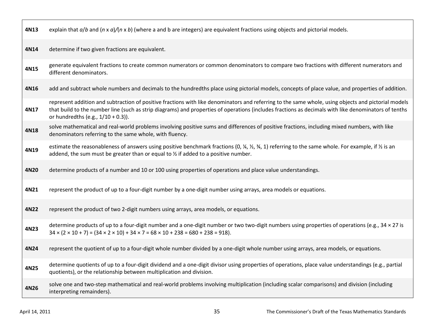| 4N13 | explain that $a/b$ and $(n \times a)/(n \times b)$ (where a and b are integers) are equivalent fractions using objects and pictorial models.                                                                                                                                                                                                        |
|------|-----------------------------------------------------------------------------------------------------------------------------------------------------------------------------------------------------------------------------------------------------------------------------------------------------------------------------------------------------|
| 4N14 | determine if two given fractions are equivalent.                                                                                                                                                                                                                                                                                                    |
| 4N15 | generate equivalent fractions to create common numerators or common denominators to compare two fractions with different numerators and<br>different denominators.                                                                                                                                                                                  |
| 4N16 | add and subtract whole numbers and decimals to the hundredths place using pictorial models, concepts of place value, and properties of addition.                                                                                                                                                                                                    |
| 4N17 | represent addition and subtraction of positive fractions with like denominators and referring to the same whole, using objects and pictorial models<br>that build to the number line (such as strip diagrams) and properties of operations (includes fractions as decimals with like denominators of tenths<br>or hundredths (e.g., $1/10 + 0.3$ ). |
| 4N18 | solve mathematical and real-world problems involving positive sums and differences of positive fractions, including mixed numbers, with like<br>denominators referring to the same whole, with fluency.                                                                                                                                             |
| 4N19 | estimate the reasonableness of answers using positive benchmark fractions (0, $\frac{1}{4}$ , $\frac{1}{2}$ , $\frac{3}{4}$ , 1) referring to the same whole. For example, if $\frac{1}{2}$ is an<br>addend, the sum must be greater than or equal to $\frac{1}{2}$ if added to a positive number.                                                  |
| 4N20 | determine products of a number and 10 or 100 using properties of operations and place value understandings.                                                                                                                                                                                                                                         |
| 4N21 | represent the product of up to a four-digit number by a one-digit number using arrays, area models or equations.                                                                                                                                                                                                                                    |
| 4N22 | represent the product of two 2-digit numbers using arrays, area models, or equations.                                                                                                                                                                                                                                                               |
| 4N23 | determine products of up to a four-digit number and a one-digit number or two two-digit numbers using properties of operations (e.g., 34 × 27 is<br>$34 \times (2 \times 10 + 7) = (34 \times 2 \times 10) + 34 \times 7 = 68 \times 10 + 238 = 680 + 238 = 918$ .                                                                                  |
| 4N24 | represent the quotient of up to a four-digit whole number divided by a one-digit whole number using arrays, area models, or equations.                                                                                                                                                                                                              |
| 4N25 | determine quotients of up to a four-digit dividend and a one-digit divisor using properties of operations, place value understandings (e.g., partial<br>quotients), or the relationship between multiplication and division.                                                                                                                        |
| 4N26 | solve one and two-step mathematical and real-world problems involving multiplication (including scalar comparisons) and division (including<br>interpreting remainders).                                                                                                                                                                            |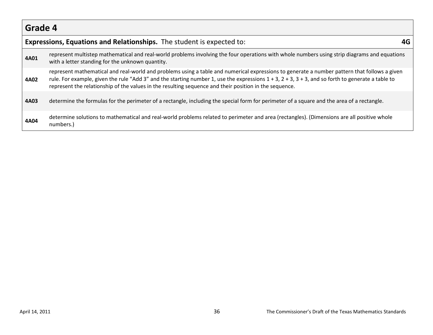|      | Expressions, Equations and Relationships. The student is expected to:                                                                                                                                                                                                                                                                                                                                                |  |  |  |  |
|------|----------------------------------------------------------------------------------------------------------------------------------------------------------------------------------------------------------------------------------------------------------------------------------------------------------------------------------------------------------------------------------------------------------------------|--|--|--|--|
| 4A01 | represent multistep mathematical and real-world problems involving the four operations with whole numbers using strip diagrams and equations<br>with a letter standing for the unknown quantity.                                                                                                                                                                                                                     |  |  |  |  |
| 4A02 | represent mathematical and real-world and problems using a table and numerical expressions to generate a number pattern that follows a given<br>rule. For example, given the rule "Add 3" and the starting number 1, use the expressions $1 + 3$ , $2 + 3$ , $3 + 3$ , and so forth to generate a table to<br>represent the relationship of the values in the resulting sequence and their position in the sequence. |  |  |  |  |
| 4A03 | determine the formulas for the perimeter of a rectangle, including the special form for perimeter of a square and the area of a rectangle.                                                                                                                                                                                                                                                                           |  |  |  |  |
| 4A04 | determine solutions to mathematical and real-world problems related to perimeter and area (rectangles). (Dimensions are all positive whole<br>numbers.)                                                                                                                                                                                                                                                              |  |  |  |  |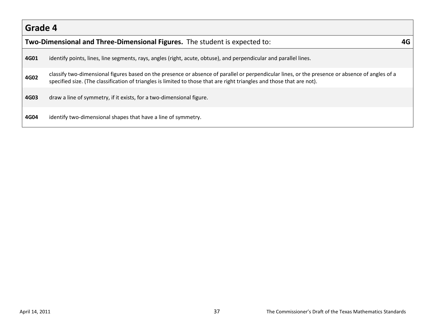|      | Two-Dimensional and Three-Dimensional Figures. The student is expected to:                                                                                                                                                                                                |  |  |  |
|------|---------------------------------------------------------------------------------------------------------------------------------------------------------------------------------------------------------------------------------------------------------------------------|--|--|--|
| 4G01 | identify points, lines, line segments, rays, angles (right, acute, obtuse), and perpendicular and parallel lines.                                                                                                                                                         |  |  |  |
| 4G02 | classify two-dimensional figures based on the presence or absence of parallel or perpendicular lines, or the presence or absence of angles of a<br>specified size. (The classification of triangles is limited to those that are right triangles and those that are not). |  |  |  |
| 4G03 | draw a line of symmetry, if it exists, for a two-dimensional figure.                                                                                                                                                                                                      |  |  |  |
| 4G04 | identify two-dimensional shapes that have a line of symmetry.                                                                                                                                                                                                             |  |  |  |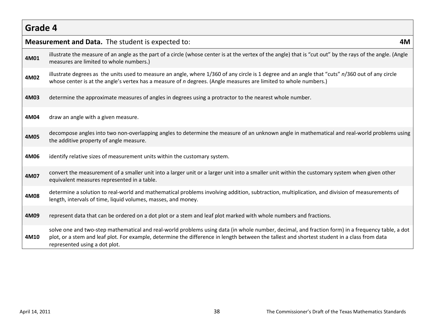|      | <b>Measurement and Data.</b> The student is expected to:<br>4M                                                                                                                                                                                                                                                                    |  |  |  |  |
|------|-----------------------------------------------------------------------------------------------------------------------------------------------------------------------------------------------------------------------------------------------------------------------------------------------------------------------------------|--|--|--|--|
| 4M01 | illustrate the measure of an angle as the part of a circle (whose center is at the vertex of the angle) that is "cut out" by the rays of the angle. (Angle<br>measures are limited to whole numbers.)                                                                                                                             |  |  |  |  |
| 4M02 | illustrate degrees as the units used to measure an angle, where 1/360 of any circle is 1 degree and an angle that "cuts" n/360 out of any circle<br>whose center is at the angle's vertex has a measure of <i>n</i> degrees. (Angle measures are limited to whole numbers.)                                                       |  |  |  |  |
| 4M03 | determine the approximate measures of angles in degrees using a protractor to the nearest whole number.                                                                                                                                                                                                                           |  |  |  |  |
| 4M04 | draw an angle with a given measure.                                                                                                                                                                                                                                                                                               |  |  |  |  |
| 4M05 | decompose angles into two non-overlapping angles to determine the measure of an unknown angle in mathematical and real-world problems using<br>the additive property of angle measure.                                                                                                                                            |  |  |  |  |
| 4M06 | identify relative sizes of measurement units within the customary system.                                                                                                                                                                                                                                                         |  |  |  |  |
| 4M07 | convert the measurement of a smaller unit into a larger unit or a larger unit into a smaller unit within the customary system when given other<br>equivalent measures represented in a table.                                                                                                                                     |  |  |  |  |
| 4M08 | determine a solution to real-world and mathematical problems involving addition, subtraction, multiplication, and division of measurements of<br>length, intervals of time, liquid volumes, masses, and money.                                                                                                                    |  |  |  |  |
| 4M09 | represent data that can be ordered on a dot plot or a stem and leaf plot marked with whole numbers and fractions.                                                                                                                                                                                                                 |  |  |  |  |
| 4M10 | solve one and two-step mathematical and real-world problems using data (in whole number, decimal, and fraction form) in a frequency table, a dot<br>plot, or a stem and leaf plot. For example, determine the difference in length between the tallest and shortest student in a class from data<br>represented using a dot plot. |  |  |  |  |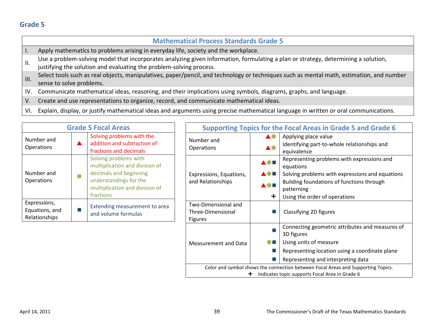|             | <b>Mathematical Process Standards Grade 5</b>                                                                                                                                                             |
|-------------|-----------------------------------------------------------------------------------------------------------------------------------------------------------------------------------------------------------|
|             | Apply mathematics to problems arising in everyday life, society and the workplace.                                                                                                                        |
| Ш.          | Use a problem-solving model that incorporates analyzing given information, formulating a plan or strategy, determining a solution,<br>justifying the solution and evaluating the problem-solving process. |
|             | Select tools such as real objects, manipulatives, paper/pencil, and technology or techniques such as mental math, estimation, and number<br>sense to solve problems.                                      |
| IV.         | Communicate mathematical ideas, reasoning, and their implications using symbols, diagrams, graphs, and language.                                                                                          |
| $V_{\cdot}$ | Create and use representations to organize, record, and communicate mathematical ideas.                                                                                                                   |

- V.
- VI. Explain, display, or justify mathematical ideas and arguments using precise mathematical language in written or oral communications.

| <b>Grade 5 Focal Areas</b>                                        |  | <b>Supporting Topics for the Focal Areas in Grade 5 and Grade 6</b>                                                                                                                         |                                                                     |                                 |                                                                                                                                                                                                        |
|-------------------------------------------------------------------|--|---------------------------------------------------------------------------------------------------------------------------------------------------------------------------------------------|---------------------------------------------------------------------|---------------------------------|--------------------------------------------------------------------------------------------------------------------------------------------------------------------------------------------------------|
| Number and<br><b>Operations</b>                                   |  | Solving problems with the<br>addition and subtraction of<br>fractions and decimals                                                                                                          | Number and<br><b>Operations</b>                                     | AO<br>AO.                       | Applying place value<br>Identifying part-to-whole relationships and<br>equivalence                                                                                                                     |
| Number and<br><b>Operations</b><br>Expressions,<br>Equations, and |  | Solving problems with<br>multiplication and division of<br>decimals and beginning<br>understandings for the<br>multiplication and division of<br>fractions<br>Extending measurement to area | Expressions, Equations,<br>and Relationships<br>Two-Dimensional and | <b>AON</b><br>▲●■<br><b>AOH</b> | Representing problems with expressions and<br>equations<br>Solving problems with expressions and equations<br>Building foundations of functions through<br>patterning<br>Using the order of operations |
| Relationships                                                     |  | and volume formulas                                                                                                                                                                         | Three-Dimensional<br><b>Figures</b>                                 |                                 | Classifying 2D figures                                                                                                                                                                                 |
|                                                                   |  |                                                                                                                                                                                             |                                                                     |                                 | Connecting geometric attributes and measures of<br>3D figures                                                                                                                                          |
|                                                                   |  |                                                                                                                                                                                             | Measurement and Data                                                | $\bullet$ E                     | Using units of measure                                                                                                                                                                                 |
|                                                                   |  |                                                                                                                                                                                             |                                                                     |                                 | Representing location using a coordinate plane                                                                                                                                                         |
|                                                                   |  |                                                                                                                                                                                             |                                                                     |                                 | Representing and interpreting data                                                                                                                                                                     |
|                                                                   |  |                                                                                                                                                                                             | +                                                                   |                                 | Color and symbol shows the connection between Focal Areas and Supporting Topics.<br>Indicates topic supports Focal Area in Grade 6                                                                     |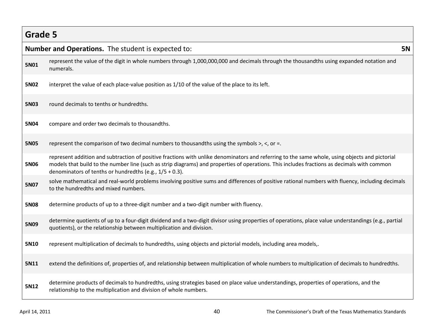|             | <b>Number and Operations.</b> The student is expected to:                                                                                                                                                                                                                                                                                                   | <b>5N</b> |
|-------------|-------------------------------------------------------------------------------------------------------------------------------------------------------------------------------------------------------------------------------------------------------------------------------------------------------------------------------------------------------------|-----------|
| <b>5N01</b> | represent the value of the digit in whole numbers through 1,000,000,000 and decimals through the thousandths using expanded notation and<br>numerals.                                                                                                                                                                                                       |           |
| <b>5N02</b> | interpret the value of each place-value position as 1/10 of the value of the place to its left.                                                                                                                                                                                                                                                             |           |
| <b>5N03</b> | round decimals to tenths or hundredths.                                                                                                                                                                                                                                                                                                                     |           |
| 5N04        | compare and order two decimals to thousandths.                                                                                                                                                                                                                                                                                                              |           |
| <b>5N05</b> | represent the comparison of two decimal numbers to thousandths using the symbols $>$ , $\lt$ , or =.                                                                                                                                                                                                                                                        |           |
| <b>5N06</b> | represent addition and subtraction of positive fractions with unlike denominators and referring to the same whole, using objects and pictorial<br>models that build to the number line (such as strip diagrams) and properties of operations. This includes fractions as decimals with common<br>denominators of tenths or hundredths (e.g., $1/5 + 0.3$ ). |           |
| <b>5N07</b> | solve mathematical and real-world problems involving positive sums and differences of positive rational numbers with fluency, including decimals<br>to the hundredths and mixed numbers.                                                                                                                                                                    |           |
| <b>5N08</b> | determine products of up to a three-digit number and a two-digit number with fluency.                                                                                                                                                                                                                                                                       |           |
| 5N09        | determine quotients of up to a four-digit dividend and a two-digit divisor using properties of operations, place value understandings (e.g., partial<br>quotients), or the relationship between multiplication and division.                                                                                                                                |           |
| 5N10        | represent multiplication of decimals to hundredths, using objects and pictorial models, including area models,.                                                                                                                                                                                                                                             |           |
| 5N11        | extend the definitions of, properties of, and relationship between multiplication of whole numbers to multiplication of decimals to hundredths.                                                                                                                                                                                                             |           |
| 5N12        | determine products of decimals to hundredths, using strategies based on place value understandings, properties of operations, and the<br>relationship to the multiplication and division of whole numbers.                                                                                                                                                  |           |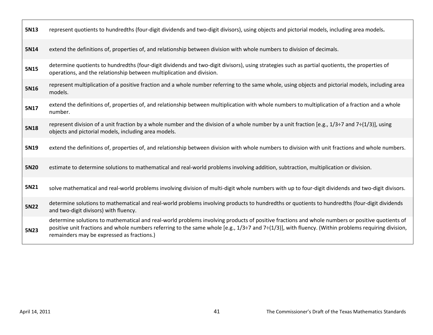| 5N13 | represent quotients to hundredths (four-digit dividends and two-digit divisors), using objects and pictorial models, including area models.                                                                                                                                                                                                               |
|------|-----------------------------------------------------------------------------------------------------------------------------------------------------------------------------------------------------------------------------------------------------------------------------------------------------------------------------------------------------------|
| 5N14 | extend the definitions of, properties of, and relationship between division with whole numbers to division of decimals.                                                                                                                                                                                                                                   |
| 5N15 | determine quotients to hundredths (four-digit dividends and two-digit divisors), using strategies such as partial quotients, the properties of<br>operations, and the relationship between multiplication and division.                                                                                                                                   |
| 5N16 | represent multiplication of a positive fraction and a whole number referring to the same whole, using objects and pictorial models, including area<br>models.                                                                                                                                                                                             |
| 5N17 | extend the definitions of, properties of, and relationship between multiplication with whole numbers to multiplication of a fraction and a whole<br>number.                                                                                                                                                                                               |
| 5N18 | represent division of a unit fraction by a whole number and the division of a whole number by a unit fraction [e.g., $1/3 \div 7$ and $7 \div (1/3)$ ], using<br>objects and pictorial models, including area models.                                                                                                                                     |
| 5N19 | extend the definitions of, properties of, and relationship between division with whole numbers to division with unit fractions and whole numbers.                                                                                                                                                                                                         |
| 5N20 | estimate to determine solutions to mathematical and real-world problems involving addition, subtraction, multiplication or division.                                                                                                                                                                                                                      |
| 5N21 | solve mathematical and real-world problems involving division of multi-digit whole numbers with up to four-digit dividends and two-digit divisors.                                                                                                                                                                                                        |
| 5N22 | determine solutions to mathematical and real-world problems involving products to hundredths or quotients to hundredths (four-digit dividends<br>and two-digit divisors) with fluency.                                                                                                                                                                    |
| 5N23 | determine solutions to mathematical and real-world problems involving products of positive fractions and whole numbers or positive quotients of<br>positive unit fractions and whole numbers referring to the same whole [e.g., $1/3+7$ and $7+(1/3)$ ], with fluency. (Within problems requiring division,<br>remainders may be expressed as fractions.) |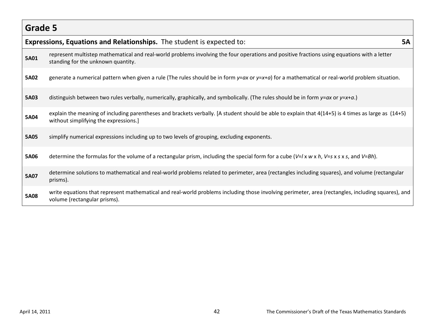|             | Expressions, Equations and Relationships. The student is expected to:                                                                                                                        | <b>5A</b> |
|-------------|----------------------------------------------------------------------------------------------------------------------------------------------------------------------------------------------|-----------|
| 5A01        | represent multistep mathematical and real-world problems involving the four operations and positive fractions using equations with a letter<br>standing for the unknown quantity.            |           |
| 5A02        | generate a numerical pattern when given a rule (The rules should be in form $y = ax$ or $y = x + a$ ) for a mathematical or real-world problem situation.                                    |           |
| <b>5A03</b> | distinguish between two rules verbally, numerically, graphically, and symbolically. (The rules should be in form $y=x+\alpha$ .)                                                             |           |
| 5A04        | explain the meaning of including parentheses and brackets verbally. [A student should be able to explain that 4(14+5) is 4 times as large as (14+5)<br>without simplifying the expressions.] |           |
| <b>5A05</b> | simplify numerical expressions including up to two levels of grouping, excluding exponents.                                                                                                  |           |
| <b>5A06</b> | determine the formulas for the volume of a rectangular prism, including the special form for a cube ( $V=1 \times w \times h$ , $V=s \times s \times s$ , and $V=Bh$ ).                      |           |
| 5A07        | determine solutions to mathematical and real-world problems related to perimeter, area (rectangles including squares), and volume (rectangular<br>prisms).                                   |           |
| 5A08        | write equations that represent mathematical and real-world problems including those involving perimeter, area (rectangles, including squares), and<br>volume (rectangular prisms).           |           |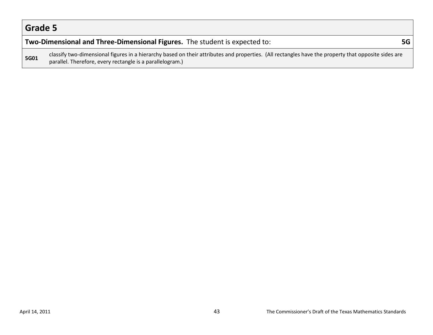#### **Two-Dimensional and Three-Dimensional Figures.** The student is expected to: **5G**

**5G01** classify two-dimensional figures in a hierarchy based on their attributes and properties. (All rectangles have the property that opposite sides are parallel. Therefore, every rectangle is a parallelogram.)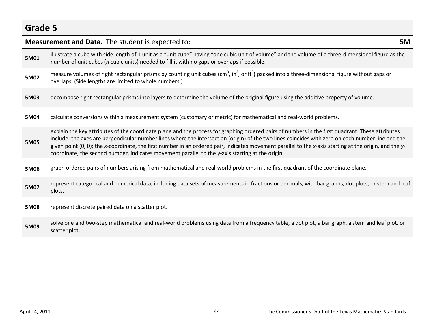|             | <b>Measurement and Data.</b> The student is expected to:                                                                                                                                                                                                                                                                                                                                                                                                                                                                                                             | <b>5M</b> |
|-------------|----------------------------------------------------------------------------------------------------------------------------------------------------------------------------------------------------------------------------------------------------------------------------------------------------------------------------------------------------------------------------------------------------------------------------------------------------------------------------------------------------------------------------------------------------------------------|-----------|
| 5M01        | illustrate a cube with side length of 1 unit as a "unit cube" having "one cubic unit of volume" and the volume of a three-dimensional figure as the<br>number of unit cubes (n cubic units) needed to fill it with no gaps or overlaps if possible.                                                                                                                                                                                                                                                                                                                  |           |
| 5M02        | measure volumes of right rectangular prisms by counting unit cubes (cm <sup>3</sup> , in <sup>3</sup> , or ft <sup>3</sup> ) packed into a three-dimensional figure without gaps or<br>overlaps. (Side lengths are limited to whole numbers.)                                                                                                                                                                                                                                                                                                                        |           |
| 5M03        | decompose right rectangular prisms into layers to determine the volume of the original figure using the additive property of volume.                                                                                                                                                                                                                                                                                                                                                                                                                                 |           |
| 5M04        | calculate conversions within a measurement system (customary or metric) for mathematical and real-world problems.                                                                                                                                                                                                                                                                                                                                                                                                                                                    |           |
| <b>5M05</b> | explain the key attributes of the coordinate plane and the process for graphing ordered pairs of numbers in the first quadrant. These attributes<br>include: the axes are perpendicular number lines where the intersection (origin) of the two lines coincides with zero on each number line and the<br>given point (0, 0); the x-coordinate, the first number in an ordered pair, indicates movement parallel to the x-axis starting at the origin, and the y-<br>coordinate, the second number, indicates movement parallel to the y-axis starting at the origin. |           |
| 5M06        | graph ordered pairs of numbers arising from mathematical and real-world problems in the first quadrant of the coordinate plane.                                                                                                                                                                                                                                                                                                                                                                                                                                      |           |
| 5M07        | represent categorical and numerical data, including data sets of measurements in fractions or decimals, with bar graphs, dot plots, or stem and leaf<br>plots.                                                                                                                                                                                                                                                                                                                                                                                                       |           |
| <b>5M08</b> | represent discrete paired data on a scatter plot.                                                                                                                                                                                                                                                                                                                                                                                                                                                                                                                    |           |
| 5M09        | solve one and two-step mathematical and real-world problems using data from a frequency table, a dot plot, a bar graph, a stem and leaf plot, or<br>scatter plot.                                                                                                                                                                                                                                                                                                                                                                                                    |           |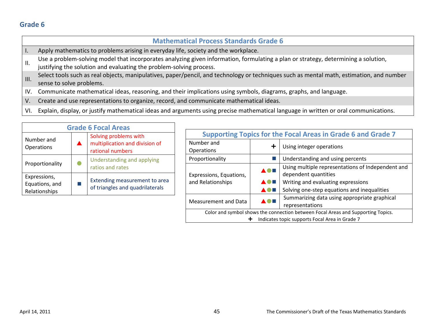|                 | <b>Mathematical Process Standards Grade 6</b>                                                                                                                                                             |
|-----------------|-----------------------------------------------------------------------------------------------------------------------------------------------------------------------------------------------------------|
|                 | Apply mathematics to problems arising in everyday life, society and the workplace.                                                                                                                        |
| $\mathbf{II}$ . | Use a problem-solving model that incorporates analyzing given information, formulating a plan or strategy, determining a solution,<br>justifying the solution and evaluating the problem-solving process. |
|                 | Select tools such as real objects, manipulatives, paper/pencil, and technology or techniques such as mental math, estimation, and number<br>sense to solve problems.                                      |
| IV.             | Communicate mathematical ideas, reasoning, and their implications using symbols, diagrams, graphs, and language.                                                                                          |
| $V_{\cdot}$     | Create and use representations to organize, record, and communicate mathematical ideas.                                                                                                                   |

VI. Explain, display, or justify mathematical ideas and arguments using precise mathematical language in written or oral communications.

| <b>Grade 6 Focal Areas</b>                      |  |                                                                             |  |  |
|-------------------------------------------------|--|-----------------------------------------------------------------------------|--|--|
| Number and<br>Operations                        |  | Solving problems with<br>multiplication and division of<br>rational numbers |  |  |
| Proportionality                                 |  | Understanding and applying<br>ratios and rates                              |  |  |
| Expressions,<br>Equations, and<br>Relationships |  | Extending measurement to area<br>of triangles and quadrilaterals            |  |  |

| <b>Supporting Topics for the Focal Areas in Grade 6 and Grade 7</b>              |  |                                                                                                                                                                |  |  |
|----------------------------------------------------------------------------------|--|----------------------------------------------------------------------------------------------------------------------------------------------------------------|--|--|
| Number and<br>Operations                                                         |  | Using integer operations                                                                                                                                       |  |  |
| Proportionality                                                                  |  | Understanding and using percents                                                                                                                               |  |  |
| Expressions, Equations,<br>and Relationships                                     |  | Using multiple representations of Independent and<br>dependent quantities<br>Writing and evaluating expressions<br>Solving one-step equations and inequalities |  |  |
| Measurement and Data                                                             |  | Summarizing data using appropriate graphical<br>representations                                                                                                |  |  |
| Color and symbol shows the connection between Focal Areas and Supporting Topics. |  |                                                                                                                                                                |  |  |
| Indicates topic supports Focal Area in Grade 7                                   |  |                                                                                                                                                                |  |  |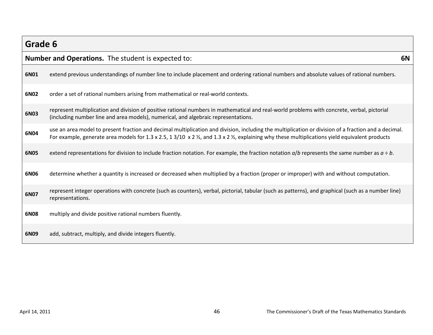| Grade 6 |                                                                                                                                                                                                                                                                                                                                |    |
|---------|--------------------------------------------------------------------------------------------------------------------------------------------------------------------------------------------------------------------------------------------------------------------------------------------------------------------------------|----|
|         | <b>Number and Operations.</b> The student is expected to:                                                                                                                                                                                                                                                                      | 6N |
| 6N01    | extend previous understandings of number line to include placement and ordering rational numbers and absolute values of rational numbers.                                                                                                                                                                                      |    |
| 6N02    | order a set of rational numbers arising from mathematical or real-world contexts.                                                                                                                                                                                                                                              |    |
| 6N03    | represent multiplication and division of positive rational numbers in mathematical and real-world problems with concrete, verbal, pictorial<br>(including number line and area models), numerical, and algebraic representations.                                                                                              |    |
| 6N04    | use an area model to present fraction and decimal multiplication and division, including the multiplication or division of a fraction and a decimal.<br>For example, generate area models for 1.3 x 2.5, 1 3/10 x 2 $\frac{1}{2}$ , and 1.3 x 2 $\frac{1}{2}$ , explaining why these multiplications yield equivalent products |    |
| 6N05    | extend representations for division to include fraction notation. For example, the fraction notation $a/b$ represents the same number as $a \div b$ .                                                                                                                                                                          |    |
| 6N06    | determine whether a quantity is increased or decreased when multiplied by a fraction (proper or improper) with and without computation.                                                                                                                                                                                        |    |
| 6N07    | represent integer operations with concrete (such as counters), verbal, pictorial, tabular (such as patterns), and graphical (such as a number line)<br>representations.                                                                                                                                                        |    |
| 6N08    | multiply and divide positive rational numbers fluently.                                                                                                                                                                                                                                                                        |    |
| 6N09    | add, subtract, multiply, and divide integers fluently.                                                                                                                                                                                                                                                                         |    |

п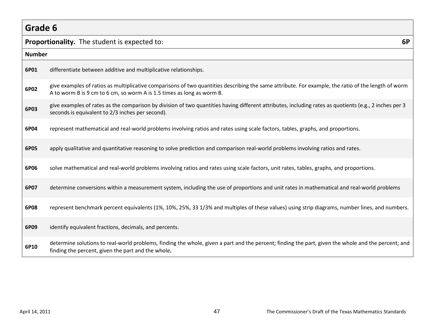| Grade 6       |                                                                                                                                                                                                                               |  |  |
|---------------|-------------------------------------------------------------------------------------------------------------------------------------------------------------------------------------------------------------------------------|--|--|
|               | <b>Proportionality.</b> The student is expected to:<br>6P                                                                                                                                                                     |  |  |
| <b>Number</b> |                                                                                                                                                                                                                               |  |  |
| 6P01          | differentiate between additive and multiplicative relationships.                                                                                                                                                              |  |  |
| 6P02          | give examples of ratios as multiplicative comparisons of two quantities describing the same attribute. For example, the ratio of the length of worm<br>A to worm B is 9 cm to 6 cm, so worm A is 1.5 times as long as worm B. |  |  |
| 6P03          | give examples of rates as the comparison by division of two quantities having different attributes, including rates as quotients (e.g., 2 inches per 3<br>seconds is equivalent to 2/3 inches per second).                    |  |  |
| 6P04          | represent mathematical and real-world problems involving ratios and rates using scale factors, tables, graphs, and proportions.                                                                                               |  |  |
| 6P05          | apply qualitative and quantitative reasoning to solve prediction and comparison real-world problems involving ratios and rates.                                                                                               |  |  |
| 6P06          | solve mathematical and real-world problems involving ratios and rates using scale factors, unit rates, tables, graphs, and proportions.                                                                                       |  |  |
| 6P07          | determine conversions within a measurement system, including the use of proportions and unit rates in mathematical and real-world problems                                                                                    |  |  |
| 6P08          | represent benchmark percent equivalents (1%, 10%, 25%, 33 1/3% and multiples of these values) using strip diagrams, number lines, and numbers.                                                                                |  |  |
| 6P09          | identify equivalent fractions, decimals, and percents.                                                                                                                                                                        |  |  |
| 6P10          | determine solutions to real-world problems, finding the whole, given a part and the percent; finding the part, given the whole and the percent; and<br>finding the percent, given the part and the whole.                     |  |  |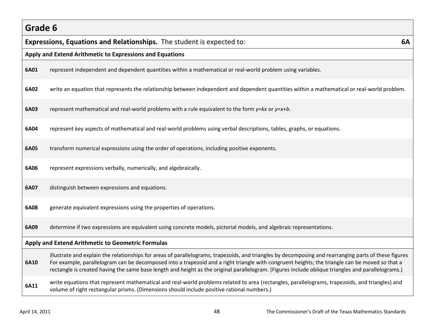# **Grade 6 Expressions, Equations and Relationships.** The student is expected to: **6A Apply and Extend Arithmetic to Expressions and Equations 6A01** represent independent and dependent quantities within a mathematical or real-world problem using variables. **6A02** write an equation that represents the relationship between independent and dependent quantities within a mathematical or real-world problem. **6A03** represent mathematical and real-world problems with a rule equivalent to the form *y*=*kx* or *y*=*x*+*b*. **6A04** represent key aspects of mathematical and real-world problems using verbal descriptions, tables, graphs, or equations. **6A05** transform numerical expressions using the order of operations, including positive exponents. **6A06** represent expressions verbally, numerically, and algebraically. **6A07** distinguish between expressions and equations. **6A08** generate equivalent expressions using the properties of operations. **6A09** determine if two expressions are equivalent using concrete models, pictorial models, and algebraic representations. **Apply and Extend Arithmetic to Geometric Formulas 6A10** illustrate and explain the relationships for areas of parallelograms, trapezoids, and triangles by decomposing and rearranging parts of these figures For example, parallelogram can be decomposed into a trapezoid and a right triangle with congruent heights; the triangle can be moved so that a rectangle is created having the same base length and height as the original parallelogram. (Figures include oblique triangles and parallelograms.) write equations that represent mathematical and real-world problems related to area (rectangles, parallelograms, trapezoids, and triangles) and<br> **6A11** volume of right rectangular prisms. (Dimensions should include positive rational numbers.)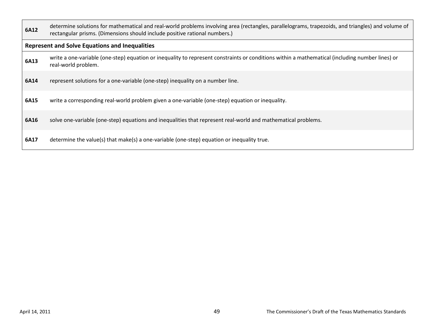| 6A12 | determine solutions for mathematical and real-world problems involving area (rectangles, parallelograms, trapezoids, and triangles) and volume of<br>rectangular prisms. (Dimensions should include positive rational numbers.) |
|------|---------------------------------------------------------------------------------------------------------------------------------------------------------------------------------------------------------------------------------|
|      | <b>Represent and Solve Equations and Inequalities</b>                                                                                                                                                                           |
| 6A13 | write a one-variable (one-step) equation or inequality to represent constraints or conditions within a mathematical (including number lines) or<br>real-world problem.                                                          |
| 6A14 | represent solutions for a one-variable (one-step) inequality on a number line.                                                                                                                                                  |
| 6A15 | write a corresponding real-world problem given a one-variable (one-step) equation or inequality.                                                                                                                                |
| 6A16 | solve one-variable (one-step) equations and inequalities that represent real-world and mathematical problems.                                                                                                                   |
| 6A17 | determine the value(s) that make(s) a one-variable (one-step) equation or inequality true.                                                                                                                                      |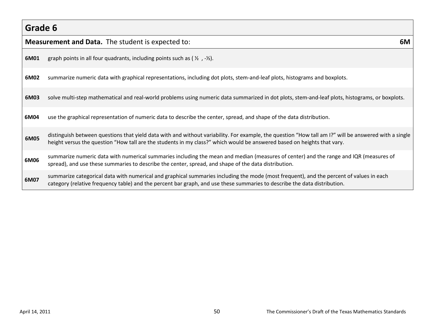|      | <b>Measurement and Data.</b> The student is expected to:<br>6M                                                                                                                                                                                                                   |  |  |
|------|----------------------------------------------------------------------------------------------------------------------------------------------------------------------------------------------------------------------------------------------------------------------------------|--|--|
| 6M01 | graph points in all four quadrants, including points such as ( $\frac{1}{2}$ , $-\frac{1}{2}$ ).                                                                                                                                                                                 |  |  |
| 6M02 | summarize numeric data with graphical representations, including dot plots, stem-and-leaf plots, histograms and boxplots.                                                                                                                                                        |  |  |
| 6M03 | solve multi-step mathematical and real-world problems using numeric data summarized in dot plots, stem-and-leaf plots, histograms, or boxplots.                                                                                                                                  |  |  |
| 6M04 | use the graphical representation of numeric data to describe the center, spread, and shape of the data distribution.                                                                                                                                                             |  |  |
| 6M05 | distinguish between questions that yield data with and without variability. For example, the question "How tall am I?" will be answered with a single<br>height versus the question "How tall are the students in my class?" which would be answered based on heights that vary. |  |  |
| 6M06 | summarize numeric data with numerical summaries including the mean and median (measures of center) and the range and IQR (measures of<br>spread), and use these summaries to describe the center, spread, and shape of the data distribution.                                    |  |  |
| 6M07 | summarize categorical data with numerical and graphical summaries including the mode (most frequent), and the percent of values in each<br>category (relative frequency table) and the percent bar graph, and use these summaries to describe the data distribution.             |  |  |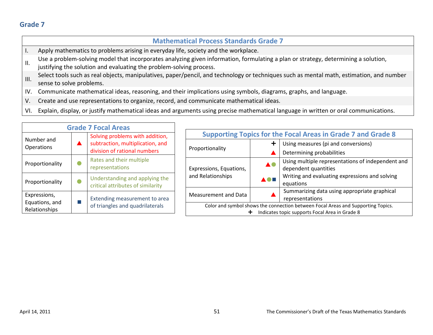|                  | <b>Mathematical Process Standards Grade 7</b>                                                                                                                                                             |
|------------------|-----------------------------------------------------------------------------------------------------------------------------------------------------------------------------------------------------------|
| ι.               | Apply mathematics to problems arising in everyday life, society and the workplace.                                                                                                                        |
| ΙΙ.              | Use a problem-solving model that incorporates analyzing given information, formulating a plan or strategy, determining a solution,<br>justifying the solution and evaluating the problem-solving process. |
| $\mathbf{III}$ . | Select tools such as real objects, manipulatives, paper/pencil, and technology or techniques such as mental math, estimation, and number<br>sense to solve problems.                                      |
| IV.              | Communicate mathematical ideas, reasoning, and their implications using symbols, diagrams, graphs, and language.                                                                                          |
| V.               | Create and use representations to organize, record, and communicate mathematical ideas.                                                                                                                   |

VI. Explain, display, or justify mathematical ideas and arguments using precise mathematical language in written or oral communications.

| <b>Grade 7 Focal Areas</b>      |           |                                                                     |                                                                                                                                    |            |                                                                           |
|---------------------------------|-----------|---------------------------------------------------------------------|------------------------------------------------------------------------------------------------------------------------------------|------------|---------------------------------------------------------------------------|
|                                 |           | Solving problems with addition,                                     | <b>Supporting Topics for the Focal Areas in Grade 7 and Grade 8</b>                                                                |            |                                                                           |
| Number and<br><b>Operations</b> |           | subtraction, multiplication, and<br>division of rational numbers    | Proportionality                                                                                                                    |            | Using measures (pi and conversions)                                       |
|                                 |           |                                                                     |                                                                                                                                    |            | Determining probabilities                                                 |
| Proportionality                 | $\bullet$ | Rates and their multiple<br>representations                         | Expressions, Equations,<br>and Relationships                                                                                       | <b>AO</b>  | Using multiple representations of independent and<br>dependent quantities |
| Proportionality                 | $\bullet$ | Understanding and applying the<br>critical attributes of similarity |                                                                                                                                    | <b>AOH</b> | Writing and evaluating expressions and solving<br>equations               |
| Expressions,                    |           | Extending measurement to area                                       | Measurement and Data                                                                                                               |            | Summarizing data using appropriate graphical<br>representations           |
| Equations, and<br>Relationships |           | of triangles and quadrilaterals                                     | Color and symbol shows the connection between Focal Areas and Supporting Topics.<br>Indicates topic supports Focal Area in Grade 8 |            |                                                                           |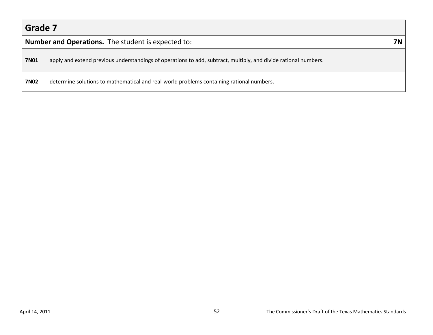|  | <b>Number and Operations.</b> The student is expected to: | <b>7N</b> |
|--|-----------------------------------------------------------|-----------|
|--|-----------------------------------------------------------|-----------|

**7N01** apply and extend previous understandings of operations to add, subtract, multiply, and divide rational numbers.

**7N02** determine solutions to mathematical and real-world problems containing rational numbers.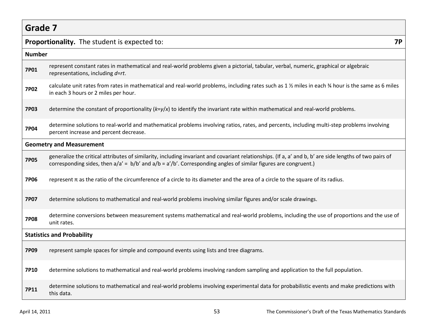|             | <b>7P</b><br>Proportionality. The student is expected to:                                                                                                                                                                                                                      |  |  |  |  |
|-------------|--------------------------------------------------------------------------------------------------------------------------------------------------------------------------------------------------------------------------------------------------------------------------------|--|--|--|--|
|             | <b>Number</b>                                                                                                                                                                                                                                                                  |  |  |  |  |
| 7P01        | represent constant rates in mathematical and real-world problems given a pictorial, tabular, verbal, numeric, graphical or algebraic<br>representations, including d=rt.                                                                                                       |  |  |  |  |
| <b>7P02</b> | calculate unit rates from rates in mathematical and real-world problems, including rates such as 1 % miles in each % hour is the same as 6 miles<br>in each 3 hours or 2 miles per hour.                                                                                       |  |  |  |  |
| <b>7P03</b> | determine the constant of proportionality ( $k=y/x$ ) to identify the invariant rate within mathematical and real-world problems.                                                                                                                                              |  |  |  |  |
| <b>7P04</b> | determine solutions to real-world and mathematical problems involving ratios, rates, and percents, including multi-step problems involving<br>percent increase and percent decrease.                                                                                           |  |  |  |  |
|             | <b>Geometry and Measurement</b>                                                                                                                                                                                                                                                |  |  |  |  |
| <b>7P05</b> | generalize the critical attributes of similarity, including invariant and covariant relationships. (If a, a' and b, b' are side lengths of two pairs of<br>corresponding sides, then $a/a' = b/b'$ and $a/b = a'/b'$ . Corresponding angles of similar figures are congruent.) |  |  |  |  |
| <b>7P06</b> | represent $\pi$ as the ratio of the circumference of a circle to its diameter and the area of a circle to the square of its radius.                                                                                                                                            |  |  |  |  |
| <b>7P07</b> | determine solutions to mathematical and real-world problems involving similar figures and/or scale drawings.                                                                                                                                                                   |  |  |  |  |
| <b>7P08</b> | determine conversions between measurement systems mathematical and real-world problems, including the use of proportions and the use of<br>unit rates.                                                                                                                         |  |  |  |  |
|             | <b>Statistics and Probability</b>                                                                                                                                                                                                                                              |  |  |  |  |
| <b>7P09</b> | represent sample spaces for simple and compound events using lists and tree diagrams.                                                                                                                                                                                          |  |  |  |  |
| 7P10        | determine solutions to mathematical and real-world problems involving random sampling and application to the full population.                                                                                                                                                  |  |  |  |  |
| 7P11        | determine solutions to mathematical and real-world problems involving experimental data for probabilistic events and make predictions with<br>this data.                                                                                                                       |  |  |  |  |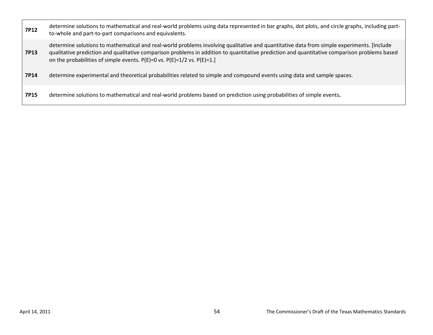| <b>7P12</b> | determine solutions to mathematical and real-world problems using data represented in bar graphs, dot plots, and circle graphs, including part-<br>to-whole and part-to-part comparisons and equivalents.                                                                                                                                                                   |
|-------------|-----------------------------------------------------------------------------------------------------------------------------------------------------------------------------------------------------------------------------------------------------------------------------------------------------------------------------------------------------------------------------|
| 7P13        | determine solutions to mathematical and real-world problems involving qualitative and quantitative data from simple experiments. [Include<br>qualitative prediction and qualitative comparison problems in addition to quantitative prediction and quantitative comparison problems based<br>on the probabilities of simple events. $P(E)=0$ vs. $P(E)=1/2$ vs. $P(E)=1.$ ] |
| 7P14        | determine experimental and theoretical probabilities related to simple and compound events using data and sample spaces.                                                                                                                                                                                                                                                    |
| <b>7P15</b> | determine solutions to mathematical and real-world problems based on prediction using probabilities of simple events.                                                                                                                                                                                                                                                       |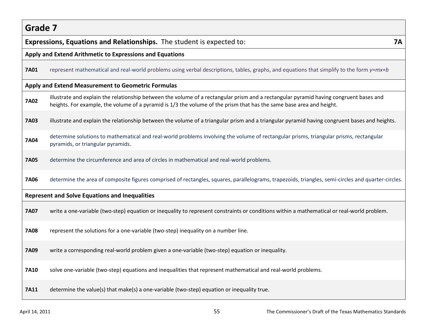| Expressions, Equations and Relationships. The student is expected to:<br><b>7A</b> |                                                                                                                                                                                                                                                                |  |  |  |  |
|------------------------------------------------------------------------------------|----------------------------------------------------------------------------------------------------------------------------------------------------------------------------------------------------------------------------------------------------------------|--|--|--|--|
|                                                                                    | Apply and Extend Arithmetic to Expressions and Equations                                                                                                                                                                                                       |  |  |  |  |
| <b>7A01</b>                                                                        | represent mathematical and real-world problems using verbal descriptions, tables, graphs, and equations that simplify to the form y=mx+b                                                                                                                       |  |  |  |  |
|                                                                                    | Apply and Extend Measurement to Geometric Formulas                                                                                                                                                                                                             |  |  |  |  |
| <b>7A02</b>                                                                        | illustrate and explain the relationship between the volume of a rectangular prism and a rectangular pyramid having congruent bases and<br>heights. For example, the volume of a pyramid is 1/3 the volume of the prism that has the same base area and height. |  |  |  |  |
| <b>7A03</b>                                                                        | illustrate and explain the relationship between the volume of a triangular prism and a triangular pyramid having congruent bases and heights.                                                                                                                  |  |  |  |  |
| <b>7A04</b>                                                                        | determine solutions to mathematical and real-world problems involving the volume of rectangular prisms, triangular prisms, rectangular<br>pyramids, or triangular pyramids.                                                                                    |  |  |  |  |
| <b>7A05</b>                                                                        | determine the circumference and area of circles in mathematical and real-world problems.                                                                                                                                                                       |  |  |  |  |
| <b>7A06</b>                                                                        | determine the area of composite figures comprised of rectangles, squares, parallelograms, trapezoids, triangles, semi-circles and quarter-circles.                                                                                                             |  |  |  |  |
|                                                                                    | <b>Represent and Solve Equations and Inequalities</b>                                                                                                                                                                                                          |  |  |  |  |
| <b>7A07</b>                                                                        | write a one-variable (two-step) equation or inequality to represent constraints or conditions within a mathematical or real-world problem.                                                                                                                     |  |  |  |  |
| <b>7A08</b>                                                                        | represent the solutions for a one-variable (two-step) inequality on a number line.                                                                                                                                                                             |  |  |  |  |
| <b>7A09</b>                                                                        | write a corresponding real-world problem given a one-variable (two-step) equation or inequality.                                                                                                                                                               |  |  |  |  |
| <b>7A10</b>                                                                        | solve one-variable (two-step) equations and inequalities that represent mathematical and real-world problems.                                                                                                                                                  |  |  |  |  |
| <b>7A11</b>                                                                        | determine the value(s) that make(s) a one-variable (two-step) equation or inequality true.                                                                                                                                                                     |  |  |  |  |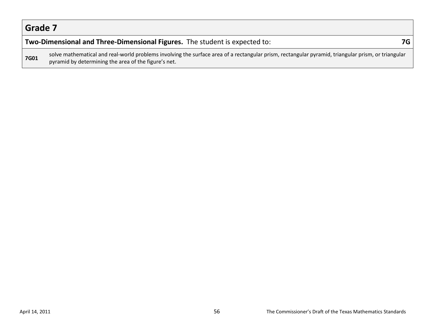#### **Two-Dimensional and Three-Dimensional Figures.** The student is expected to: **7G**

**7G01** solve mathematical and real-world problems involving the surface area of a rectangular prism, rectangular pyramid, triangular prism, or triangular prism, or triangular pyramid by determining the area of the figure's net.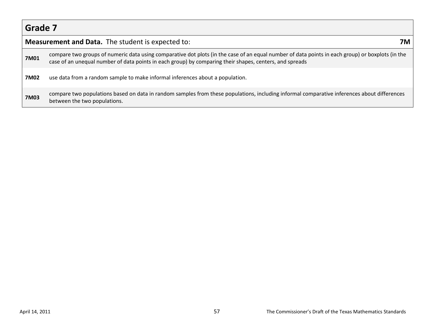|             | <b>Measurement and Data.</b> The student is expected to:<br>7M                                                                                                                                                                                              |  |  |  |  |
|-------------|-------------------------------------------------------------------------------------------------------------------------------------------------------------------------------------------------------------------------------------------------------------|--|--|--|--|
| 7M01        | compare two groups of numeric data using comparative dot plots (in the case of an equal number of data points in each group) or boxplots (in the<br>case of an unequal number of data points in each group) by comparing their shapes, centers, and spreads |  |  |  |  |
| 7M02        | use data from a random sample to make informal inferences about a population.                                                                                                                                                                               |  |  |  |  |
| <b>7M03</b> | compare two populations based on data in random samples from these populations, including informal comparative inferences about differences<br>between the two populations.                                                                                 |  |  |  |  |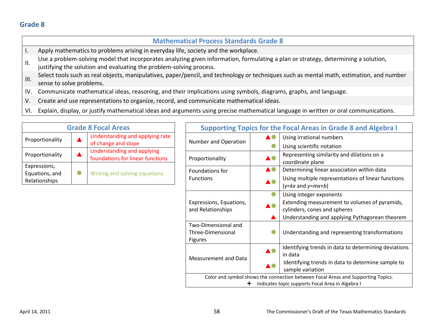|      | <b>Mathematical Process Standards Grade 8</b>                                                                                                                                                             |
|------|-----------------------------------------------------------------------------------------------------------------------------------------------------------------------------------------------------------|
|      | Apply mathematics to problems arising in everyday life, society and the workplace.                                                                                                                        |
| ΙΙ.  | Use a problem-solving model that incorporates analyzing given information, formulating a plan or strategy, determining a solution,<br>justifying the solution and evaluating the problem-solving process. |
| III. | Select tools such as real objects, manipulatives, paper/pencil, and technology or techniques such as mental math, estimation, and number<br>sense to solve problems.                                      |
| IV.  | Communicate mathematical ideas, reasoning, and their implications using symbols, diagrams, graphs, and language.                                                                                          |
| V.   | Create and use representations to organize, record, and communicate mathematical ideas.                                                                                                                   |

VI. Explain, display, or justify mathematical ideas and arguments using precise mathematical language in written or oral communications.

| <b>Grade 8 Focal Areas</b>                      |   |                                                                       |  |  |
|-------------------------------------------------|---|-----------------------------------------------------------------------|--|--|
| Proportionality                                 |   | Understanding and applying rate<br>of change and slope                |  |  |
| Proportionality                                 | ▲ | <b>Understanding and applying</b><br>foundations for linear functions |  |  |
| Expressions,<br>Equations, and<br>Relationships |   | Writing and solving equations                                         |  |  |

|                                                                                  | <b>Supporting Topics for the Focal Areas in Grade 8 and Algebra I</b> |                                                      |  |
|----------------------------------------------------------------------------------|-----------------------------------------------------------------------|------------------------------------------------------|--|
|                                                                                  |                                                                       | Using irrational numbers                             |  |
| Number and Operation                                                             |                                                                       | Using scientific notation                            |  |
| Proportionality                                                                  |                                                                       | Representing similarity and dilations on a           |  |
|                                                                                  |                                                                       | coordinate plane                                     |  |
| Foundations for                                                                  |                                                                       | Determining linear association within data           |  |
| <b>Functions</b>                                                                 |                                                                       | Using multiple representations of linear functions   |  |
|                                                                                  |                                                                       | $(y= kx$ and $y=mx+b)$                               |  |
|                                                                                  |                                                                       | Using integer exponents                              |  |
| Expressions, Equations,                                                          |                                                                       | Extending measurement to volumes of pyramids,        |  |
| and Relationships                                                                |                                                                       | cylinders, cones and spheres                         |  |
|                                                                                  |                                                                       | Understanding and applying Pythagorean theorem       |  |
| Two-Dimensional and                                                              |                                                                       |                                                      |  |
| Three-Dimensional                                                                |                                                                       | Understanding and representing transformations       |  |
| Figures                                                                          |                                                                       |                                                      |  |
|                                                                                  |                                                                       | Identifying trends in data to determining deviations |  |
| Measurement and Data                                                             |                                                                       | in data                                              |  |
|                                                                                  |                                                                       | Identifying trends in data to determine sample to    |  |
|                                                                                  |                                                                       | sample variation                                     |  |
| Color and symbol shows the connection between Focal Areas and Supporting Topics. |                                                                       |                                                      |  |
| ÷                                                                                |                                                                       | Indicates topic supports Focal Area in Algebra I     |  |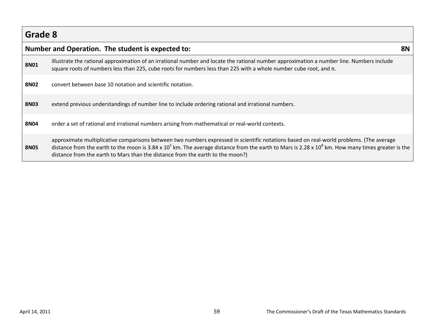|             | Number and Operation. The student is expected to:                                                                                                                                                                                                                                                                                                                                    |  |
|-------------|--------------------------------------------------------------------------------------------------------------------------------------------------------------------------------------------------------------------------------------------------------------------------------------------------------------------------------------------------------------------------------------|--|
| <b>8N01</b> | illustrate the rational approximation of an irrational number and locate the rational number approximation a number line. Numbers include<br>square roots of numbers less than 225, cube roots for numbers less than 225 with a whole number cube root, and $\pi$ .                                                                                                                  |  |
| <b>8N02</b> | convert between base 10 notation and scientific notation.                                                                                                                                                                                                                                                                                                                            |  |
| <b>8N03</b> | extend previous understandings of number line to include ordering rational and irrational numbers.                                                                                                                                                                                                                                                                                   |  |
| <b>8N04</b> | order a set of rational and irrational numbers arising from mathematical or real-world contexts.                                                                                                                                                                                                                                                                                     |  |
| <b>8N05</b> | approximate multiplicative comparisons between two numbers expressed in scientific notations based on real-world problems. (The average<br>distance from the earth to the moon is 3.84 x $10^5$ km. The average distance from the earth to Mars is 2.28 x $10^8$ km. How many times greater is the<br>distance from the earth to Mars than the distance from the earth to the moon?) |  |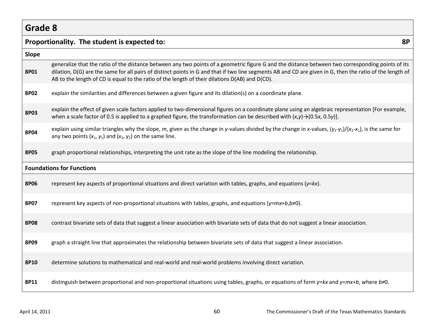|             | <b>8P</b><br>Proportionality. The student is expected to:                                                                                                                                                                                                                                                                                                                                                        |
|-------------|------------------------------------------------------------------------------------------------------------------------------------------------------------------------------------------------------------------------------------------------------------------------------------------------------------------------------------------------------------------------------------------------------------------|
| Slope       |                                                                                                                                                                                                                                                                                                                                                                                                                  |
| 8P01        | generalize that the ratio of the distance between any two points of a geometric figure G and the distance between two corresponding points of its<br>dilation, D(G) are the same for all pairs of distinct points in G and that if two line segments AB and CD are given in G, then the ratio of the length of<br>AB to the length of CD is equal to the ratio of the length of their dilations D(AB) and D(CD). |
| <b>8P02</b> | explain the similarities and differences between a given figure and its dilation(s) on a coordinate plane.                                                                                                                                                                                                                                                                                                       |
| <b>8P03</b> | explain the effect of given scale factors applied to two-dimensional figures on a coordinate plane using an algebraic representation [For example,<br>when a scale factor of 0.5 is applied to a graphed figure, the transformation can be described with $(x, y) \rightarrow (0.5x, 0.5y)$ ].                                                                                                                   |
| <b>8P04</b> | explain using similar triangles why the slope, m, given as the change in y-values divided by the change in x-values, $(y_2-y_1)/(x_2-x_1)$ , is the same for<br>any two points $(x_1, y_1)$ and $(x_2, y_2)$ on the same line.                                                                                                                                                                                   |
| <b>8P05</b> | graph proportional relationships, interpreting the unit rate as the slope of the line modeling the relationship.                                                                                                                                                                                                                                                                                                 |
|             | <b>Foundations for Functions</b>                                                                                                                                                                                                                                                                                                                                                                                 |
| <b>8P06</b> | represent key aspects of proportional situations and direct variation with tables, graphs, and equations ( $y= kx$ ).                                                                                                                                                                                                                                                                                            |
| 8P07        | represent key aspects of non-proportional situations with tables, graphs, and equations ( $y=mx+b$ , $b\neq 0$ ).                                                                                                                                                                                                                                                                                                |
| <b>8P08</b> | contrast bivariate sets of data that suggest a linear association with bivariate sets of data that do not suggest a linear association.                                                                                                                                                                                                                                                                          |
| 8P09        | graph a straight line that approximates the relationship between bivariate sets of data that suggest a linear association.                                                                                                                                                                                                                                                                                       |
| 8P10        | determine solutions to mathematical and real-world and real-world problems involving direct variation.                                                                                                                                                                                                                                                                                                           |
| 8P11        | distinguish between proportional and non-proportional situations using tables, graphs, or equations of form $y= kx$ and $y=mx+b$ , where $b\neq 0$ .                                                                                                                                                                                                                                                             |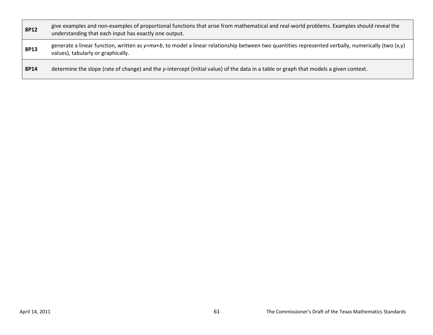| 8P12 | give examples and non-examples of proportional functions that arise from mathematical and real-world problems. Examples should reveal the<br>understanding that each input has exactly one output. |
|------|----------------------------------------------------------------------------------------------------------------------------------------------------------------------------------------------------|
| 8P13 | generate a linear function, written as $y=mx+b$ , to model a linear relationship between two quantities represented verbally, numerically (two (x,y)<br>values), tabularly or graphically.         |
| 8P14 | determine the slope (rate of change) and the y-intercept (initial value) of the data in a table or graph that models a given context.                                                              |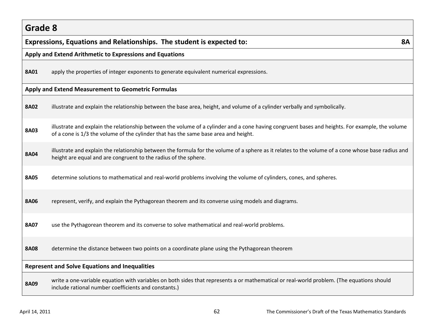# **Grade 8 Expressions, Equations and Relationships. The student is expected to: 8A Apply and Extend Arithmetic to Expressions and Equations 8A01** apply the properties of integer exponents to generate equivalent numerical expressions. **Apply and Extend Measurement to Geometric Formulas 8A02** illustrate and explain the relationship between the base area, height, and volume of a cylinder verbally and symbolically. **8A03** illustrate and explain the relationship between the volume of a cylinder and a cone having congruent bases and heights. For example, the volume of a cone is 1/3 the volume of the cylinder that has the same base area and height. 8A04 illustrate and explain the relationship between the formula for the volume of a sphere as it relates to the volume of a cone whose base radius and height are equal and are congruent to the radius of the sphere. **8A05** determine solutions to mathematical and real-world problems involving the volume of cylinders, cones, and spheres. **8A06** represent, verify, and explain the Pythagorean theorem and its converse using models and diagrams. **8A07** use the Pythagorean theorem and its converse to solve mathematical and real-world problems. **8A08** determine the distance between two points on a coordinate plane using the Pythagorean theorem **Represent and Solve Equations and Inequalities** write a one-variable equation with variables on both sides that represents a or mathematical or real-world problem. (The equations should **8A09** include rational number coefficients and constants.)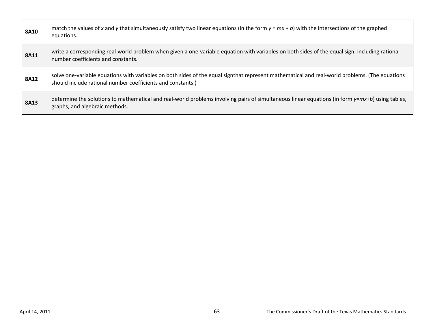| 8A10        | match the values of x and y that simultaneously satisfy two linear equations (in the form $y = mx + b$ ) with the intersections of the graphed<br>equations.                                                  |
|-------------|---------------------------------------------------------------------------------------------------------------------------------------------------------------------------------------------------------------|
| 8A11        | write a corresponding real-world problem when given a one-variable equation with variables on both sides of the equal sign, including rational<br>number coefficients and constants.                          |
| <b>8A12</b> | solve one-variable equations with variables on both sides of the equal signthat represent mathematical and real-world problems. (The equations<br>should include rational number coefficients and constants.) |
| <b>8A13</b> | determine the solutions to mathematical and real-world problems involving pairs of simultaneous linear equations (in form $y=mx+b$ ) using tables,<br>graphs, and algebraic methods.                          |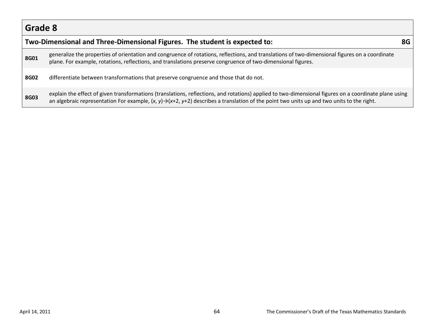|      | Two-Dimensional and Three-Dimensional Figures. The student is expected to:                                                                                                                                                                                                                                      |  |
|------|-----------------------------------------------------------------------------------------------------------------------------------------------------------------------------------------------------------------------------------------------------------------------------------------------------------------|--|
| 8G01 | generalize the properties of orientation and congruence of rotations, reflections, and translations of two-dimensional figures on a coordinate<br>plane. For example, rotations, reflections, and translations preserve congruence of two-dimensional figures.                                                  |  |
| 8G02 | differentiate between transformations that preserve congruence and those that do not.                                                                                                                                                                                                                           |  |
| 8G03 | explain the effect of given transformations (translations, reflections, and rotations) applied to two-dimensional figures on a coordinate plane using<br>an algebraic representation For example, $(x, y) \rightarrow (x+2, y+2)$ describes a translation of the point two units up and two units to the right. |  |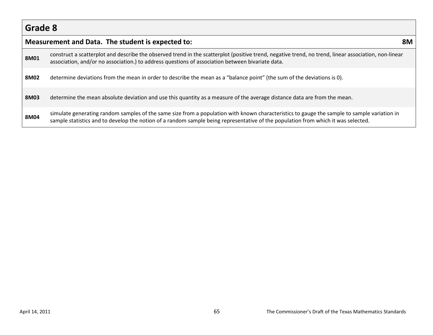|      | Measurement and Data. The student is expected to:                                                                                                                                                                                                                                | 8M |
|------|----------------------------------------------------------------------------------------------------------------------------------------------------------------------------------------------------------------------------------------------------------------------------------|----|
| 8M01 | construct a scatterplot and describe the observed trend in the scatterplot (positive trend, negative trend, no trend, linear association, non-linear<br>association, and/or no association.) to address questions of association between bivariate data.                         |    |
| 8M02 | determine deviations from the mean in order to describe the mean as a "balance point" (the sum of the deviations is 0).                                                                                                                                                          |    |
| 8M03 | determine the mean absolute deviation and use this quantity as a measure of the average distance data are from the mean.                                                                                                                                                         |    |
| 8M04 | simulate generating random samples of the same size from a population with known characteristics to gauge the sample to sample variation in<br>sample statistics and to develop the notion of a random sample being representative of the population from which it was selected. |    |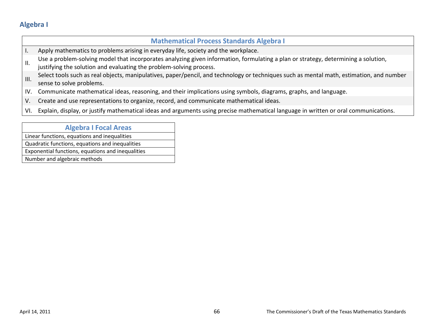#### **Mathematical Process Standards Algebra I** I. Apply mathematics to problems arising in everyday life, society and the workplace. Use a problem-solving model that incorporates analyzing given information, formulating a plan or strategy, determining a solution, justifying the solution and evaluating the problem-solving process. III. Select tools such as real objects, manipulatives, paper/pencil, and technology or techniques such as mental math, estimation, and number sense to solve problems. IV. Communicate mathematical ideas, reasoning, and their implications using symbols, diagrams, graphs, and language. V. Create and use representations to organize, record, and communicate mathematical ideas. VI. Explain, display, or justify mathematical ideas and arguments using precise mathematical language in written or oral communications.

#### **Algebra I Focal Areas**

Linear functions, equations and inequalities Quadratic functions, equations and inequalities Exponential functions, equations and inequalities Number and algebraic methods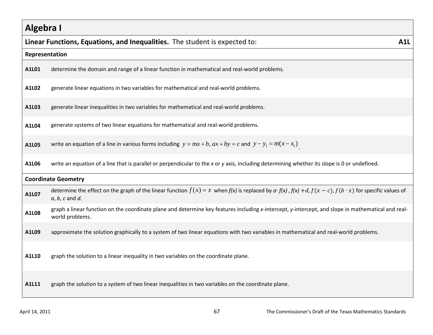# **Algebra I Linear Functions, Equations, and Inequalities.** The student is expected to: **A1L Representation A1L01** determine the domain and range of a linear function in mathematical and real-world problems. **A1L02** generate linear equations in two variables for mathematical and real-world problems. **A1L03** generate linear inequalities in two variables for mathematical and real-world problems. **A1L04** generate systems of two linear equations for mathematical and real-world problems. **A1L05** write an equation of a line in various forms including  $y = mx + b$ ,  $ax + by = c$  and  $y - y_1 = m(x - x_1)$ . **A1L06** write an equation of a line that is parallel or perpendicular to the *x* or *y* axis, including determining whether its slope is 0 or undefined. **Coordinate Geometry** A1L07 determine the effect on the graph of the linear function  $f(x) = x$  when  $f(x)$  is replaced by  $a \cdot f(x)$ ,  $f(x) + d$ ,  $f(x - c)$ ,  $f(b \cdot x)$  for specific values of *a*, *b*, *c* and *d.* **A1L08** graph a linear function on the coordinate plane and determine key features including *x*-intercept, *y*-intercept, and slope in mathematical and realworld problems. **A1L09** approximate the solution graphically to a system of two linear equations with two variables in mathematical and real-world problems. **A1L10** graph the solution to a linear inequality in two variables on the coordinate plane. **A1L11** graph the solution to a system of two linear inequalities in two variables on the coordinate plane.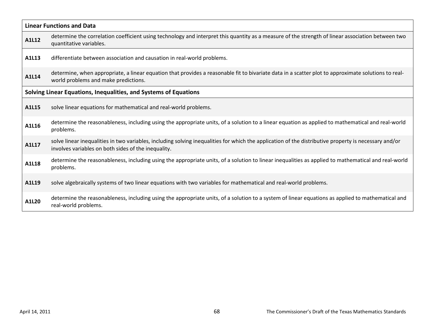| <b>Linear Functions and Data</b> |                                                                                                                                                                                                              |  |
|----------------------------------|--------------------------------------------------------------------------------------------------------------------------------------------------------------------------------------------------------------|--|
| A1L12                            | determine the correlation coefficient using technology and interpret this quantity as a measure of the strength of linear association between two<br>quantitative variables.                                 |  |
| A1L13                            | differentiate between association and causation in real-world problems.                                                                                                                                      |  |
| A1L14                            | determine, when appropriate, a linear equation that provides a reasonable fit to bivariate data in a scatter plot to approximate solutions to real-<br>world problems and make predictions.                  |  |
|                                  | Solving Linear Equations, Inequalities, and Systems of Equations                                                                                                                                             |  |
| A1L15                            | solve linear equations for mathematical and real-world problems.                                                                                                                                             |  |
| A1L16                            | determine the reasonableness, including using the appropriate units, of a solution to a linear equation as applied to mathematical and real-world<br>problems.                                               |  |
| A1L17                            | solve linear inequalities in two variables, including solving inequalities for which the application of the distributive property is necessary and/or<br>involves variables on both sides of the inequality. |  |
| A1L18                            | determine the reasonableness, including using the appropriate units, of a solution to linear inequalities as applied to mathematical and real-world<br>problems.                                             |  |
| A1L19                            | solve algebraically systems of two linear equations with two variables for mathematical and real-world problems.                                                                                             |  |
| A1L20                            | determine the reasonableness, including using the appropriate units, of a solution to a system of linear equations as applied to mathematical and<br>real-world problems.                                    |  |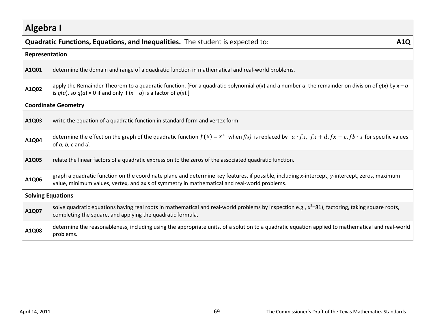|                | Quadratic Functions, Equations, and Inequalities. The student is expected to:<br><b>A1Q</b>                                                                                                                                                    |  |  |
|----------------|------------------------------------------------------------------------------------------------------------------------------------------------------------------------------------------------------------------------------------------------|--|--|
| Representation |                                                                                                                                                                                                                                                |  |  |
| A1Q01          | determine the domain and range of a quadratic function in mathematical and real-world problems.                                                                                                                                                |  |  |
| A1Q02          | apply the Remainder Theorem to a quadratic function. [For a quadratic polynomial $q(x)$ and a number a, the remainder on division of $q(x)$ by $x - a$<br>is $q(a)$ , so $q(a)$ = 0 if and only if $(x - a)$ is a factor of $q(x)$ .]          |  |  |
|                | <b>Coordinate Geometry</b>                                                                                                                                                                                                                     |  |  |
| A1Q03          | write the equation of a quadratic function in standard form and vertex form.                                                                                                                                                                   |  |  |
| A1Q04          | determine the effect on the graph of the quadratic function $f(x) = x^2$ when $f(x)$ is replaced by $a \cdot fx$ , $fx + d$ , $fx - c$ , $fb \cdot x$ for specific values<br>of $a, b, c$ and $d$ .                                            |  |  |
| A1Q05          | relate the linear factors of a quadratic expression to the zeros of the associated quadratic function.                                                                                                                                         |  |  |
| A1Q06          | graph a quadratic function on the coordinate plane and determine key features, if possible, including x-intercept, y-intercept, zeros, maximum<br>value, minimum values, vertex, and axis of symmetry in mathematical and real-world problems. |  |  |
|                | <b>Solving Equations</b>                                                                                                                                                                                                                       |  |  |
| A1Q07          | solve quadratic equations having real roots in mathematical and real-world problems by inspection e.g., $x^2$ =81), factoring, taking square roots,<br>completing the square, and applying the quadratic formula.                              |  |  |
| A1Q08          | determine the reasonableness, including using the appropriate units, of a solution to a quadratic equation applied to mathematical and real-world<br>problems.                                                                                 |  |  |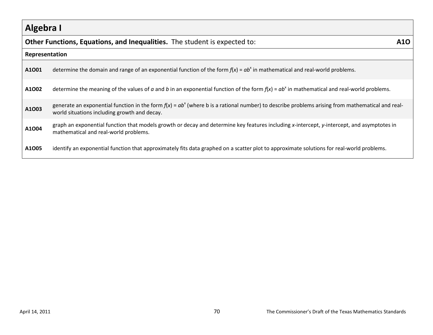|                | Other Functions, Equations, and Inequalities. The student is expected to:                                                                                                                          | <b>A10</b> |
|----------------|----------------------------------------------------------------------------------------------------------------------------------------------------------------------------------------------------|------------|
| Representation |                                                                                                                                                                                                    |            |
| A1001          | determine the domain and range of an exponential function of the form $f(x) = ab^x$ in mathematical and real-world problems.                                                                       |            |
| A1002          | determine the meaning of the values of a and b in an exponential function of the form $f(x) = ab^x$ in mathematical and real-world problems.                                                       |            |
| A1003          | generate an exponential function in the form $f(x) = ab^x$ (where b is a rational number) to describe problems arising from mathematical and real-<br>world situations including growth and decay. |            |
| A1004          | graph an exponential function that models growth or decay and determine key features including x-intercept, y-intercept, and asymptotes in<br>mathematical and real-world problems.                |            |
| A1005          | identify an exponential function that approximately fits data graphed on a scatter plot to approximate solutions for real-world problems.                                                          |            |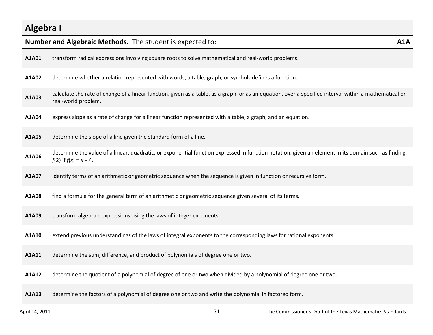|       | Number and Algebraic Methods. The student is expected to:                                                                                                                        | A1A |
|-------|----------------------------------------------------------------------------------------------------------------------------------------------------------------------------------|-----|
| A1A01 | transform radical expressions involving square roots to solve mathematical and real-world problems.                                                                              |     |
| A1A02 | determine whether a relation represented with words, a table, graph, or symbols defines a function.                                                                              |     |
| A1A03 | calculate the rate of change of a linear function, given as a table, as a graph, or as an equation, over a specified interval within a mathematical or<br>real-world problem.    |     |
| A1A04 | express slope as a rate of change for a linear function represented with a table, a graph, and an equation.                                                                      |     |
| A1A05 | determine the slope of a line given the standard form of a line.                                                                                                                 |     |
| A1A06 | determine the value of a linear, quadratic, or exponential function expressed in function notation, given an element in its domain such as finding<br>$f(2)$ if $f(x) = x + 4$ . |     |
| A1A07 | identify terms of an arithmetic or geometric sequence when the sequence is given in function or recursive form.                                                                  |     |
| A1A08 | find a formula for the general term of an arithmetic or geometric sequence given several of its terms.                                                                           |     |
| A1A09 | transform algebraic expressions using the laws of integer exponents.                                                                                                             |     |
| A1A10 | extend previous understandings of the laws of integral exponents to the corresponding laws for rational exponents.                                                               |     |
| A1A11 | determine the sum, difference, and product of polynomials of degree one or two.                                                                                                  |     |
| A1A12 | determine the quotient of a polynomial of degree of one or two when divided by a polynomial of degree one or two.                                                                |     |
| A1A13 | determine the factors of a polynomial of degree one or two and write the polynomial in factored form.                                                                            |     |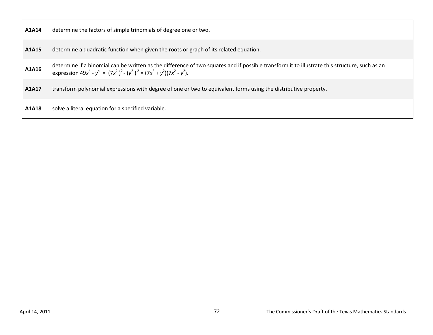| A1A14 | determine the factors of simple trinomials of degree one or two.                                                                                                                                                            |
|-------|-----------------------------------------------------------------------------------------------------------------------------------------------------------------------------------------------------------------------------|
| A1A15 | determine a quadratic function when given the roots or graph of its related equation.                                                                                                                                       |
| A1A16 | determine if a binomial can be written as the difference of two squares and if possible transform it to illustrate this structure, such as an<br>expression $49x^4 - y^4 = (7x^2)^2 - (y^2)^2 = (7x^2 + y^2)(7x^2 - y^2)$ . |
| A1A17 | transform polynomial expressions with degree of one or two to equivalent forms using the distributive property.                                                                                                             |
| A1A18 | solve a literal equation for a specified variable.                                                                                                                                                                          |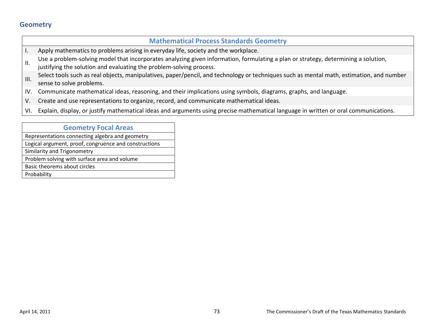### **Mathematical Process Standards Geometry**

- I. Apply mathematics to problems arising in everyday life, society and the workplace.
- Use a problem-solving model that incorporates analyzing given information, formulating a plan or strategy, determining a solution,
- justifying the solution and evaluating the problem-solving process.
- III. Select tools such as real objects, manipulatives, paper/pencil, and technology or techniques such as mental math, estimation, and number sense to solve problems.
- IV. Communicate mathematical ideas, reasoning, and their implications using symbols, diagrams, graphs, and language.
- V. Create and use representations to organize, record, and communicate mathematical ideas.
- VI. Explain, display, or justify mathematical ideas and arguments using precise mathematical language in written or oral communications.

#### **Geometry Focal Areas**

Representations connecting algebra and geometry Logical argument, proof, congruence and constructions Similarity and Trigonometry Problem solving with surface area and volume Basic theorems about circles Probability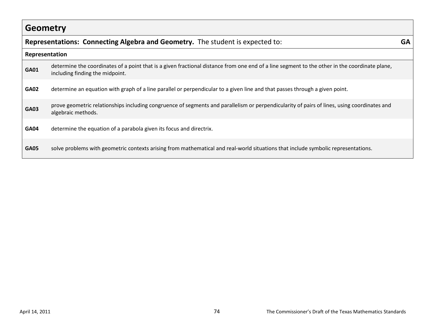|                | Representations: Connecting Algebra and Geometry. The student is expected to:                                                                                                    | GA |
|----------------|----------------------------------------------------------------------------------------------------------------------------------------------------------------------------------|----|
| Representation |                                                                                                                                                                                  |    |
| <b>GA01</b>    | determine the coordinates of a point that is a given fractional distance from one end of a line segment to the other in the coordinate plane,<br>including finding the midpoint. |    |
| <b>GA02</b>    | determine an equation with graph of a line parallel or perpendicular to a given line and that passes through a given point.                                                      |    |
| <b>GA03</b>    | prove geometric relationships including congruence of segments and parallelism or perpendicularity of pairs of lines, using coordinates and<br>algebraic methods.                |    |
| <b>GA04</b>    | determine the equation of a parabola given its focus and directrix.                                                                                                              |    |
| <b>GA05</b>    | solve problems with geometric contexts arising from mathematical and real-world situations that include symbolic representations.                                                |    |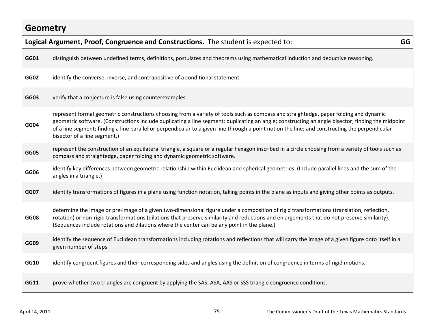|             | Logical Argument, Proof, Congruence and Constructions. The student is expected to:                                                                                                                                                                                                                                                                                                                                                                                            | GG |
|-------------|-------------------------------------------------------------------------------------------------------------------------------------------------------------------------------------------------------------------------------------------------------------------------------------------------------------------------------------------------------------------------------------------------------------------------------------------------------------------------------|----|
| GG01        | distinguish between undefined terms, definitions, postulates and theorems using mathematical induction and deductive reasoning.                                                                                                                                                                                                                                                                                                                                               |    |
| GG02        | identify the converse, inverse, and contrapositive of a conditional statement.                                                                                                                                                                                                                                                                                                                                                                                                |    |
| <b>GG03</b> | verify that a conjecture is false using counterexamples.                                                                                                                                                                                                                                                                                                                                                                                                                      |    |
| <b>GG04</b> | represent formal geometric constructions choosing from a variety of tools such as compass and straightedge, paper folding and dynamic<br>geometric software. (Constructions include duplicating a line segment; duplicating an angle; constructing an angle bisector; finding the midpoint<br>of a line segment; finding a line parallel or perpendicular to a given line through a point not on the line; and constructing the perpendicular<br>bisector of a line segment.) |    |
| <b>GG05</b> | represent the construction of an equilateral triangle, a square or a regular hexagon inscribed in a circle choosing from a variety of tools such as<br>compass and straightedge, paper folding and dynamic geometric software.                                                                                                                                                                                                                                                |    |
| GG06        | identify key differences between geometric relationship within Euclidean and spherical geometries. (Include parallel lines and the sum of the<br>angles in a triangle.)                                                                                                                                                                                                                                                                                                       |    |
| <b>GG07</b> | identify transformations of figures in a plane using function notation, taking points in the plane as inputs and giving other points as outputs.                                                                                                                                                                                                                                                                                                                              |    |
| <b>GG08</b> | determine the image or pre-image of a given two-dimensional figure under a composition of rigid transformations (translation, reflection,<br>rotation) or non-rigid transformations (dilations that preserve similarity and reductions and enlargements that do not preserve similarity).<br>(Sequences include rotations and dilations where the center can be any point in the plane.)                                                                                      |    |
| <b>GG09</b> | identify the sequence of Euclidean transformations including rotations and reflections that will carry the image of a given figure onto itself in a<br>given number of steps.                                                                                                                                                                                                                                                                                                 |    |
| <b>GG10</b> | identify congruent figures and their corresponding sides and angles using the definition of congruence in terms of rigid motions.                                                                                                                                                                                                                                                                                                                                             |    |
| GG11        | prove whether two triangles are congruent by applying the SAS, ASA, AAS or SSS triangle congruence conditions.                                                                                                                                                                                                                                                                                                                                                                |    |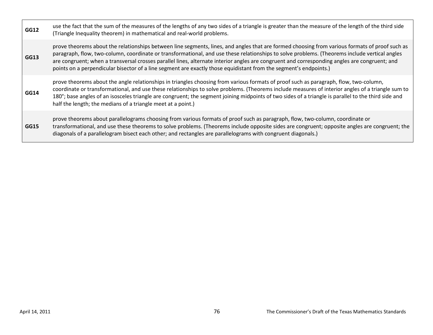| GG12 | use the fact that the sum of the measures of the lengths of any two sides of a triangle is greater than the measure of the length of the third side<br>(Triangle Inequality theorem) in mathematical and real-world problems.                                                                                                                                                                                                                                                                                                                                         |
|------|-----------------------------------------------------------------------------------------------------------------------------------------------------------------------------------------------------------------------------------------------------------------------------------------------------------------------------------------------------------------------------------------------------------------------------------------------------------------------------------------------------------------------------------------------------------------------|
| GG13 | prove theorems about the relationships between line segments, lines, and angles that are formed choosing from various formats of proof such as<br>paragraph, flow, two-column, coordinate or transformational, and use these relationships to solve problems. (Theorems include vertical angles<br>are congruent; when a transversal crosses parallel lines, alternate interior angles are congruent and corresponding angles are congruent; and<br>points on a perpendicular bisector of a line segment are exactly those equidistant from the segment's endpoints.) |
| GG14 | prove theorems about the angle relationships in triangles choosing from various formats of proof such as paragraph, flow, two-column,<br>coordinate or transformational, and use these relationships to solve problems. (Theorems include measures of interior angles of a triangle sum to<br>180°; base angles of an isosceles triangle are congruent; the segment joining midpoints of two sides of a triangle is parallel to the third side and<br>half the length; the medians of a triangle meet at a point.)                                                    |
| GG15 | prove theorems about parallelograms choosing from various formats of proof such as paragraph, flow, two-column, coordinate or<br>transformational, and use these theorems to solve problems. (Theorems include opposite sides are congruent; opposite angles are congruent; the<br>diagonals of a parallelogram bisect each other; and rectangles are parallelograms with congruent diagonals.)                                                                                                                                                                       |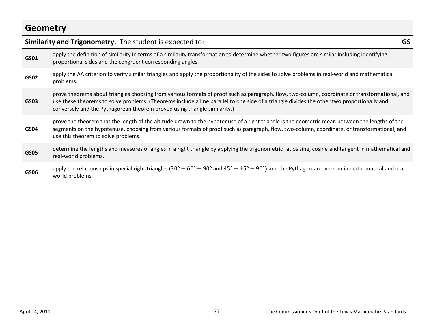|             | Similarity and Trigonometry. The student is expected to:                                                                                                                                                                                                                                                                                                                  | GS |
|-------------|---------------------------------------------------------------------------------------------------------------------------------------------------------------------------------------------------------------------------------------------------------------------------------------------------------------------------------------------------------------------------|----|
| GS01        | apply the definition of similarity in terms of a similarity transformation to determine whether two figures are similar including identifying<br>proportional sides and the congruent corresponding angles.                                                                                                                                                               |    |
| GS02        | apply the AA criterion to verify similar triangles and apply the proportionality of the sides to solve problems in real-world and mathematical<br>problems.                                                                                                                                                                                                               |    |
| GS03        | prove theorems about triangles choosing from various formats of proof such as paragraph, flow, two-column, coordinate or transformational, and<br>use these theorems to solve problems. (Theorems include a line parallel to one side of a triangle divides the other two proportionally and<br>conversely and the Pythagorean theorem proved using triangle similarity.) |    |
| <b>GS04</b> | prove the theorem that the length of the altitude drawn to the hypotenuse of a right triangle is the geometric mean between the lengths of the<br>segments on the hypotenuse, choosing from various formats of proof such as paragraph, flow, two-column, coordinate, or transformational, and<br>use this theorem to solve problems.                                     |    |
| GS05        | determine the lengths and measures of angles in a right triangle by applying the trigonometric ratios sine, cosine and tangent in mathematical and<br>real-world problems.                                                                                                                                                                                                |    |
| GS06        | apply the relationships in special right triangles (30° – 60° – 90° and 45° – 45° – 90°) and the Pythagorean theorem in mathematical and real-<br>world problems.                                                                                                                                                                                                         |    |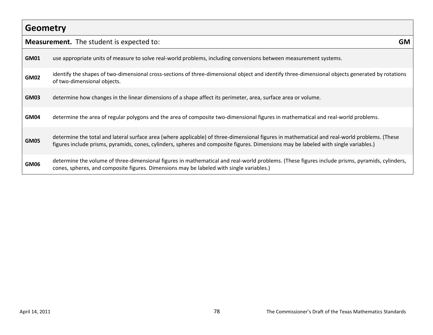# **Geometry Measurement.** The student is expected to: **GM GM01** use appropriate units of measure to solve real-world problems, including conversions between measurement systems. **GM02** identify the shapes of two-dimensional cross-sections of three-dimensional object and identify three-dimensional objects generated by rotations of two-dimensional objects. **GM03** determine how changes in the linear dimensions of a shape affect its perimeter, area, surface area or volume. **GM04** determine the area of regular polygons and the area of composite two-dimensional figures in mathematical and real-world problems. determine the total and lateral surface area (where applicable) of three-dimensional figures in mathematical and real-world problems. (These figures include prisms, pyramids, cones, cylinders, spheres and composite figures. Dimensions may be labeled with single variables.) determine the volume of three-dimensional figures in mathematical and real-world problems. (These figures include prisms, pyramids, cylinders, cones, spheres, and composite figures. Dimensions may be labeled with single variables.)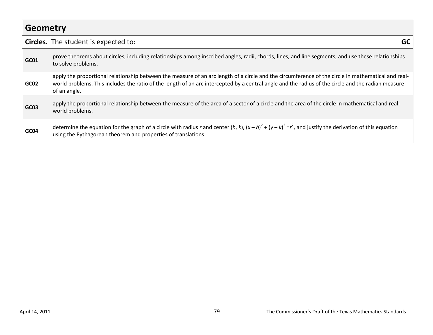| <b>Geometry</b> |                                                                                                                                                                                                                                                                                                                          |
|-----------------|--------------------------------------------------------------------------------------------------------------------------------------------------------------------------------------------------------------------------------------------------------------------------------------------------------------------------|
|                 | <b>Circles.</b> The student is expected to:<br><b>GC</b>                                                                                                                                                                                                                                                                 |
| GC01            | prove theorems about circles, including relationships among inscribed angles, radii, chords, lines, and line segments, and use these relationships<br>to solve problems.                                                                                                                                                 |
| GC02            | apply the proportional relationship between the measure of an arc length of a circle and the circumference of the circle in mathematical and real-<br>world problems. This includes the ratio of the length of an arc intercepted by a central angle and the radius of the circle and the radian measure<br>of an angle. |
| GC03            | apply the proportional relationship between the measure of the area of a sector of a circle and the area of the circle in mathematical and real-<br>world problems.                                                                                                                                                      |
| GC04            | determine the equation for the graph of a circle with radius r and center (h, k), $(x-h)^2 + (y-k)^2 = r^2$ , and justify the derivation of this equation<br>using the Pythagorean theorem and properties of translations.                                                                                               |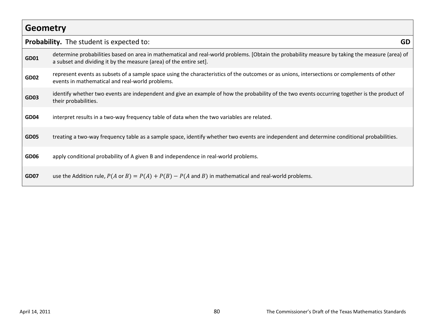# **Geometry Probability.** The student is expected to: **GD** determine probabilities based on area in mathematical and real-world problems. [Obtain the probability measure by taking the measure (area) of a subset and dividing it by the measure (area) of the entire set]. represent events as subsets of a sample space using the characteristics of the outcomes or as unions, intersections or complements of other events in mathematical and real-world problems. identify whether two events are independent and give an example of how the probability of the two events occurring together is the product of their probabilities. **GD04** interpret results in a two-way frequency table of data when the two variables are related. **GD05** treating a two-way frequency table as a sample space, identify whether two events are independent and determine conditional probabilities. **GD06** apply conditional probability of A given B and independence in real-world problems. **GD07** use the Addition rule,  $P(A \text{ or } B) = P(A) + P(B) - P(A \text{ and } B)$  in mathematical and real-world problems.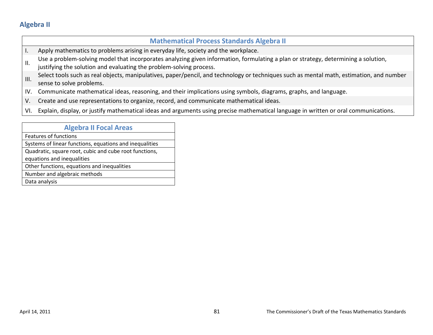### **Mathematical Process Standards Algebra II**

- I. Apply mathematics to problems arising in everyday life, society and the workplace.
- Use a problem-solving model that incorporates analyzing given information, formulating a plan or strategy, determining a solution,
- justifying the solution and evaluating the problem-solving process.
- III. Select tools such as real objects, manipulatives, paper/pencil, and technology or techniques such as mental math, estimation, and number sense to solve problems.
- IV. Communicate mathematical ideas, reasoning, and their implications using symbols, diagrams, graphs, and language.
- V. Create and use representations to organize, record, and communicate mathematical ideas.
- VI. Explain, display, or justify mathematical ideas and arguments using precise mathematical language in written or oral communications.

| <b>Algebra II Focal Areas</b>                           |
|---------------------------------------------------------|
| <b>Features of functions</b>                            |
| Systems of linear functions, equations and inequalities |
| Quadratic, square root, cubic and cube root functions,  |
| equations and inequalities                              |
| Other functions, equations and inequalities             |
| Number and algebraic methods                            |
| Data analysis                                           |
|                                                         |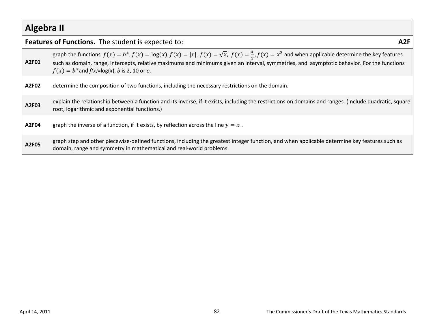|       | <b>Features of Functions.</b> The student is expected to:<br>A2F                                                                                                                                                                                                                                                                                                                   |
|-------|------------------------------------------------------------------------------------------------------------------------------------------------------------------------------------------------------------------------------------------------------------------------------------------------------------------------------------------------------------------------------------|
| A2F01 | graph the functions $f(x) = b^x$ , $f(x) = \log(x)$ , $f(x) =  x $ , $f(x) = \sqrt{x}$ , $f(x) = \frac{a}{x}$ , $f(x) = x^3$ and when applicable determine the key features<br>such as domain, range, intercepts, relative maximums and minimums given an interval, symmetries, and asymptotic behavior. For the functions<br>$f(x) = b^x$ and $f(x) = \log(x)$ , b is 2, 10 or e. |
| A2F02 | determine the composition of two functions, including the necessary restrictions on the domain.                                                                                                                                                                                                                                                                                    |
| A2F03 | explain the relationship between a function and its inverse, if it exists, including the restrictions on domains and ranges. (Include quadratic, square<br>root, logarithmic and exponential functions.)                                                                                                                                                                           |
| A2F04 | graph the inverse of a function, if it exists, by reflection across the line $y = x$ .                                                                                                                                                                                                                                                                                             |
| A2F05 | graph step and other piecewise-defined functions, including the greatest integer function, and when applicable determine key features such as<br>domain, range and symmetry in mathematical and real-world problems.                                                                                                                                                               |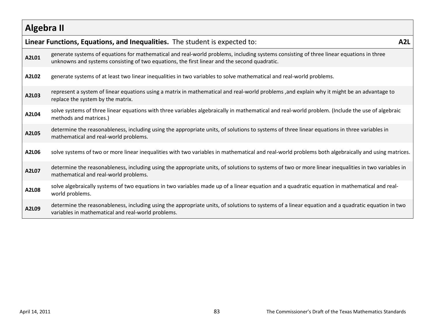|       | Linear Functions, Equations, and Inequalities. The student is expected to:                                                                                                                                                              | A <sub>2</sub> L |
|-------|-----------------------------------------------------------------------------------------------------------------------------------------------------------------------------------------------------------------------------------------|------------------|
| A2L01 | generate systems of equations for mathematical and real-world problems, including systems consisting of three linear equations in three<br>unknowns and systems consisting of two equations, the first linear and the second quadratic. |                  |
| A2L02 | generate systems of at least two linear inequalities in two variables to solve mathematical and real-world problems.                                                                                                                    |                  |
| A2L03 | represent a system of linear equations using a matrix in mathematical and real-world problems, and explain why it might be an advantage to<br>replace the system by the matrix.                                                         |                  |
| A2L04 | solve systems of three linear equations with three variables algebraically in mathematical and real-world problem. (Include the use of algebraic<br>methods and matrices.)                                                              |                  |
| A2L05 | determine the reasonableness, including using the appropriate units, of solutions to systems of three linear equations in three variables in<br>mathematical and real-world problems.                                                   |                  |
| A2L06 | solve systems of two or more linear inequalities with two variables in mathematical and real-world problems both algebraically and using matrices.                                                                                      |                  |
| A2L07 | determine the reasonableness, including using the appropriate units, of solutions to systems of two or more linear inequalities in two variables in<br>mathematical and real-world problems.                                            |                  |
| A2L08 | solve algebraically systems of two equations in two variables made up of a linear equation and a quadratic equation in mathematical and real-<br>world problems.                                                                        |                  |
| A2L09 | determine the reasonableness, including using the appropriate units, of solutions to systems of a linear equation and a quadratic equation in two<br>variables in mathematical and real-world problems.                                 |                  |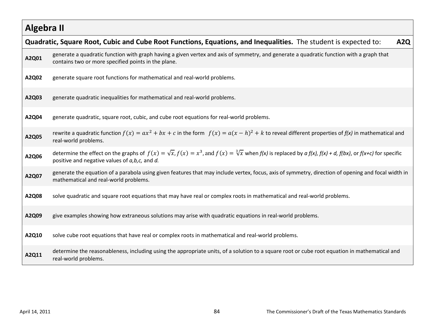|       | Quadratic, Square Root, Cubic and Cube Root Functions, Equations, and Inequalities. The student is expected to:<br>A <sub>2</sub> Q                                                                                                        |
|-------|--------------------------------------------------------------------------------------------------------------------------------------------------------------------------------------------------------------------------------------------|
| A2Q01 | generate a quadratic function with graph having a given vertex and axis of symmetry, and generate a quadratic function with a graph that<br>contains two or more specified points in the plane.                                            |
| A2Q02 | generate square root functions for mathematical and real-world problems.                                                                                                                                                                   |
| A2Q03 | generate quadratic inequalities for mathematical and real-world problems.                                                                                                                                                                  |
| A2Q04 | generate quadratic, square root, cubic, and cube root equations for real-world problems.                                                                                                                                                   |
| A2Q05 | rewrite a quadratic function $f(x) = ax^2 + bx + c$ in the form $f(x) = a(x - h)^2 + k$ to reveal different properties of $f(x)$ in mathematical and<br>real-world problems.                                                               |
| A2Q06 | determine the effect on the graphs of $f(x) = \sqrt{x}$ , $f(x) = x^3$ , and $f(x) = \sqrt[3]{x}$ when $f(x)$ is replaced by a $f(x)$ , $f(x) + d$ , $f(bx)$ , or $f(x+c)$ for specific<br>positive and negative values of a, b, c, and d. |
| A2Q07 | generate the equation of a parabola using given features that may include vertex, focus, axis of symmetry, direction of opening and focal width in<br>mathematical and real-world problems.                                                |
| A2Q08 | solve quadratic and square root equations that may have real or complex roots in mathematical and real-world problems.                                                                                                                     |
| A2Q09 | give examples showing how extraneous solutions may arise with quadratic equations in real-world problems.                                                                                                                                  |
| A2Q10 | solve cube root equations that have real or complex roots in mathematical and real-world problems.                                                                                                                                         |
| A2Q11 | determine the reasonableness, including using the appropriate units, of a solution to a square root or cube root equation in mathematical and<br>real-world problems.                                                                      |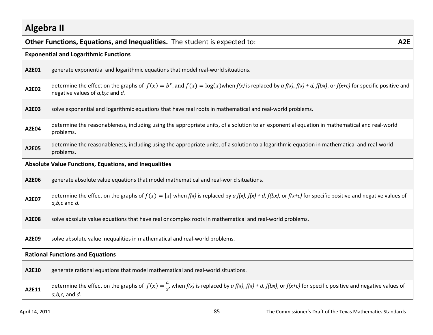|       | Other Functions, Equations, and Inequalities. The student is expected to:<br>A <sub>2E</sub>                                                                                                                      |  |  |
|-------|-------------------------------------------------------------------------------------------------------------------------------------------------------------------------------------------------------------------|--|--|
|       | <b>Exponential and Logarithmic Functions</b>                                                                                                                                                                      |  |  |
| A2E01 | generate exponential and logarithmic equations that model real-world situations.                                                                                                                                  |  |  |
| A2E02 | determine the effect on the graphs of $f(x) = b^x$ , and $f(x) = \log(x)$ when $f(x)$ is replaced by $a f(x)$ , $f(x) + d$ , $f(bx)$ , or $f(x+c)$ for specific positive and<br>negative values of a, b, c and d. |  |  |
| A2E03 | solve exponential and logarithmic equations that have real roots in mathematical and real-world problems.                                                                                                         |  |  |
| A2E04 | determine the reasonableness, including using the appropriate units, of a solution to an exponential equation in mathematical and real-world<br>problems.                                                         |  |  |
| A2E05 | determine the reasonableness, including using the appropriate units, of a solution to a logarithmic equation in mathematical and real-world<br>problems.                                                          |  |  |
|       | <b>Absolute Value Functions, Equations, and Inequalities</b>                                                                                                                                                      |  |  |
| A2E06 | generate absolute value equations that model mathematical and real-world situations.                                                                                                                              |  |  |
| A2E07 | determine the effect on the graphs of $f(x) =  x $ when $f(x)$ is replaced by $a f(x)$ , $f(x) + d$ , $f(bx)$ , or $f(x+c)$ for specific positive and negative values of<br>$a,b,c$ and $d$ .                     |  |  |
| A2E08 | solve absolute value equations that have real or complex roots in mathematical and real-world problems.                                                                                                           |  |  |
| A2E09 | solve absolute value inequalities in mathematical and real-world problems.                                                                                                                                        |  |  |
|       | <b>Rational Functions and Equations</b>                                                                                                                                                                           |  |  |
| A2E10 | generate rational equations that model mathematical and real-world situations.                                                                                                                                    |  |  |
| A2E11 | determine the effect on the graphs of $f(x) = \frac{a}{x}$ , when $f(x)$ is replaced by $af(x)$ , $f(x) + d$ , $f(bx)$ , or $f(x+c)$ for specific positive and negative values of<br>$a,b,c$ , and $d$ .          |  |  |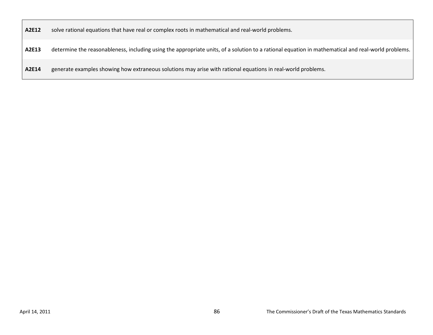**A2E12** solve rational equations that have real or complex roots in mathematical and real-world problems.

**A2E13** determine the reasonableness, including using the appropriate units, of a solution to a rational equation in mathematical and real-world problems.

**A2E14** generate examples showing how extraneous solutions may arise with rational equations in real-world problems.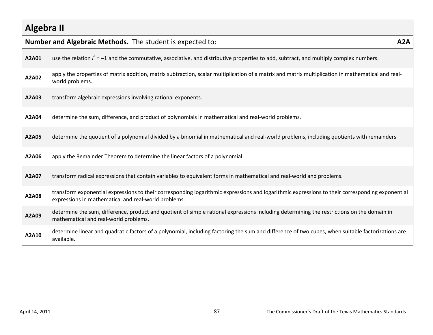|       | Number and Algebraic Methods. The student is expected to:                                                                                                                                               | A2A |
|-------|---------------------------------------------------------------------------------------------------------------------------------------------------------------------------------------------------------|-----|
| A2A01 | use the relation $i^2 = -1$ and the commutative, associative, and distributive properties to add, subtract, and multiply complex numbers.                                                               |     |
| A2A02 | apply the properties of matrix addition, matrix subtraction, scalar multiplication of a matrix and matrix multiplication in mathematical and real-<br>world problems.                                   |     |
| A2A03 | transform algebraic expressions involving rational exponents.                                                                                                                                           |     |
| A2A04 | determine the sum, difference, and product of polynomials in mathematical and real-world problems.                                                                                                      |     |
| A2A05 | determine the quotient of a polynomial divided by a binomial in mathematical and real-world problems, including quotients with remainders                                                               |     |
| A2A06 | apply the Remainder Theorem to determine the linear factors of a polynomial.                                                                                                                            |     |
| A2A07 | transform radical expressions that contain variables to equivalent forms in mathematical and real-world and problems.                                                                                   |     |
| A2A08 | transform exponential expressions to their corresponding logarithmic expressions and logarithmic expressions to their corresponding exponential<br>expressions in mathematical and real-world problems. |     |
| A2A09 | determine the sum, difference, product and quotient of simple rational expressions including determining the restrictions on the domain in<br>mathematical and real-world problems.                     |     |
| A2A10 | determine linear and quadratic factors of a polynomial, including factoring the sum and difference of two cubes, when suitable factorizations are<br>available.                                         |     |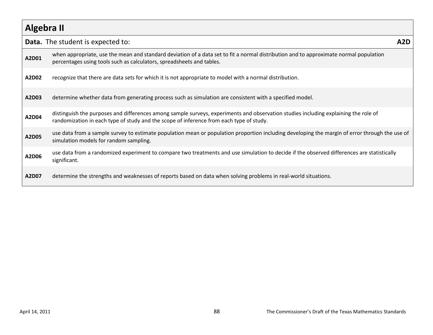|       | <b>Data.</b> The student is expected to:                                                                                                                                                                                       | A2D |
|-------|--------------------------------------------------------------------------------------------------------------------------------------------------------------------------------------------------------------------------------|-----|
| A2D01 | when appropriate, use the mean and standard deviation of a data set to fit a normal distribution and to approximate normal population<br>percentages using tools such as calculators, spreadsheets and tables.                 |     |
| A2D02 | recognize that there are data sets for which it is not appropriate to model with a normal distribution.                                                                                                                        |     |
| A2D03 | determine whether data from generating process such as simulation are consistent with a specified model.                                                                                                                       |     |
| A2D04 | distinguish the purposes and differences among sample surveys, experiments and observation studies including explaining the role of<br>randomization in each type of study and the scope of inference from each type of study. |     |
| A2D05 | use data from a sample survey to estimate population mean or population proportion including developing the margin of error through the use of<br>simulation models for random sampling.                                       |     |
| A2D06 | use data from a randomized experiment to compare two treatments and use simulation to decide if the observed differences are statistically<br>significant.                                                                     |     |
| A2D07 | determine the strengths and weaknesses of reports based on data when solving problems in real-world situations.                                                                                                                |     |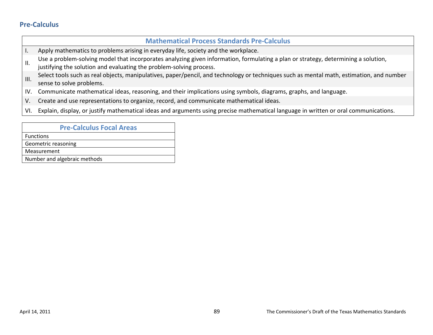### **Pre-Calculus**

|      | <b>Mathematical Process Standards Pre-Calculus</b>                                                                                                                                                        |
|------|-----------------------------------------------------------------------------------------------------------------------------------------------------------------------------------------------------------|
|      | Apply mathematics to problems arising in everyday life, society and the workplace.                                                                                                                        |
| Ш.   | Use a problem-solving model that incorporates analyzing given information, formulating a plan or strategy, determining a solution,<br>justifying the solution and evaluating the problem-solving process. |
| III. | Select tools such as real objects, manipulatives, paper/pencil, and technology or techniques such as mental math, estimation, and number<br>sense to solve problems.                                      |
| IV.  | Communicate mathematical ideas, reasoning, and their implications using symbols, diagrams, graphs, and language.                                                                                          |
| V.   | Create and use representations to organize, record, and communicate mathematical ideas.                                                                                                                   |
| VI.  | Explain, display, or justify mathematical ideas and arguments using precise mathematical language in written or oral communications.                                                                      |

| <b>Pre-Calculus Focal Areas</b> |  |
|---------------------------------|--|
| <b>Functions</b>                |  |
| Geometric reasoning             |  |
| Measurement                     |  |
| Number and algebraic methods    |  |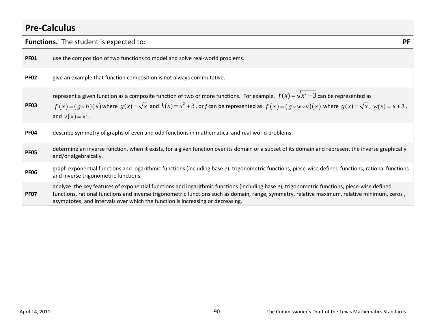|             | <b>Pre-Calculus</b>                                                                                                                                                                                                                                                                                                                                                            |           |
|-------------|--------------------------------------------------------------------------------------------------------------------------------------------------------------------------------------------------------------------------------------------------------------------------------------------------------------------------------------------------------------------------------|-----------|
|             | <b>Functions.</b> The student is expected to:                                                                                                                                                                                                                                                                                                                                  | <b>PF</b> |
| <b>PF01</b> | use the composition of two functions to model and solve real-world problems.                                                                                                                                                                                                                                                                                                   |           |
| <b>PF02</b> | give an example that function composition is not always commutative.                                                                                                                                                                                                                                                                                                           |           |
| <b>PF03</b> | represent a given function as a composite function of two or more functions. For example, $f(x) = \sqrt{x^2 + 3}$ can be represented as<br>$f(x) = (g \circ h)(x)$ where $g(x) = \sqrt{x}$ and $h(x) = x^2 + 3$ , or f can be represented as $f(x) = (g \circ w \circ v)(x)$ where $g(x) = \sqrt{x}$ , $w(x) = x + 3$ ,<br>and $v(x) = x^2$ .                                  |           |
| <b>PF04</b> | describe symmetry of graphs of even and odd functions in mathematical and real-world problems.                                                                                                                                                                                                                                                                                 |           |
| <b>PF05</b> | determine an inverse function, when it exists, for a given function over its domain or a subset of its domain and represent the inverse graphically<br>and/or algebraically.                                                                                                                                                                                                   |           |
| <b>PF06</b> | graph exponential functions and logarithmic functions (including base e), trigonometric functions, piece-wise defined functions, rational functions<br>and inverse trigonometric functions.                                                                                                                                                                                    |           |
| <b>PF07</b> | analyze the key features of exponential functions and logarithmic functions (including base e), trigonometric functions, piece-wise defined<br>functions, rational functions and inverse trigonometric functions such as domain, range, symmetry, relative maximum, relative minimum, zeros,<br>asymptotes, and intervals over which the function is increasing or decreasing. |           |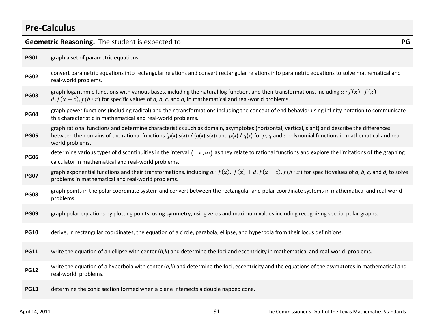| <b>Pre-Calculus</b> |                                                                                                                                                                                                                                                                                                                              |  |
|---------------------|------------------------------------------------------------------------------------------------------------------------------------------------------------------------------------------------------------------------------------------------------------------------------------------------------------------------------|--|
|                     | Geometric Reasoning. The student is expected to:<br>PG                                                                                                                                                                                                                                                                       |  |
| <b>PG01</b>         | graph a set of parametric equations.                                                                                                                                                                                                                                                                                         |  |
| <b>PG02</b>         | convert parametric equations into rectangular relations and convert rectangular relations into parametric equations to solve mathematical and<br>real-world problems.                                                                                                                                                        |  |
| <b>PG03</b>         | graph logarithmic functions with various bases, including the natural log function, and their transformations, including $a \cdot f(x)$ , $f(x)$ +<br>$d, f(x - c), f(b \cdot x)$ for specific values of a, b, c, and d, in mathematical and real-world problems.                                                            |  |
| <b>PG04</b>         | graph power functions (including radical) and their transformations including the concept of end behavior using infinity notation to communicate<br>this characteristic in mathematical and real-world problems.                                                                                                             |  |
| <b>PG05</b>         | graph rational functions and determine characteristics such as domain, asymptotes (horizontal, vertical, slant) and describe the differences<br>between the domains of the rational functions $(p(x) s(x)) / (q(x) s(x))$ and $p(x) / q(x)$ for p, q and s polynomial functions in mathematical and real-<br>world problems. |  |
| <b>PG06</b>         | determine various types of discontinuities in the interval $(-\infty,\infty)$ as they relate to rational functions and explore the limitations of the graphing<br>calculator in mathematical and real-world problems.                                                                                                        |  |
| <b>PG07</b>         | graph exponential functions and their transformations, including $a \cdot f(x)$ , $f(x) + d$ , $f(x - c)$ , $f(b \cdot x)$ for specific values of a, b, c, and d, to solve<br>problems in mathematical and real-world problems.                                                                                              |  |
| <b>PG08</b>         | graph points in the polar coordinate system and convert between the rectangular and polar coordinate systems in mathematical and real-world<br>problems.                                                                                                                                                                     |  |
| <b>PG09</b>         | graph polar equations by plotting points, using symmetry, using zeros and maximum values including recognizing special polar graphs.                                                                                                                                                                                         |  |
| <b>PG10</b>         | derive, in rectangular coordinates, the equation of a circle, parabola, ellipse, and hyperbola from their locus definitions.                                                                                                                                                                                                 |  |
| <b>PG11</b>         | write the equation of an ellipse with center $(h,k)$ and determine the foci and eccentricity in mathematical and real-world problems.                                                                                                                                                                                        |  |
| <b>PG12</b>         | write the equation of a hyperbola with center $(h,k)$ and determine the foci, eccentricity and the equations of the asymptotes in mathematical and<br>real-world problems.                                                                                                                                                   |  |
| <b>PG13</b>         | determine the conic section formed when a plane intersects a double napped cone.                                                                                                                                                                                                                                             |  |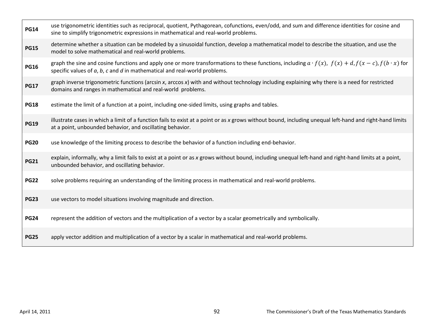| <b>PG14</b> | use trigonometric identities such as reciprocal, quotient, Pythagorean, cofunctions, even/odd, and sum and difference identities for cosine and<br>sine to simplify trigonometric expressions in mathematical and real-world problems.                       |
|-------------|--------------------------------------------------------------------------------------------------------------------------------------------------------------------------------------------------------------------------------------------------------------|
| <b>PG15</b> | determine whether a situation can be modeled by a sinusoidal function, develop a mathematical model to describe the situation, and use the<br>model to solve mathematical and real-world problems.                                                           |
| <b>PG16</b> | graph the sine and cosine functions and apply one or more transformations to these functions, including $a \cdot f(x)$ , $f(x) + d$ , $f(x - c)$ , $f(b \cdot x)$ for<br>specific values of $a$ , $b$ , $c$ and $d$ in mathematical and real-world problems. |
| <b>PG17</b> | graph inverse trigonometric functions (arcsin x, arccos x) with and without technology including explaining why there is a need for restricted<br>domains and ranges in mathematical and real-world problems.                                                |
| <b>PG18</b> | estimate the limit of a function at a point, including one-sided limits, using graphs and tables.                                                                                                                                                            |
| <b>PG19</b> | illustrate cases in which a limit of a function fails to exist at a point or as x grows without bound, including unequal left-hand and right-hand limits<br>at a point, unbounded behavior, and oscillating behavior.                                        |
|             |                                                                                                                                                                                                                                                              |
| <b>PG20</b> | use knowledge of the limiting process to describe the behavior of a function including end-behavior.                                                                                                                                                         |
| <b>PG21</b> | explain, informally, why a limit fails to exist at a point or as x grows without bound, including unequal left-hand and right-hand limits at a point,<br>unbounded behavior, and oscillating behavior.                                                       |
| <b>PG22</b> | solve problems requiring an understanding of the limiting process in mathematical and real-world problems.                                                                                                                                                   |
| <b>PG23</b> | use vectors to model situations involving magnitude and direction.                                                                                                                                                                                           |
| <b>PG24</b> | represent the addition of vectors and the multiplication of a vector by a scalar geometrically and symbolically.                                                                                                                                             |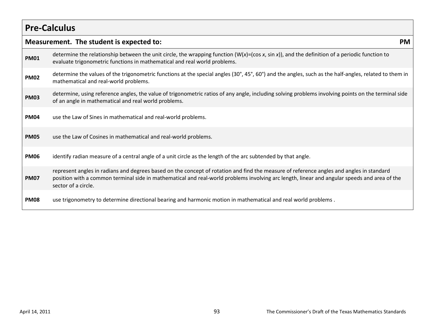## **Pre-Calculus**

|             | Measurement. The student is expected to:<br><b>PM</b>                                                                                                                                                                                                                                                           |  |  |
|-------------|-----------------------------------------------------------------------------------------------------------------------------------------------------------------------------------------------------------------------------------------------------------------------------------------------------------------|--|--|
| <b>PM01</b> | determine the relationship between the unit circle, the wrapping function $(W(x)=(\cos x, \sin x))$ , and the definition of a periodic function to<br>evaluate trigonometric functions in mathematical and real world problems.                                                                                 |  |  |
| <b>PM02</b> | determine the values of the trigonometric functions at the special angles (30°, 45°, 60°) and the angles, such as the half-angles, related to them in<br>mathematical and real-world problems.                                                                                                                  |  |  |
| <b>PM03</b> | determine, using reference angles, the value of trigonometric ratios of any angle, including solving problems involving points on the terminal side<br>of an angle in mathematical and real world problems.                                                                                                     |  |  |
| <b>PM04</b> | use the Law of Sines in mathematical and real-world problems.                                                                                                                                                                                                                                                   |  |  |
| <b>PM05</b> | use the Law of Cosines in mathematical and real-world problems.                                                                                                                                                                                                                                                 |  |  |
| <b>PM06</b> | identify radian measure of a central angle of a unit circle as the length of the arc subtended by that angle.                                                                                                                                                                                                   |  |  |
| <b>PM07</b> | represent angles in radians and degrees based on the concept of rotation and find the measure of reference angles and angles in standard<br>position with a common terminal side in mathematical and real-world problems involving arc length, linear and angular speeds and area of the<br>sector of a circle. |  |  |
| PM08        | use trigonometry to determine directional bearing and harmonic motion in mathematical and real world problems.                                                                                                                                                                                                  |  |  |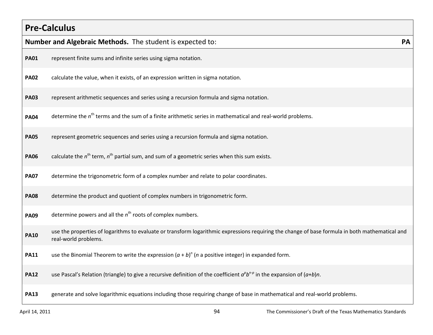## **Pre-Calculus**

|             | Number and Algebraic Methods. The student is expected to:                                                                                                               | <b>PA</b> |
|-------------|-------------------------------------------------------------------------------------------------------------------------------------------------------------------------|-----------|
| <b>PA01</b> | represent finite sums and infinite series using sigma notation.                                                                                                         |           |
| <b>PA02</b> | calculate the value, when it exists, of an expression written in sigma notation.                                                                                        |           |
| <b>PA03</b> | represent arithmetic sequences and series using a recursion formula and sigma notation.                                                                                 |           |
| <b>PA04</b> | determine the $nth$ terms and the sum of a finite arithmetic series in mathematical and real-world problems.                                                            |           |
| <b>PA05</b> | represent geometric sequences and series using a recursion formula and sigma notation.                                                                                  |           |
| <b>PA06</b> | calculate the $n^{\text{th}}$ term, $n^{\text{th}}$ partial sum, and sum of a geometric series when this sum exists.                                                    |           |
| <b>PA07</b> | determine the trigonometric form of a complex number and relate to polar coordinates.                                                                                   |           |
| <b>PA08</b> | determine the product and quotient of complex numbers in trigonometric form.                                                                                            |           |
| <b>PA09</b> | determine powers and all the $nth$ roots of complex numbers.                                                                                                            |           |
| <b>PA10</b> | use the properties of logarithms to evaluate or transform logarithmic expressions requiring the change of base formula in both mathematical and<br>real-world problems. |           |
| <b>PA11</b> | use the Binomial Theorem to write the expression $(a + b)^n$ ( <i>n</i> a positive integer) in expanded form.                                                           |           |
| <b>PA12</b> | use Pascal's Relation (triangle) to give a recursive definition of the coefficient $a^p b^{n-p}$ in the expansion of $(a+b)n$ .                                         |           |
| <b>PA13</b> | generate and solve logarithmic equations including those requiring change of base in mathematical and real-world problems.                                              |           |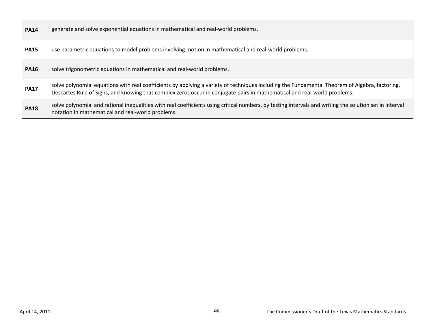| <b>PA14</b> | generate and solve exponential equations in mathematical and real-world problems.                                                                                                                                                                                           |
|-------------|-----------------------------------------------------------------------------------------------------------------------------------------------------------------------------------------------------------------------------------------------------------------------------|
| <b>PA15</b> | use parametric equations to model problems involving motion in mathematical and real-world problems.                                                                                                                                                                        |
| <b>PA16</b> | solve trigonometric equations in mathematical and real-world problems.                                                                                                                                                                                                      |
| <b>PA17</b> | solve polynomial equations with real coefficients by applying a variety of techniques including the Fundamental Theorem of Algebra, factoring,<br>Descartes Rule of Signs, and knowing that complex zeros occur in conjugate pairs in mathematical and real-world problems. |
| <b>PA18</b> | solve polynomial and rational inequalities with real coefficients using critical numbers, by testing intervals and writing the solution set in interval<br>notation in mathematical and real-world problems.                                                                |

Г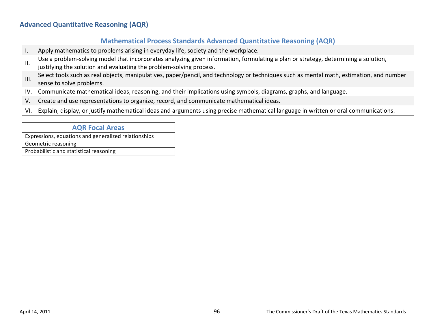### **Advanced Quantitative Reasoning (AQR)**

#### **Mathematical Process Standards Advanced Quantitative Reasoning (AQR)**

- I. Apply mathematics to problems arising in everyday life, society and the workplace.
- Use a problem-solving model that incorporates analyzing given information, formulating a plan or strategy, determining a solution,
- justifying the solution and evaluating the problem-solving process.
- III. Select tools such as real objects, manipulatives, paper/pencil, and technology or techniques such as mental math, estimation, and number sense to solve problems.
- IV. Communicate mathematical ideas, reasoning, and their implications using symbols, diagrams, graphs, and language.
- V. Create and use representations to organize, record, and communicate mathematical ideas.
- VI. Explain, display, or justify mathematical ideas and arguments using precise mathematical language in written or oral communications.

#### **AQR Focal Areas**

Expressions, equations and generalized relationships

Geometric reasoning

Probabilistic and statistical reasoning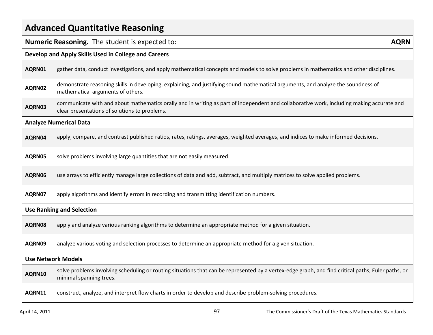| <b>Advanced Quantitative Reasoning</b> |                                                                                                                                                                                            |  |
|----------------------------------------|--------------------------------------------------------------------------------------------------------------------------------------------------------------------------------------------|--|
|                                        | <b>Numeric Reasoning.</b> The student is expected to:<br><b>AQRN</b>                                                                                                                       |  |
|                                        | Develop and Apply Skills Used in College and Careers                                                                                                                                       |  |
| AQRN01                                 | gather data, conduct investigations, and apply mathematical concepts and models to solve problems in mathematics and other disciplines.                                                    |  |
| AQRN02                                 | demonstrate reasoning skills in developing, explaining, and justifying sound mathematical arguments, and analyze the soundness of<br>mathematical arguments of others.                     |  |
| AQRN03                                 | communicate with and about mathematics orally and in writing as part of independent and collaborative work, including making accurate and<br>clear presentations of solutions to problems. |  |
|                                        | <b>Analyze Numerical Data</b>                                                                                                                                                              |  |
| AQRN04                                 | apply, compare, and contrast published ratios, rates, ratings, averages, weighted averages, and indices to make informed decisions.                                                        |  |
| AQRN05                                 | solve problems involving large quantities that are not easily measured.                                                                                                                    |  |
| AQRN06                                 | use arrays to efficiently manage large collections of data and add, subtract, and multiply matrices to solve applied problems.                                                             |  |
| AQRN07                                 | apply algorithms and identify errors in recording and transmitting identification numbers.                                                                                                 |  |
|                                        | <b>Use Ranking and Selection</b>                                                                                                                                                           |  |
| AQRN08                                 | apply and analyze various ranking algorithms to determine an appropriate method for a given situation.                                                                                     |  |
| AQRN09                                 | analyze various voting and selection processes to determine an appropriate method for a given situation.                                                                                   |  |
|                                        | <b>Use Network Models</b>                                                                                                                                                                  |  |
| AQRN10                                 | solve problems involving scheduling or routing situations that can be represented by a vertex-edge graph, and find critical paths, Euler paths, or<br>minimal spanning trees.              |  |
| AQRN11                                 | construct, analyze, and interpret flow charts in order to develop and describe problem-solving procedures.                                                                                 |  |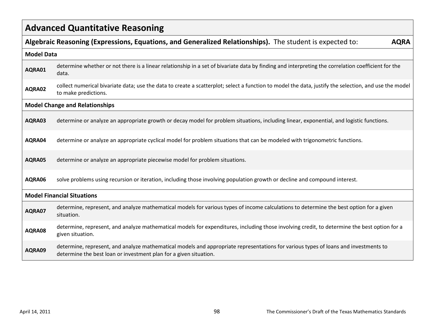| <b>Advanced Quantitative Reasoning</b> |                                                                                                                                                                                                          |  |
|----------------------------------------|----------------------------------------------------------------------------------------------------------------------------------------------------------------------------------------------------------|--|
|                                        | Algebraic Reasoning (Expressions, Equations, and Generalized Relationships). The student is expected to:<br><b>AQRA</b>                                                                                  |  |
|                                        | <b>Model Data</b>                                                                                                                                                                                        |  |
| AQRA01                                 | determine whether or not there is a linear relationship in a set of bivariate data by finding and interpreting the correlation coefficient for the<br>data.                                              |  |
| AQRA02                                 | collect numerical bivariate data; use the data to create a scatterplot; select a function to model the data, justify the selection, and use the model<br>to make predictions.                            |  |
|                                        | <b>Model Change and Relationships</b>                                                                                                                                                                    |  |
| AQRA03                                 | determine or analyze an appropriate growth or decay model for problem situations, including linear, exponential, and logistic functions.                                                                 |  |
| AQRA04                                 | determine or analyze an appropriate cyclical model for problem situations that can be modeled with trigonometric functions.                                                                              |  |
| AQRA05                                 | determine or analyze an appropriate piecewise model for problem situations.                                                                                                                              |  |
| AQRA06                                 | solve problems using recursion or iteration, including those involving population growth or decline and compound interest.                                                                               |  |
|                                        | <b>Model Financial Situations</b>                                                                                                                                                                        |  |
| AQRA07                                 | determine, represent, and analyze mathematical models for various types of income calculations to determine the best option for a given<br>situation.                                                    |  |
| AQRA08                                 | determine, represent, and analyze mathematical models for expenditures, including those involving credit, to determine the best option for a<br>given situation.                                         |  |
| AQRA09                                 | determine, represent, and analyze mathematical models and appropriate representations for various types of loans and investments to<br>determine the best loan or investment plan for a given situation. |  |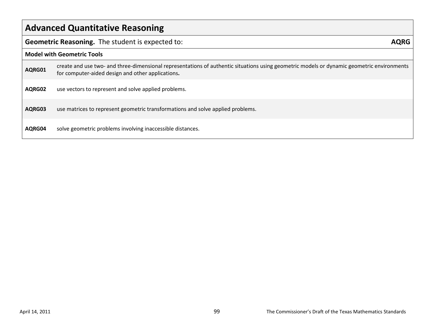| <b>Advanced Quantitative Reasoning</b> |                                                                                                                                                                                                 |  |
|----------------------------------------|-------------------------------------------------------------------------------------------------------------------------------------------------------------------------------------------------|--|
|                                        | Geometric Reasoning. The student is expected to:<br><b>AQRG</b>                                                                                                                                 |  |
|                                        | <b>Model with Geometric Tools</b>                                                                                                                                                               |  |
| AQRG01                                 | create and use two- and three-dimensional representations of authentic situations using geometric models or dynamic geometric environments<br>for computer-aided design and other applications. |  |
| AQRG02                                 | use vectors to represent and solve applied problems.                                                                                                                                            |  |
| AQRG03                                 | use matrices to represent geometric transformations and solve applied problems.                                                                                                                 |  |
| AQRG04                                 | solve geometric problems involving inaccessible distances.                                                                                                                                      |  |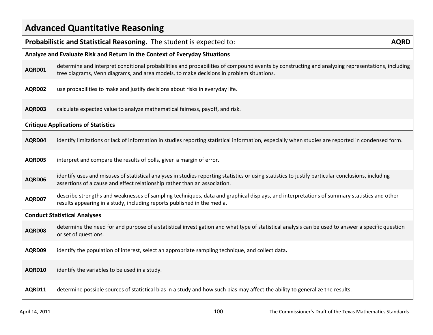| <b>Advanced Quantitative Reasoning</b> |                                                                                                                                                                                                                                            |
|----------------------------------------|--------------------------------------------------------------------------------------------------------------------------------------------------------------------------------------------------------------------------------------------|
|                                        | Probabilistic and Statistical Reasoning. The student is expected to:<br><b>AQRD</b>                                                                                                                                                        |
|                                        | Analyze and Evaluate Risk and Return in the Context of Everyday Situations                                                                                                                                                                 |
| AQRD01                                 | determine and interpret conditional probabilities and probabilities of compound events by constructing and analyzing representations, including<br>tree diagrams, Venn diagrams, and area models, to make decisions in problem situations. |
| AQRD02                                 | use probabilities to make and justify decisions about risks in everyday life.                                                                                                                                                              |
| AQRD03                                 | calculate expected value to analyze mathematical fairness, payoff, and risk.                                                                                                                                                               |
|                                        | <b>Critique Applications of Statistics</b>                                                                                                                                                                                                 |
| AQRD04                                 | identify limitations or lack of information in studies reporting statistical information, especially when studies are reported in condensed form.                                                                                          |
| AQRD05                                 | interpret and compare the results of polls, given a margin of error.                                                                                                                                                                       |
| AQRD06                                 | identify uses and misuses of statistical analyses in studies reporting statistics or using statistics to justify particular conclusions, including<br>assertions of a cause and effect relationship rather than an association.            |
| AQRD07                                 | describe strengths and weaknesses of sampling techniques, data and graphical displays, and interpretations of summary statistics and other<br>results appearing in a study, including reports published in the media.                      |
|                                        | <b>Conduct Statistical Analyses</b>                                                                                                                                                                                                        |
| AQRD08                                 | determine the need for and purpose of a statistical investigation and what type of statistical analysis can be used to answer a specific question<br>or set of questions.                                                                  |
| AQRD09                                 | identify the population of interest, select an appropriate sampling technique, and collect data.                                                                                                                                           |
| AQRD10                                 | identify the variables to be used in a study.                                                                                                                                                                                              |
| AQRD11                                 | determine possible sources of statistical bias in a study and how such bias may affect the ability to generalize the results.                                                                                                              |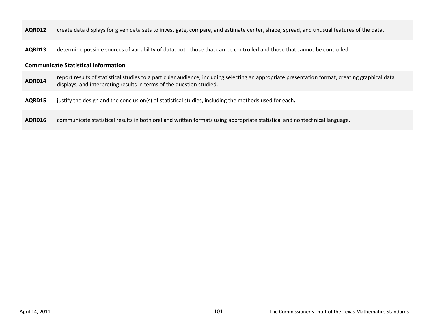| AQRD12                                     | create data displays for given data sets to investigate, compare, and estimate center, shape, spread, and unusual features of the data.                                                                                 |  |
|--------------------------------------------|-------------------------------------------------------------------------------------------------------------------------------------------------------------------------------------------------------------------------|--|
| AQRD13                                     | determine possible sources of variability of data, both those that can be controlled and those that cannot be controlled.                                                                                               |  |
| <b>Communicate Statistical Information</b> |                                                                                                                                                                                                                         |  |
| AQRD14                                     | report results of statistical studies to a particular audience, including selecting an appropriate presentation format, creating graphical data<br>displays, and interpreting results in terms of the question studied. |  |
| AQRD15                                     | justify the design and the conclusion(s) of statistical studies, including the methods used for each.                                                                                                                   |  |
| AQRD16                                     | communicate statistical results in both oral and written formats using appropriate statistical and nontechnical language.                                                                                               |  |

Г

┑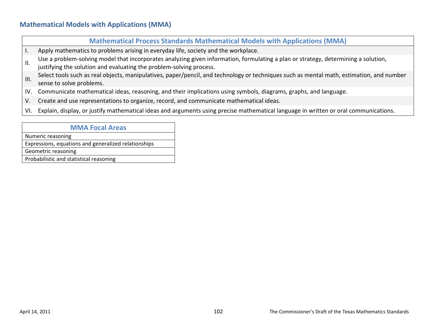### **Mathematical Models with Applications (MMA)**

#### **Mathematical Process Standards Mathematical Models with Applications (MMA)**

- I. Apply mathematics to problems arising in everyday life, society and the workplace.
- Use a problem-solving model that incorporates analyzing given information, formulating a plan or strategy, determining a solution,
- justifying the solution and evaluating the problem-solving process.
- III. Select tools such as real objects, manipulatives, paper/pencil, and technology or techniques such as mental math, estimation, and number sense to solve problems.
- IV. Communicate mathematical ideas, reasoning, and their implications using symbols, diagrams, graphs, and language.
- V. Create and use representations to organize, record, and communicate mathematical ideas.
- VI. Explain, display, or justify mathematical ideas and arguments using precise mathematical language in written or oral communications.

#### **MMA Focal Areas**

Numeric reasoning

Expressions, equations and generalized relationships

Geometric reasoning

Probabilistic and statistical reasoning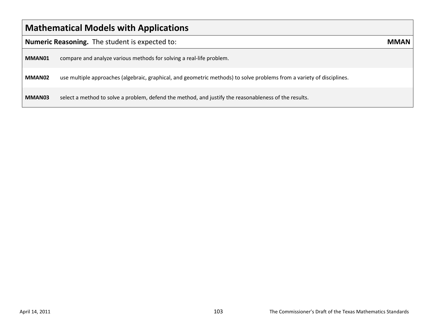| <b>Mathematical Models with Applications</b>   |                                                                                                                        |      |  |  |
|------------------------------------------------|------------------------------------------------------------------------------------------------------------------------|------|--|--|
| Numeric Reasoning. The student is expected to: |                                                                                                                        | MMAN |  |  |
| MMAN01                                         | compare and analyze various methods for solving a real-life problem.                                                   |      |  |  |
| MMAN02                                         | use multiple approaches (algebraic, graphical, and geometric methods) to solve problems from a variety of disciplines. |      |  |  |
| MMAN03                                         | select a method to solve a problem, defend the method, and justify the reasonableness of the results.                  |      |  |  |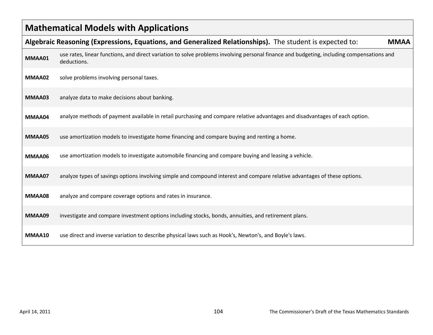| <b>Mathematical Models with Applications</b>                                                                            |                                                                                                                                                          |  |  |
|-------------------------------------------------------------------------------------------------------------------------|----------------------------------------------------------------------------------------------------------------------------------------------------------|--|--|
| Algebraic Reasoning (Expressions, Equations, and Generalized Relationships). The student is expected to:<br><b>MMAA</b> |                                                                                                                                                          |  |  |
| MMAA01                                                                                                                  | use rates, linear functions, and direct variation to solve problems involving personal finance and budgeting, including compensations and<br>deductions. |  |  |
| MMAA02                                                                                                                  | solve problems involving personal taxes.                                                                                                                 |  |  |
| MMAA03                                                                                                                  | analyze data to make decisions about banking.                                                                                                            |  |  |
| MMAA04                                                                                                                  | analyze methods of payment available in retail purchasing and compare relative advantages and disadvantages of each option.                              |  |  |
| MMAA05                                                                                                                  | use amortization models to investigate home financing and compare buying and renting a home.                                                             |  |  |
| MMAA06                                                                                                                  | use amortization models to investigate automobile financing and compare buying and leasing a vehicle.                                                    |  |  |
| MMAA07                                                                                                                  | analyze types of savings options involving simple and compound interest and compare relative advantages of these options.                                |  |  |
| MMAA08                                                                                                                  | analyze and compare coverage options and rates in insurance.                                                                                             |  |  |
| MMAA09                                                                                                                  | investigate and compare investment options including stocks, bonds, annuities, and retirement plans.                                                     |  |  |
| MMAA10                                                                                                                  | use direct and inverse variation to describe physical laws such as Hook's, Newton's, and Boyle's laws.                                                   |  |  |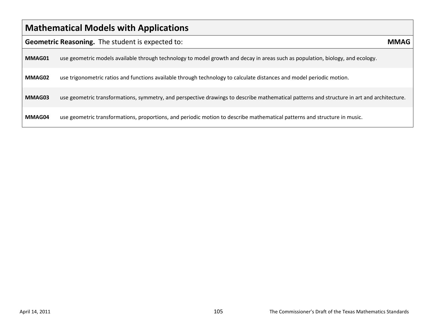| <b>Mathematical Models with Applications</b>                    |                                                                                                                                            |  |  |
|-----------------------------------------------------------------|--------------------------------------------------------------------------------------------------------------------------------------------|--|--|
| <b>Geometric Reasoning.</b> The student is expected to:<br>MMAG |                                                                                                                                            |  |  |
| MMAG01                                                          | use geometric models available through technology to model growth and decay in areas such as population, biology, and ecology.             |  |  |
| MMAG02                                                          | use trigonometric ratios and functions available through technology to calculate distances and model periodic motion.                      |  |  |
| MMAG03                                                          | use geometric transformations, symmetry, and perspective drawings to describe mathematical patterns and structure in art and architecture. |  |  |
| MMAG04                                                          | use geometric transformations, proportions, and periodic motion to describe mathematical patterns and structure in music.                  |  |  |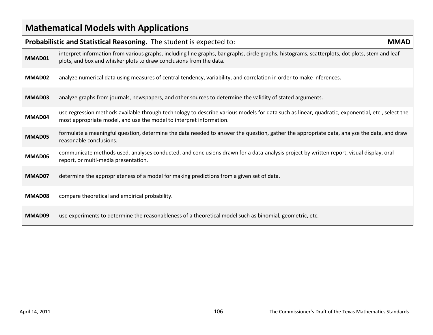| <b>Mathematical Models with Applications</b>                                        |                                                                                                                                                                                                                         |  |
|-------------------------------------------------------------------------------------|-------------------------------------------------------------------------------------------------------------------------------------------------------------------------------------------------------------------------|--|
| Probabilistic and Statistical Reasoning. The student is expected to:<br><b>MMAD</b> |                                                                                                                                                                                                                         |  |
| MMAD01                                                                              | interpret information from various graphs, including line graphs, bar graphs, circle graphs, histograms, scatterplots, dot plots, stem and leaf<br>plots, and box and whisker plots to draw conclusions from the data.  |  |
| MMAD02                                                                              | analyze numerical data using measures of central tendency, variability, and correlation in order to make inferences.                                                                                                    |  |
| MMAD03                                                                              | analyze graphs from journals, newspapers, and other sources to determine the validity of stated arguments.                                                                                                              |  |
| MMAD04                                                                              | use regression methods available through technology to describe various models for data such as linear, quadratic, exponential, etc., select the<br>most appropriate model, and use the model to interpret information. |  |
| MMAD05                                                                              | formulate a meaningful question, determine the data needed to answer the question, gather the appropriate data, analyze the data, and draw<br>reasonable conclusions.                                                   |  |
| MMAD06                                                                              | communicate methods used, analyses conducted, and conclusions drawn for a data-analysis project by written report, visual display, oral<br>report, or multi-media presentation.                                         |  |
| MMAD07                                                                              | determine the appropriateness of a model for making predictions from a given set of data.                                                                                                                               |  |
| MMAD08                                                                              | compare theoretical and empirical probability.                                                                                                                                                                          |  |
| MMAD09                                                                              | use experiments to determine the reasonableness of a theoretical model such as binomial, geometric, etc.                                                                                                                |  |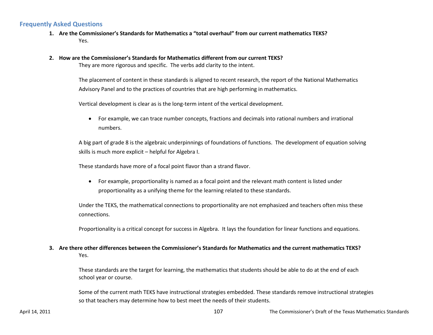#### **Frequently Asked Questions**

- **1. Are the Commissioner's Standards for Mathematics a "total overhaul" from our current mathematics TEKS?** Yes.
- **2. How are the Commissioner's Standards for Mathematics different from our current TEKS?**

They are more rigorous and specific. The verbs add clarity to the intent.

The placement of content in these standards is aligned to recent research, the report of the National Mathematics Advisory Panel and to the practices of countries that are high performing in mathematics.

Vertical development is clear as is the long-term intent of the vertical development.

• For example, we can trace number concepts, fractions and decimals into rational numbers and irrational numbers.

A big part of grade 8 is the algebraic underpinnings of foundations of functions. The development of equation solving skills is much more explicit – helpful for Algebra I.

These standards have more of a focal point flavor than a strand flavor.

• For example, proportionality is named as a focal point and the relevant math content is listed under proportionality as a unifying theme for the learning related to these standards.

Under the TEKS, the mathematical connections to proportionality are not emphasized and teachers often miss these connections.

Proportionality is a critical concept for success in Algebra. It lays the foundation for linear functions and equations.

#### **3. Are there other differences between the Commissioner's Standards for Mathematics and the current mathematics TEKS?** Yes.

These standards are the target for learning, the mathematics that students should be able to do at the end of each school year or course.

Some of the current math TEKS have instructional strategies embedded. These standards remove instructional strategies so that teachers may determine how to best meet the needs of their students.